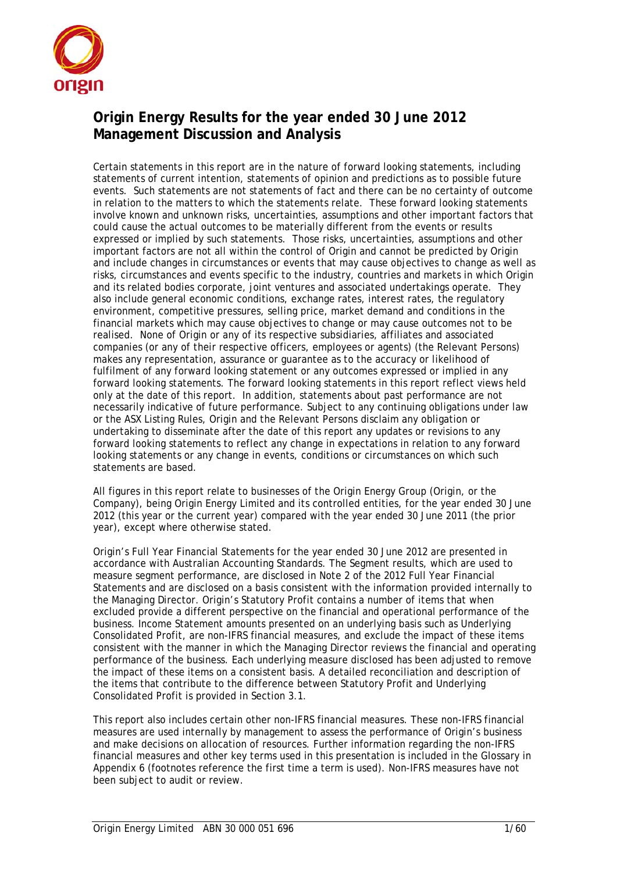

# **Origin Energy Results for the year ended 30 June 2012 Management Discussion and Analysis**

Certain statements in this report are in the nature of forward looking statements, including statements of current intention, statements of opinion and predictions as to possible future events. Such statements are not statements of fact and there can be no certainty of outcome in relation to the matters to which the statements relate. These forward looking statements involve known and unknown risks, uncertainties, assumptions and other important factors that could cause the actual outcomes to be materially different from the events or results expressed or implied by such statements. Those risks, uncertainties, assumptions and other important factors are not all within the control of Origin and cannot be predicted by Origin and include changes in circumstances or events that may cause objectives to change as well as risks, circumstances and events specific to the industry, countries and markets in which Origin and its related bodies corporate, joint ventures and associated undertakings operate. They also include general economic conditions, exchange rates, interest rates, the regulatory environment, competitive pressures, selling price, market demand and conditions in the financial markets which may cause objectives to change or may cause outcomes not to be realised. None of Origin or any of its respective subsidiaries, affiliates and associated companies (or any of their respective officers, employees or agents) (the Relevant Persons) makes any representation, assurance or guarantee as to the accuracy or likelihood of fulfilment of any forward looking statement or any outcomes expressed or implied in any forward looking statements. The forward looking statements in this report reflect views held only at the date of this report. In addition, statements about past performance are not necessarily indicative of future performance. Subject to any continuing obligations under law or the ASX Listing Rules, Origin and the Relevant Persons disclaim any obligation or undertaking to disseminate after the date of this report any updates or revisions to any forward looking statements to reflect any change in expectations in relation to any forward looking statements or any change in events, conditions or circumstances on which such statements are based.

All figures in this report relate to businesses of the Origin Energy Group (Origin, or the Company), being Origin Energy Limited and its controlled entities, for the year ended 30 June 2012 (this year or the current year) compared with the year ended 30 June 2011 (the prior year), except where otherwise stated.

Origin's Full Year Financial Statements for the year ended 30 June 2012 are presented in accordance with Australian Accounting Standards. The Segment results, which are used to measure segment performance, are disclosed in Note 2 of the 2012 Full Year Financial Statements and are disclosed on a basis consistent with the information provided internally to the Managing Director. Origin's Statutory Profit contains a number of items that when excluded provide a different perspective on the financial and operational performance of the business. Income Statement amounts presented on an underlying basis such as Underlying Consolidated Profit, are non-IFRS financial measures, and exclude the impact of these items consistent with the manner in which the Managing Director reviews the financial and operating performance of the business. Each underlying measure disclosed has been adjusted to remove the impact of these items on a consistent basis. A detailed reconciliation and description of the items that contribute to the difference between Statutory Profit and Underlying Consolidated Profit is provided in Section 3.1.

This report also includes certain other non-IFRS financial measures. These non-IFRS financial measures are used internally by management to assess the performance of Origin's business and make decisions on allocation of resources. Further information regarding the non-IFRS financial measures and other key terms used in this presentation is included in the Glossary in Appendix 6 (footnotes reference the first time a term is used). Non-IFRS measures have not been subject to audit or review.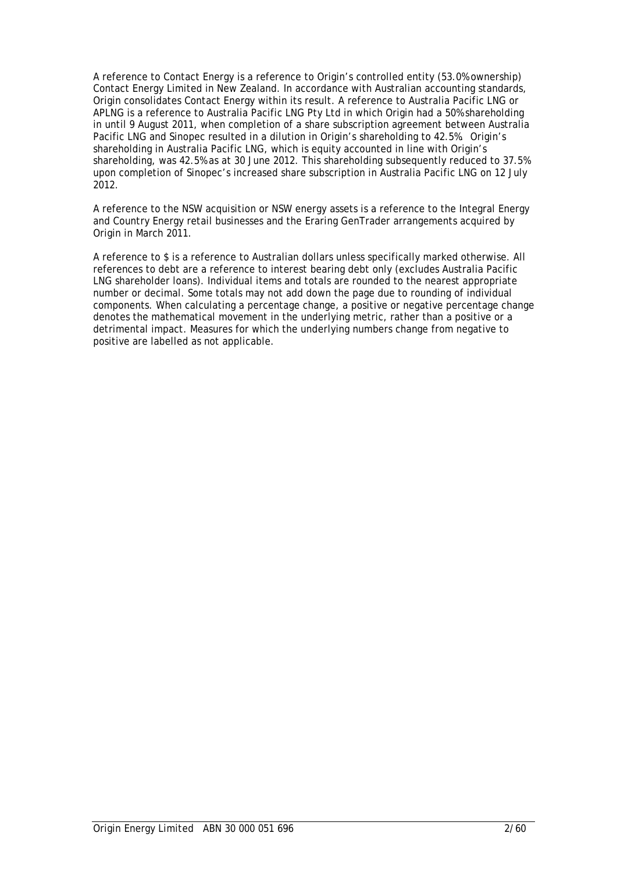A reference to Contact Energy is a reference to Origin's controlled entity (53.0% ownership) Contact Energy Limited in New Zealand. In accordance with Australian accounting standards, Origin consolidates Contact Energy within its result. A reference to Australia Pacific LNG or APLNG is a reference to Australia Pacific LNG Pty Ltd in which Origin had a 50% shareholding in until 9 August 2011, when completion of a share subscription agreement between Australia Pacific LNG and Sinopec resulted in a dilution in Origin's shareholding to 42.5%. Origin's shareholding in Australia Pacific LNG, which is equity accounted in line with Origin's shareholding, was 42.5% as at 30 June 2012. This shareholding subsequently reduced to 37.5% upon completion of Sinopec's increased share subscription in Australia Pacific LNG on 12 July 2012.

A reference to the NSW acquisition or NSW energy assets is a reference to the Integral Energy and Country Energy retail businesses and the Eraring GenTrader arrangements acquired by Origin in March 2011.

A reference to \$ is a reference to Australian dollars unless specifically marked otherwise. All references to debt are a reference to interest bearing debt only (excludes Australia Pacific LNG shareholder loans). Individual items and totals are rounded to the nearest appropriate number or decimal. Some totals may not add down the page due to rounding of individual components. When calculating a percentage change, a positive or negative percentage change denotes the mathematical movement in the underlying metric, rather than a positive or a detrimental impact. Measures for which the underlying numbers change from negative to positive are labelled as not applicable.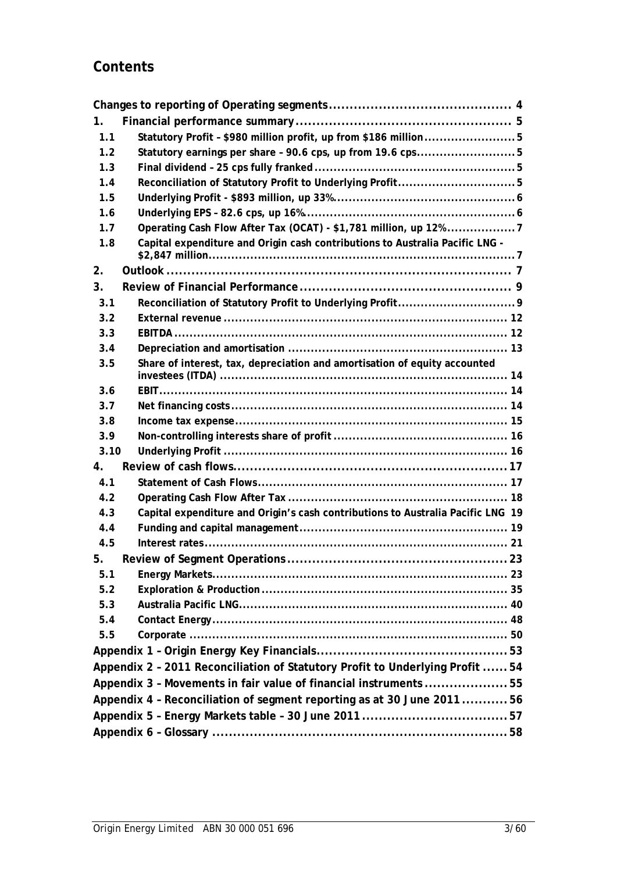# **Contents**

| 1.   |                                                                                 |  |
|------|---------------------------------------------------------------------------------|--|
| 1.1  | Statutory Profit - \$980 million profit, up from \$186 million5                 |  |
| 1.2  | Statutory earnings per share - 90.6 cps, up from 19.6 cps5                      |  |
| 1.3  |                                                                                 |  |
| 1.4  |                                                                                 |  |
| 1.5  |                                                                                 |  |
| 1.6  |                                                                                 |  |
| 1.7  | Operating Cash Flow After Tax (OCAT) - \$1,781 million, up 12% 7                |  |
| 1.8  | Capital expenditure and Origin cash contributions to Australia Pacific LNG -    |  |
| 2.   |                                                                                 |  |
| 3.   |                                                                                 |  |
| 3.1  |                                                                                 |  |
| 3.2  |                                                                                 |  |
| 3.3  |                                                                                 |  |
| 3.4  |                                                                                 |  |
| 3.5  | Share of interest, tax, depreciation and amortisation of equity accounted       |  |
| 3.6  |                                                                                 |  |
| 3.7  |                                                                                 |  |
| 3.8  |                                                                                 |  |
| 3.9  |                                                                                 |  |
| 3.10 |                                                                                 |  |
| 4.   |                                                                                 |  |
| 4.1  |                                                                                 |  |
| 4.2  |                                                                                 |  |
| 4.3  | Capital expenditure and Origin's cash contributions to Australia Pacific LNG 19 |  |
| 4.4  |                                                                                 |  |
| 4.5  |                                                                                 |  |
| 5.   |                                                                                 |  |
| 5.1  |                                                                                 |  |
| 5.2  |                                                                                 |  |
| 5.3  |                                                                                 |  |
| 5.4  |                                                                                 |  |
| 5.5  |                                                                                 |  |
|      |                                                                                 |  |
|      | Appendix 2 - 2011 Reconciliation of Statutory Profit to Underlying Profit  54   |  |
|      | Appendix 3 - Movements in fair value of financial instruments 55                |  |
|      | Appendix 4 - Reconciliation of segment reporting as at 30 June 201156           |  |
|      |                                                                                 |  |
|      |                                                                                 |  |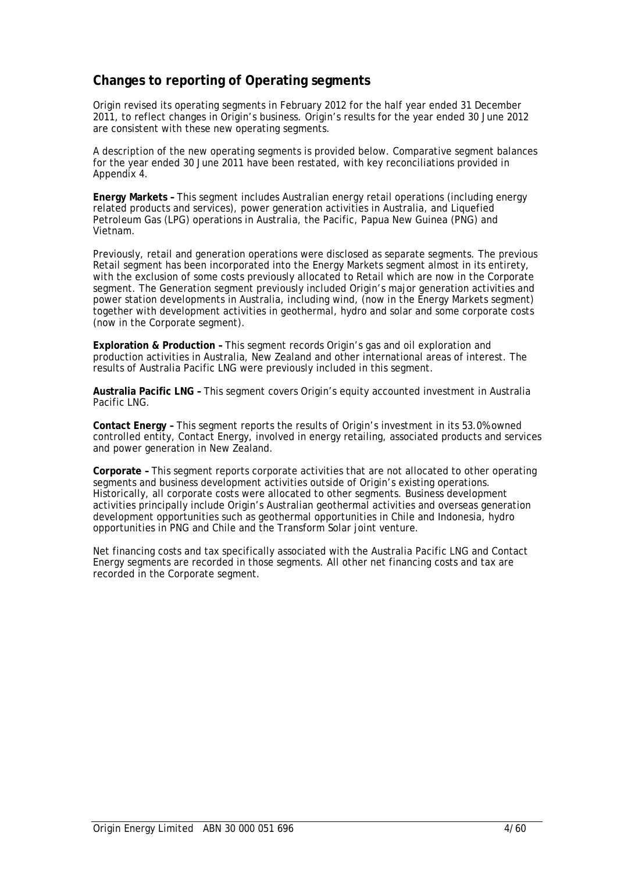# **Changes to reporting of Operating segments**

Origin revised its operating segments in February 2012 for the half year ended 31 December 2011, to reflect changes in Origin's business. Origin's results for the year ended 30 June 2012 are consistent with these new operating segments.

A description of the new operating segments is provided below. Comparative segment balances for the year ended 30 June 2011 have been restated, with key reconciliations provided in Appendix 4.

**Energy Markets –** This segment includes Australian energy retail operations (including energy related products and services), power generation activities in Australia, and Liquefied Petroleum Gas (LPG) operations in Australia, the Pacific, Papua New Guinea (PNG) and Vietnam.

Previously, retail and generation operations were disclosed as separate segments. The previous Retail segment has been incorporated into the Energy Markets segment almost in its entirety, with the exclusion of some costs previously allocated to Retail which are now in the Corporate segment. The Generation segment previously included Origin's major generation activities and power station developments in Australia, including wind, (now in the Energy Markets segment) together with development activities in geothermal, hydro and solar and some corporate costs (now in the Corporate segment).

**Exploration & Production –** This segment records Origin's gas and oil exploration and production activities in Australia, New Zealand and other international areas of interest. The results of Australia Pacific LNG were previously included in this segment.

**Australia Pacific LNG –** This segment covers Origin's equity accounted investment in Australia Pacific LNG.

**Contact Energy –** This segment reports the results of Origin's investment in its 53.0% owned controlled entity, Contact Energy, involved in energy retailing, associated products and services and power generation in New Zealand.

**Corporate –** This segment reports corporate activities that are not allocated to other operating segments and business development activities outside of Origin's existing operations. Historically, all corporate costs were allocated to other segments. Business development activities principally include Origin's Australian geothermal activities and overseas generation development opportunities such as geothermal opportunities in Chile and Indonesia, hydro opportunities in PNG and Chile and the Transform Solar joint venture.

Net financing costs and tax specifically associated with the Australia Pacific LNG and Contact Energy segments are recorded in those segments. All other net financing costs and tax are recorded in the Corporate segment.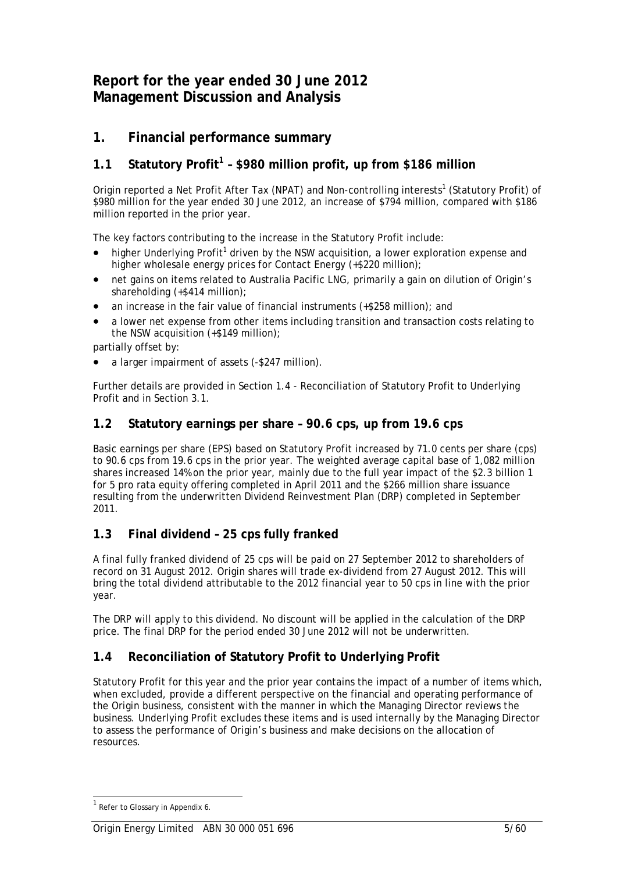# **Report for the year ended 30 June 2012 Management Discussion and Analysis**

# **1. Financial performance summary**

# **1.1 Statutory Profit<sup>1</sup> – \$980 million profit, up from \$186 million**

Origin reported a Net Profit After Tax (NPAT) and Non-controlling interests<sup>1</sup> (Statutory Profit) of \$980 million for the year ended 30 June 2012, an increase of \$794 million, compared with \$186 million reported in the prior year.

The key factors contributing to the increase in the Statutory Profit include:

- $\bullet$  higher Underlying Profit<sup>1</sup> driven by the NSW acquisition, a lower exploration expense and higher wholesale energy prices for Contact Energy (+\$220 million);
- net gains on items related to Australia Pacific LNG, primarily a gain on dilution of Origin's shareholding (+\$414 million);
- an increase in the fair value of financial instruments (+\$258 million); and
- a lower net expense from other items including transition and transaction costs relating to the NSW acquisition (+\$149 million);

partially offset by:

• a larger impairment of assets (-\$247 million).

Further details are provided in Section 1.4 - Reconciliation of Statutory Profit to Underlying Profit and in Section 3.1.

# **1.2 Statutory earnings per share – 90.6 cps, up from 19.6 cps**

Basic earnings per share (EPS) based on Statutory Profit increased by 71.0 cents per share (cps) to 90.6 cps from 19.6 cps in the prior year. The weighted average capital base of 1,082 million shares increased 14% on the prior year, mainly due to the full year impact of the \$2.3 billion 1 for 5 pro rata equity offering completed in April 2011 and the \$266 million share issuance resulting from the underwritten Dividend Reinvestment Plan (DRP) completed in September 2011.

# **1.3 Final dividend – 25 cps fully franked**

A final fully franked dividend of 25 cps will be paid on 27 September 2012 to shareholders of record on 31 August 2012. Origin shares will trade ex-dividend from 27 August 2012. This will bring the total dividend attributable to the 2012 financial year to 50 cps in line with the prior year.

The DRP will apply to this dividend. No discount will be applied in the calculation of the DRP price. The final DRP for the period ended 30 June 2012 will not be underwritten.

# **1.4 Reconciliation of Statutory Profit to Underlying Profit**

Statutory Profit for this year and the prior year contains the impact of a number of items which, when excluded, provide a different perspective on the financial and operating performance of the Origin business, consistent with the manner in which the Managing Director reviews the business. Underlying Profit excludes these items and is used internally by the Managing Director to assess the performance of Origin's business and make decisions on the allocation of resources.

<sup>&</sup>lt;sup>1</sup> Refer to Glossary in Appendix 6.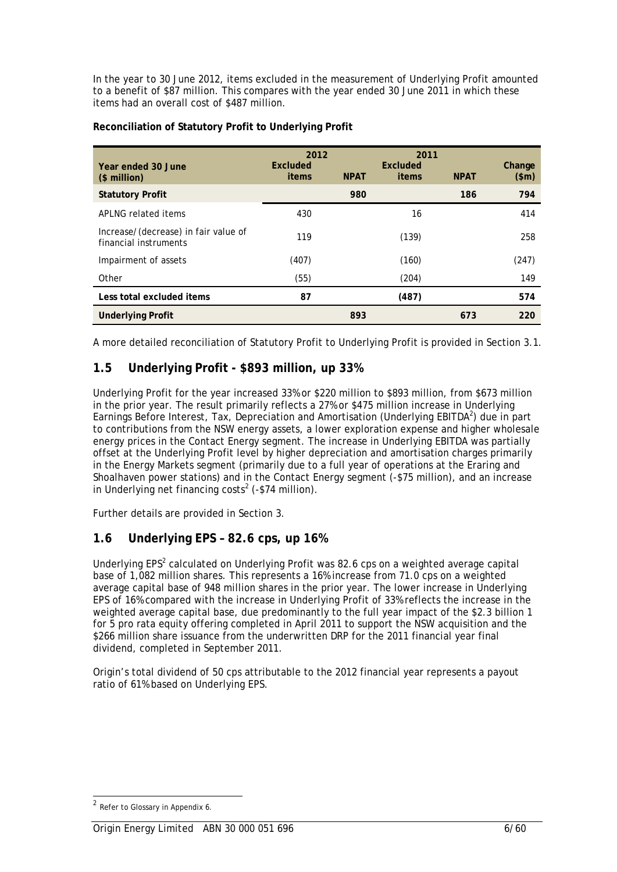In the year to 30 June 2012, items excluded in the measurement of Underlying Profit amounted to a benefit of \$87 million. This compares with the year ended 30 June 2011 in which these items had an overall cost of \$487 million.

| Year ended 30 June<br>(\$ million)                            | 2012<br>Excluded<br>items | <b>NPAT</b> | 2011<br>Excluded<br>items | <b>NPAT</b> | Change<br>\$m\$ |
|---------------------------------------------------------------|---------------------------|-------------|---------------------------|-------------|-----------------|
| <b>Statutory Profit</b>                                       |                           | 980         |                           | 186         | 794             |
| API NG related items                                          | 430                       |             | 16                        |             | 414             |
| Increase/(decrease) in fair value of<br>financial instruments | 119                       |             | (139)                     |             | 258             |
| Impairment of assets                                          | (407)                     |             | (160)                     |             | (247)           |
| Other                                                         | (55)                      |             | (204)                     |             | 149             |
| Less total excluded items                                     | 87                        |             | (487)                     |             | 574             |
| <b>Underlying Profit</b>                                      |                           | 893         |                           | 673         | 220             |

### **Reconciliation of Statutory Profit to Underlying Profit**

A more detailed reconciliation of Statutory Profit to Underlying Profit is provided in Section 3.1.

# **1.5 Underlying Profit - \$893 million, up 33%**

Underlying Profit for the year increased 33% or \$220 million to \$893 million, from \$673 million in the prior year. The result primarily reflects a 27% or \$475 million increase in Underlying Earnings Before Interest, Tax, Depreciation and Amortisation (Underlying EBITDA<sup>2</sup>) due in part to contributions from the NSW energy assets, a lower exploration expense and higher wholesale energy prices in the Contact Energy segment. The increase in Underlying EBITDA was partially offset at the Underlying Profit level by higher depreciation and amortisation charges primarily in the Energy Markets segment (primarily due to a full year of operations at the Eraring and Shoalhaven power stations) and in the Contact Energy segment (-\$75 million), and an increase in Underlying net financing costs<sup>2</sup> (-\$74 million).

Further details are provided in Section 3.

# **1.6 Underlying EPS – 82.6 cps, up 16%**

Underlying  $EPS<sup>2</sup>$  calculated on Underlying Profit was 82.6 cps on a weighted average capital base of 1,082 million shares. This represents a 16% increase from 71.0 cps on a weighted average capital base of 948 million shares in the prior year. The lower increase in Underlying EPS of 16% compared with the increase in Underlying Profit of 33% reflects the increase in the weighted average capital base, due predominantly to the full year impact of the \$2.3 billion 1 for 5 pro rata equity offering completed in April 2011 to support the NSW acquisition and the \$266 million share issuance from the underwritten DRP for the 2011 financial year final dividend, completed in September 2011.

Origin's total dividend of 50 cps attributable to the 2012 financial year represents a payout ratio of 61% based on Underlying EPS.

<sup>2</sup> Refer to Glossary in Appendix 6.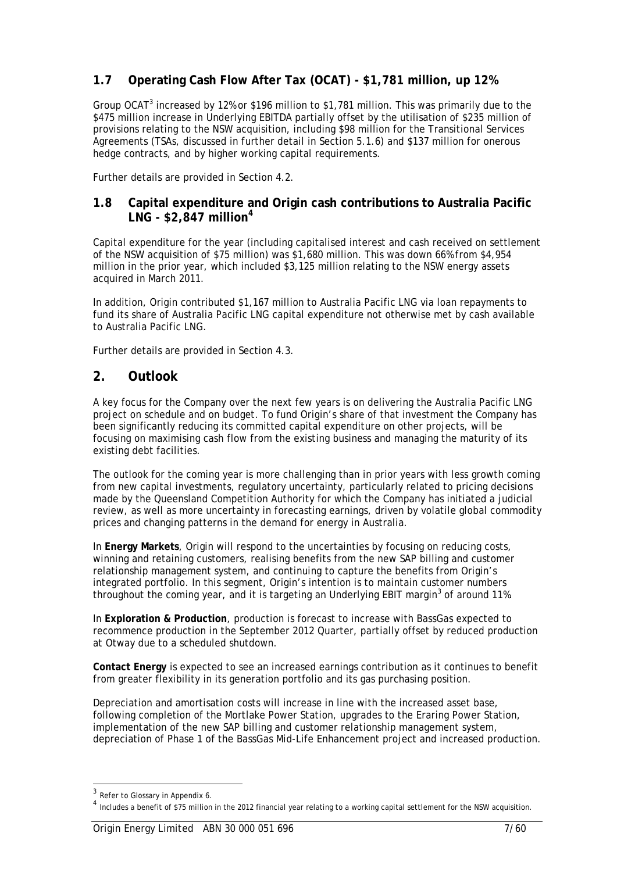# **1.7 Operating Cash Flow After Tax (OCAT) - \$1,781 million, up 12%**

Group OCAT<sup>3</sup> increased by 12% or \$196 million to \$1,781 million. This was primarily due to the \$475 million increase in Underlying EBITDA partially offset by the utilisation of \$235 million of provisions relating to the NSW acquisition, including \$98 million for the Transitional Services Agreements (TSAs, discussed in further detail in Section 5.1.6) and \$137 million for onerous hedge contracts, and by higher working capital requirements.

Further details are provided in Section 4.2.

# **1.8 Capital expenditure and Origin cash contributions to Australia Pacific LNG - \$2,847 million<sup>4</sup>**

Capital expenditure for the year (including capitalised interest and cash received on settlement of the NSW acquisition of \$75 million) was \$1,680 million. This was down 66% from \$4,954 million in the prior year, which included \$3,125 million relating to the NSW energy assets acquired in March 2011.

In addition, Origin contributed \$1,167 million to Australia Pacific LNG via loan repayments to fund its share of Australia Pacific LNG capital expenditure not otherwise met by cash available to Australia Pacific LNG.

Further details are provided in Section 4.3.

# **2. Outlook**

A key focus for the Company over the next few years is on delivering the Australia Pacific LNG project on schedule and on budget. To fund Origin's share of that investment the Company has been significantly reducing its committed capital expenditure on other projects, will be focusing on maximising cash flow from the existing business and managing the maturity of its existing debt facilities.

The outlook for the coming year is more challenging than in prior years with less growth coming from new capital investments, regulatory uncertainty, particularly related to pricing decisions made by the Queensland Competition Authority for which the Company has initiated a judicial review, as well as more uncertainty in forecasting earnings, driven by volatile global commodity prices and changing patterns in the demand for energy in Australia.

In **Energy Markets**, Origin will respond to the uncertainties by focusing on reducing costs, winning and retaining customers, realising benefits from the new SAP billing and customer relationship management system, and continuing to capture the benefits from Origin's integrated portfolio. In this segment, Origin's intention is to maintain customer numbers throughout the coming year, and it is targeting an Underlying EBIT margin<sup>3</sup> of around 11%.

In **Exploration & Production**, production is forecast to increase with BassGas expected to recommence production in the September 2012 Quarter, partially offset by reduced production at Otway due to a scheduled shutdown.

**Contact Energy** is expected to see an increased earnings contribution as it continues to benefit from greater flexibility in its generation portfolio and its gas purchasing position.

Depreciation and amortisation costs will increase in line with the increased asset base, following completion of the Mortlake Power Station, upgrades to the Eraring Power Station, implementation of the new SAP billing and customer relationship management system, depreciation of Phase 1 of the BassGas Mid-Life Enhancement project and increased production.

 $3$  Refer to Glossary in Appendix 6.

 $<sup>4</sup>$  Includes a benefit of \$75 million in the 2012 financial year relating to a working capital settlement for the NSW acquisition.</sup>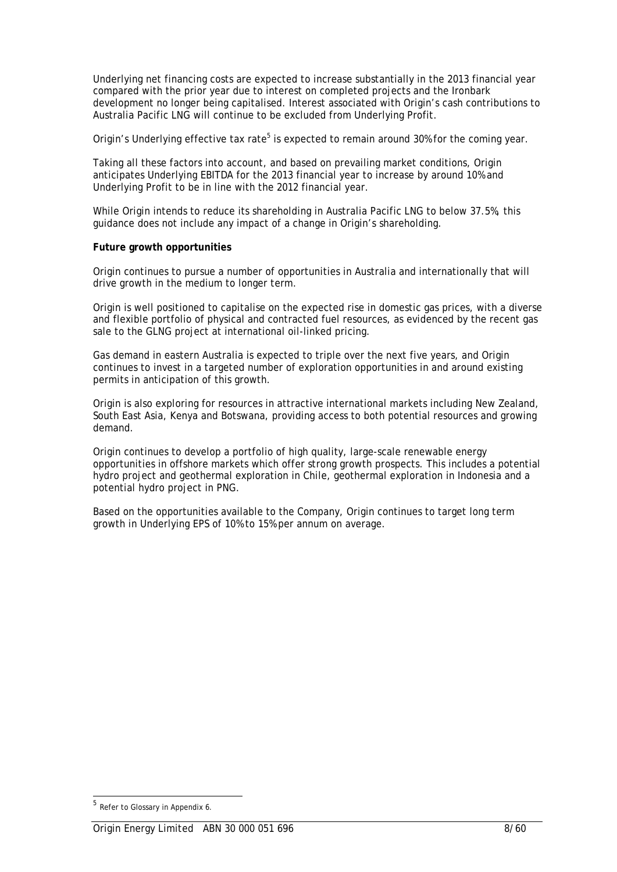Underlying net financing costs are expected to increase substantially in the 2013 financial year compared with the prior year due to interest on completed projects and the Ironbark development no longer being capitalised. Interest associated with Origin's cash contributions to Australia Pacific LNG will continue to be excluded from Underlying Profit.

Origin's Underlying effective tax rate<sup>5</sup> is expected to remain around 30% for the coming year.

Taking all these factors into account, and based on prevailing market conditions, Origin anticipates Underlying EBITDA for the 2013 financial year to increase by around 10% and Underlying Profit to be in line with the 2012 financial year.

While Origin intends to reduce its shareholding in Australia Pacific LNG to below 37.5%, this guidance does not include any impact of a change in Origin's shareholding.

#### **Future growth opportunities**

Origin continues to pursue a number of opportunities in Australia and internationally that will drive growth in the medium to longer term.

Origin is well positioned to capitalise on the expected rise in domestic gas prices, with a diverse and flexible portfolio of physical and contracted fuel resources, as evidenced by the recent gas sale to the GLNG project at international oil-linked pricing.

Gas demand in eastern Australia is expected to triple over the next five years, and Origin continues to invest in a targeted number of exploration opportunities in and around existing permits in anticipation of this growth.

Origin is also exploring for resources in attractive international markets including New Zealand, South East Asia, Kenya and Botswana, providing access to both potential resources and growing demand.

Origin continues to develop a portfolio of high quality, large-scale renewable energy opportunities in offshore markets which offer strong growth prospects. This includes a potential hydro project and geothermal exploration in Chile, geothermal exploration in Indonesia and a potential hydro project in PNG.

Based on the opportunities available to the Company, Origin continues to target long term growth in Underlying EPS of 10% to 15% per annum on average.

 $5$  Refer to Glossary in Appendix 6.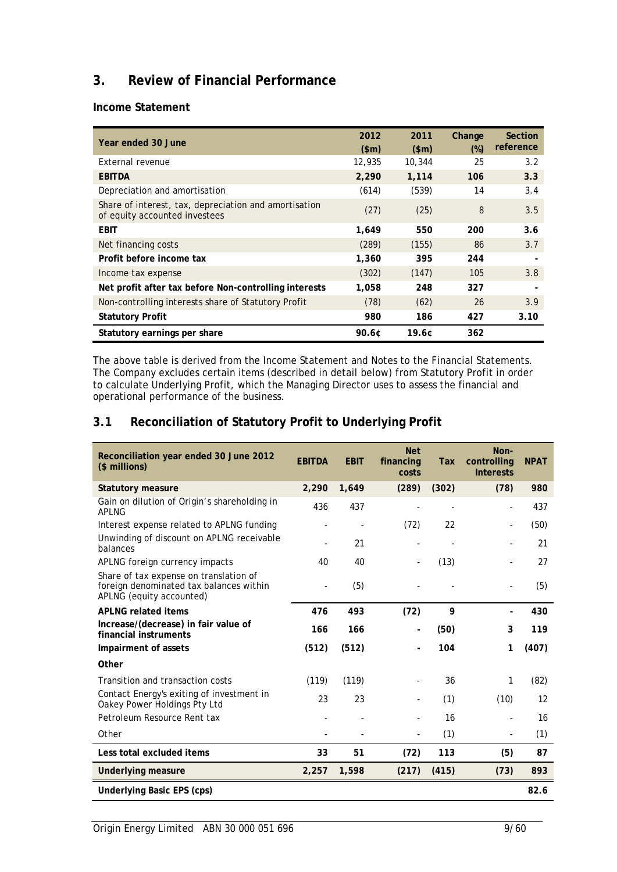# **3. Review of Financial Performance**

**Income Statement** 

| Year ended 30 June                                                                     | 2012<br>\$m\$ | 2011<br>\$m\$ | Change<br>$(\%)$ | <b>Section</b><br>reference |
|----------------------------------------------------------------------------------------|---------------|---------------|------------------|-----------------------------|
| External revenue                                                                       | 12,935        | 10,344        | 25               | 3.2                         |
| <b>EBITDA</b>                                                                          | 2,290         | 1,114         | 106              | 3.3                         |
| Depreciation and amortisation                                                          | (614)         | (539)         | 14               | 3.4                         |
| Share of interest, tax, depreciation and amortisation<br>of equity accounted investees | (27)          | (25)          | 8                | 3.5                         |
| <b>EBIT</b>                                                                            | 1.649         | 550           | 200              | 3.6                         |
| Net financing costs                                                                    | (289)         | (155)         | 86               | 3.7                         |
| Profit before income tax                                                               | 1,360         | 395           | 244              |                             |
| Income tax expense                                                                     | (302)         | (147)         | 105              | 3.8                         |
| Net profit after tax before Non-controlling interests                                  | 1,058         | 248           | 327              |                             |
| Non-controlling interests share of Statutory Profit                                    | (78)          | (62)          | 26               | 3.9                         |
| <b>Statutory Profit</b>                                                                | 980           | 186           | 427              | 3.10                        |
| Statutory earnings per share                                                           | $90.6$ ¢      | 19.6C         | 362              |                             |

The above table is derived from the Income Statement and Notes to the Financial Statements. The Company excludes certain items (described in detail below) from Statutory Profit in order to calculate Underlying Profit, which the Managing Director uses to assess the financial and operational performance of the business.

# **3.1 Reconciliation of Statutory Profit to Underlying Profit**

| Reconciliation year ended 30 June 2012<br>(\$ millions)                                                       | <b>EBITDA</b> | <b>EBIT</b> | <b>Net</b><br>financing<br>costs | <b>Tax</b> | Non-<br>controlling<br><b>Interests</b> | <b>NPAT</b>       |  |
|---------------------------------------------------------------------------------------------------------------|---------------|-------------|----------------------------------|------------|-----------------------------------------|-------------------|--|
| <b>Statutory measure</b>                                                                                      | 2,290         | 1,649       | (289)                            | (302)      | (78)                                    | 980               |  |
| Gain on dilution of Origin's shareholding in<br><b>APLNG</b>                                                  | 436           | 437         |                                  |            |                                         | 437               |  |
| Interest expense related to APLNG funding                                                                     |               |             | (72)                             | 22         | $\overline{\phantom{0}}$                | (50)              |  |
| Unwinding of discount on APLNG receivable<br>balances                                                         |               | 21          |                                  |            |                                         | 21                |  |
| APLNG foreign currency impacts                                                                                | 40            | 40          |                                  | (13)       |                                         | 27                |  |
| Share of tax expense on translation of<br>foreign denominated tax balances within<br>APLNG (equity accounted) |               | (5)         |                                  |            |                                         | (5)               |  |
| <b>APLNG related items</b>                                                                                    | 476           | 493         | (72)                             | 9          |                                         | 430               |  |
| Increase/(decrease) in fair value of<br>financial instruments                                                 | 166           | 166         |                                  | (50)       | 3                                       | 119               |  |
| Impairment of assets                                                                                          | (512)         | (512)       |                                  | 104        | 1                                       | (407)             |  |
| Other                                                                                                         |               |             |                                  |            |                                         |                   |  |
| Transition and transaction costs                                                                              | (119)         | (119)       |                                  | 36         | 1                                       | (82)              |  |
| Contact Energy's exiting of investment in<br>Oakey Power Holdings Pty Ltd                                     | 23            | 23          |                                  | (1)        | (10)                                    | $12 \overline{ }$ |  |
| Petroleum Resource Rent tax                                                                                   |               |             |                                  | 16         |                                         | 16                |  |
| Other                                                                                                         |               |             |                                  | (1)        | $\overline{\phantom{a}}$                | (1)               |  |
| Less total excluded items                                                                                     | 33            | 51          | (72)                             | 113        | (5)                                     | 87                |  |
| <b>Underlying measure</b>                                                                                     | 2,257         | 1,598       | (217)                            | (415)      | (73)                                    | 893               |  |
| 82.6<br>Underlying Basic EPS (cps)                                                                            |               |             |                                  |            |                                         |                   |  |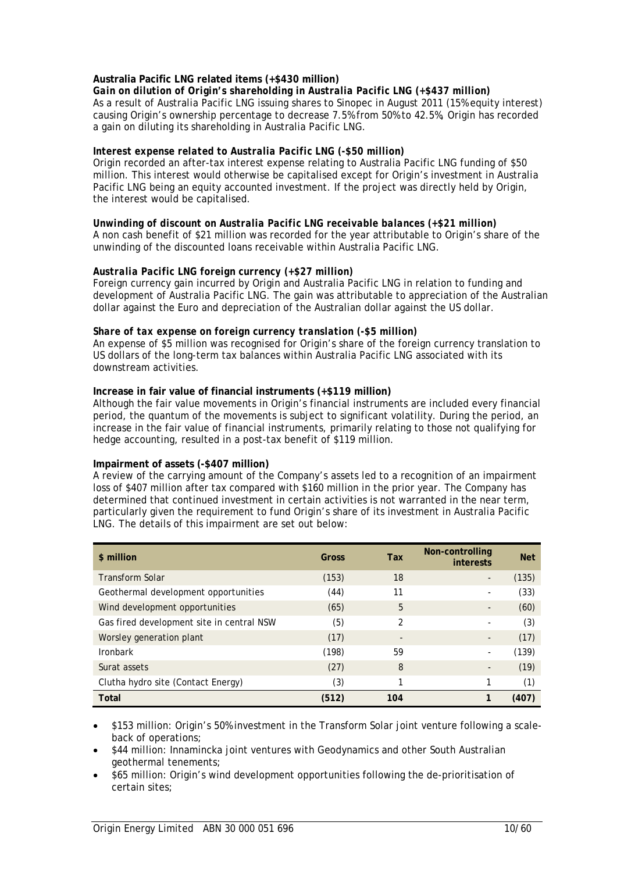### **Australia Pacific LNG related items (+\$430 million)**

*Gain on dilution of Origin's shareholding in Australia Pacific LNG (+\$437 million)*  As a result of Australia Pacific LNG issuing shares to Sinopec in August 2011 (15% equity interest) causing Origin's ownership percentage to decrease 7.5% from 50% to 42.5%, Origin has recorded a gain on diluting its shareholding in Australia Pacific LNG.

### *Interest expense related to Australia Pacific LNG (-\$50 million)*

Origin recorded an after-tax interest expense relating to Australia Pacific LNG funding of \$50 million. This interest would otherwise be capitalised except for Origin's investment in Australia Pacific LNG being an equity accounted investment. If the project was directly held by Origin, the interest would be capitalised.

*Unwinding of discount on Australia Pacific LNG receivable balances (+\$21 million)*  A non cash benefit of \$21 million was recorded for the year attributable to Origin's share of the unwinding of the discounted loans receivable within Australia Pacific LNG.

### *Australia Pacific LNG foreign currency (+\$27 million)*

Foreign currency gain incurred by Origin and Australia Pacific LNG in relation to funding and development of Australia Pacific LNG. The gain was attributable to appreciation of the Australian dollar against the Euro and depreciation of the Australian dollar against the US dollar.

### *Share of tax expense on foreign currency translation (-\$5 million)*

An expense of \$5 million was recognised for Origin's share of the foreign currency translation to US dollars of the long-term tax balances within Australia Pacific LNG associated with its downstream activities.

### **Increase in fair value of financial instruments (+\$119 million)**

Although the fair value movements in Origin's financial instruments are included every financial period, the quantum of the movements is subject to significant volatility. During the period, an increase in the fair value of financial instruments, primarily relating to those not qualifying for hedge accounting, resulted in a post-tax benefit of \$119 million.

### **Impairment of assets (-\$407 million)**

A review of the carrying amount of the Company's assets led to a recognition of an impairment loss of \$407 million after tax compared with \$160 million in the prior year. The Company has determined that continued investment in certain activities is not warranted in the near term, particularly given the requirement to fund Origin's share of its investment in Australia Pacific LNG. The details of this impairment are set out below:

| \$ million                                | Gross | Tax            | Non-controlling<br>interests | <b>Net</b> |
|-------------------------------------------|-------|----------------|------------------------------|------------|
| <b>Transform Solar</b>                    | (153) | 18             |                              | (135)      |
| Geothermal development opportunities      | (44)  | 11             |                              | (33)       |
| Wind development opportunities            | (65)  | 5              |                              | (60)       |
| Gas fired development site in central NSW | (5)   | $\mathfrak{p}$ |                              | (3)        |
| Worsley generation plant                  | (17)  | ۰              |                              | (17)       |
| <b>Ironbark</b>                           | (198) | 59             |                              | (139)      |
| Surat assets                              | (27)  | 8              | $\overline{\phantom{a}}$     | (19)       |
| Clutha hydro site (Contact Energy)        | (3)   |                |                              | (1)        |
| <b>Total</b>                              | (512) | 104            |                              | (407)      |

- \$153 million: Origin's 50% investment in the Transform Solar joint venture following a scaleback of operations;
- \$44 million: Innamincka joint ventures with Geodynamics and other South Australian geothermal tenements;
- \$65 million: Origin's wind development opportunities following the de-prioritisation of certain sites;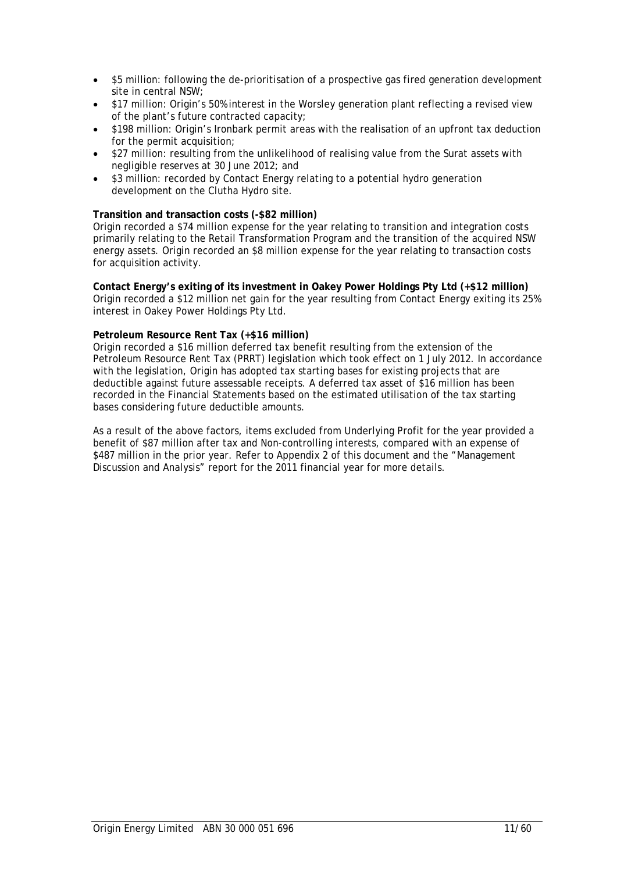- \$5 million: following the de-prioritisation of a prospective gas fired generation development site in central NSW;
- \$17 million: Origin's 50% interest in the Worsley generation plant reflecting a revised view of the plant's future contracted capacity;
- \$198 million: Origin's Ironbark permit areas with the realisation of an upfront tax deduction for the permit acquisition;
- \$27 million: resulting from the unlikelihood of realising value from the Surat assets with negligible reserves at 30 June 2012; and
- \$3 million: recorded by Contact Energy relating to a potential hydro generation development on the Clutha Hydro site.

#### **Transition and transaction costs (-\$82 million)**

Origin recorded a \$74 million expense for the year relating to transition and integration costs primarily relating to the Retail Transformation Program and the transition of the acquired NSW energy assets. Origin recorded an \$8 million expense for the year relating to transaction costs for acquisition activity.

**Contact Energy's exiting of its investment in Oakey Power Holdings Pty Ltd (+\$12 million)**  Origin recorded a \$12 million net gain for the year resulting from Contact Energy exiting its 25% interest in Oakey Power Holdings Pty Ltd.

#### **Petroleum Resource Rent Tax (+\$16 million)**

Origin recorded a \$16 million deferred tax benefit resulting from the extension of the Petroleum Resource Rent Tax (PRRT) legislation which took effect on 1 July 2012. In accordance with the legislation, Origin has adopted tax starting bases for existing projects that are deductible against future assessable receipts. A deferred tax asset of \$16 million has been recorded in the Financial Statements based on the estimated utilisation of the tax starting bases considering future deductible amounts.

As a result of the above factors, items excluded from Underlying Profit for the year provided a benefit of \$87 million after tax and Non-controlling interests, compared with an expense of \$487 million in the prior year. Refer to Appendix 2 of this document and the "Management Discussion and Analysis" report for the 2011 financial year for more details.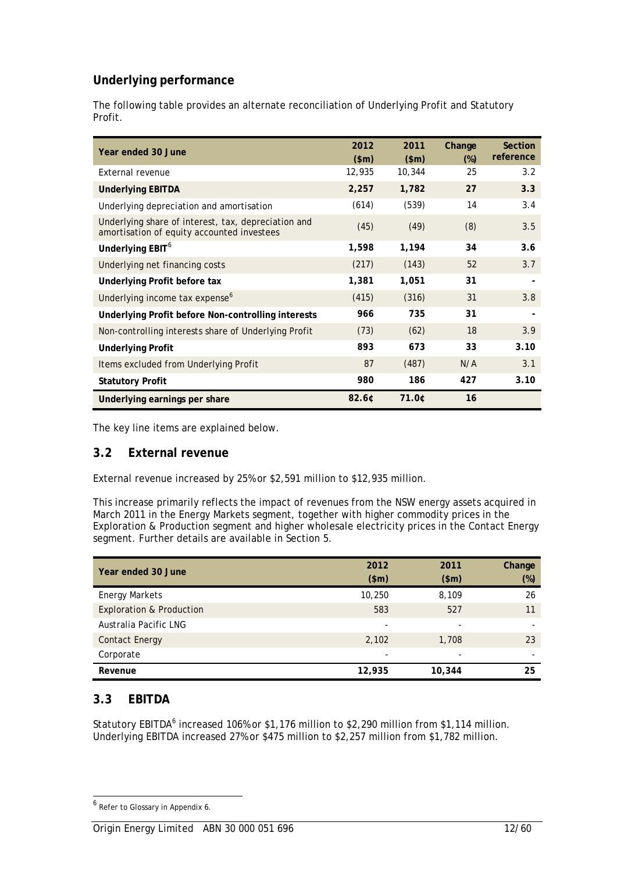# **Underlying performance**

The following table provides an alternate reconciliation of Underlying Profit and Statutory Profit.

| Year ended 30 June                                                                                | 2012<br>\$m\$ | 2011<br>\$m\$ | Change<br>$(\%)$ | <b>Section</b><br>reference |
|---------------------------------------------------------------------------------------------------|---------------|---------------|------------------|-----------------------------|
| External revenue                                                                                  | 12,935        | 10,344        | 25               | 3.2                         |
| <b>Underlying EBITDA</b>                                                                          | 2,257         | 1,782         | 27               | 3.3                         |
| Underlying depreciation and amortisation                                                          | (614)         | (539)         | 14               | 3.4                         |
| Underlying share of interest, tax, depreciation and<br>amortisation of equity accounted investees | (45)          | (49)          | (8)              | 3.5                         |
| Underlying EBIT <sup>6</sup>                                                                      | 1,598         | 1,194         | 34               | 3.6                         |
| Underlying net financing costs                                                                    | (217)         | (143)         | 52               | 3.7                         |
| Underlying Profit before tax                                                                      | 1,381         | 1,051         | 31               |                             |
| Underlying income tax expense <sup>6</sup>                                                        | (415)         | (316)         | 31               | 3.8                         |
| Underlying Profit before Non-controlling interests                                                | 966           | 735           | 31               |                             |
| Non-controlling interests share of Underlying Profit                                              | (73)          | (62)          | 18               | 3.9                         |
| <b>Underlying Profit</b>                                                                          | 893           | 673           | 33               | 3.10                        |
| Items excluded from Underlying Profit                                                             | 87            | (487)         | N/A              | 3.1                         |
| <b>Statutory Profit</b>                                                                           | 980           | 186           | 427              | 3.10                        |
| Underlying earnings per share                                                                     | 82.6¢         | 71.0¢         | 16               |                             |

The key line items are explained below.

# **3.2 External revenue**

External revenue increased by 25% or \$2,591 million to \$12,935 million.

This increase primarily reflects the impact of revenues from the NSW energy assets acquired in March 2011 in the Energy Markets segment, together with higher commodity prices in the Exploration & Production segment and higher wholesale electricity prices in the Contact Energy segment. Further details are available in Section 5.

| Year ended 30 June                  | 2012<br>\$m\$ | 2011<br>\$m\$ | Change<br>$(\%)$ |
|-------------------------------------|---------------|---------------|------------------|
| <b>Energy Markets</b>               | 10,250        | 8,109         | 26               |
| <b>Exploration &amp; Production</b> | 583           | 527           | 11               |
| Australia Pacific LNG               | -             | -             |                  |
| <b>Contact Energy</b>               | 2,102         | 1,708         | 23               |
| Corporate                           | -             |               | -                |
| Revenue                             | 12,935        | 10,344        | 25               |

# **3.3 EBITDA**

l

Statutory EBITDA<sup>6</sup> increased 106% or \$1,176 million to \$2,290 million from \$1,114 million. Underlying EBITDA increased 27% or \$475 million to \$2,257 million from \$1,782 million.

<sup>&</sup>lt;sup>6</sup> Refer to Glossary in Appendix 6.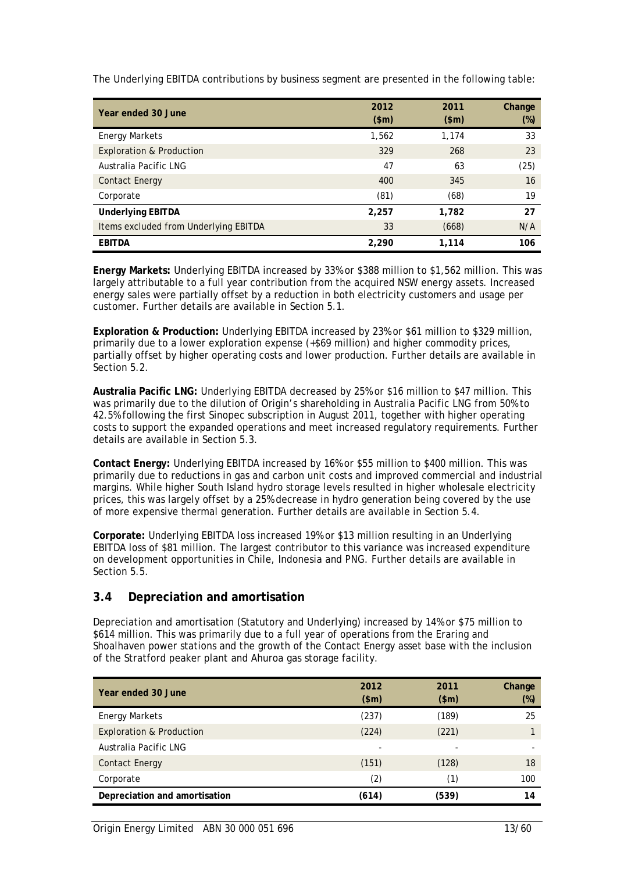The Underlying EBITDA contributions by business segment are presented in the following table:

| Year ended 30 June                    | 2012  | 2011    | Change |
|---------------------------------------|-------|---------|--------|
|                                       | \$m\$ | $(\$m)$ | (%)    |
| <b>Energy Markets</b>                 | 1,562 | 1,174   | 33     |
| <b>Exploration &amp; Production</b>   | 329   | 268     | 23     |
| Australia Pacific LNG                 | 47    | 63      | (25)   |
| <b>Contact Energy</b>                 | 400   | 345     | 16     |
| Corporate                             | (81)  | (68)    | 19     |
| <b>Underlying EBITDA</b>              | 2,257 | 1,782   | 27     |
| Items excluded from Underlying EBITDA | 33    | (668)   | N/A    |
| <b>EBITDA</b>                         | 2,290 | 1,114   | 106    |

**Energy Markets:** Underlying EBITDA increased by 33% or \$388 million to \$1,562 million. This was largely attributable to a full year contribution from the acquired NSW energy assets. Increased energy sales were partially offset by a reduction in both electricity customers and usage per customer. Further details are available in Section 5.1.

**Exploration & Production:** Underlying EBITDA increased by 23% or \$61 million to \$329 million, primarily due to a lower exploration expense (+\$69 million) and higher commodity prices, partially offset by higher operating costs and lower production. Further details are available in Section 5.2.

**Australia Pacific LNG:** Underlying EBITDA decreased by 25% or \$16 million to \$47 million. This was primarily due to the dilution of Origin's shareholding in Australia Pacific LNG from 50% to 42.5% following the first Sinopec subscription in August 2011, together with higher operating costs to support the expanded operations and meet increased regulatory requirements. Further details are available in Section 5.3.

**Contact Energy:** Underlying EBITDA increased by 16% or \$55 million to \$400 million. This was primarily due to reductions in gas and carbon unit costs and improved commercial and industrial margins. While higher South Island hydro storage levels resulted in higher wholesale electricity prices, this was largely offset by a 25% decrease in hydro generation being covered by the use of more expensive thermal generation. Further details are available in Section 5.4.

**Corporate:** Underlying EBITDA loss increased 19% or \$13 million resulting in an Underlying EBITDA loss of \$81 million. The largest contributor to this variance was increased expenditure on development opportunities in Chile, Indonesia and PNG. Further details are available in Section 5.5.

# **3.4 Depreciation and amortisation**

Depreciation and amortisation (Statutory and Underlying) increased by 14% or \$75 million to \$614 million. This was primarily due to a full year of operations from the Eraring and Shoalhaven power stations and the growth of the Contact Energy asset base with the inclusion of the Stratford peaker plant and Ahuroa gas storage facility.

| Year ended 30 June                  | 2012<br>\$m\$ | 2011<br>\$m\$ | Change<br>$(\%)$ |
|-------------------------------------|---------------|---------------|------------------|
| <b>Energy Markets</b>               | (237)         | (189)         | 25               |
| <b>Exploration &amp; Production</b> | (224)         | (221)         |                  |
| Australia Pacific LNG               |               |               |                  |
| <b>Contact Energy</b>               | (151)         | (128)         | 18               |
| Corporate                           | (2)           | (1)           | 100              |
| Depreciation and amortisation       | (614)         | (539)         | 14               |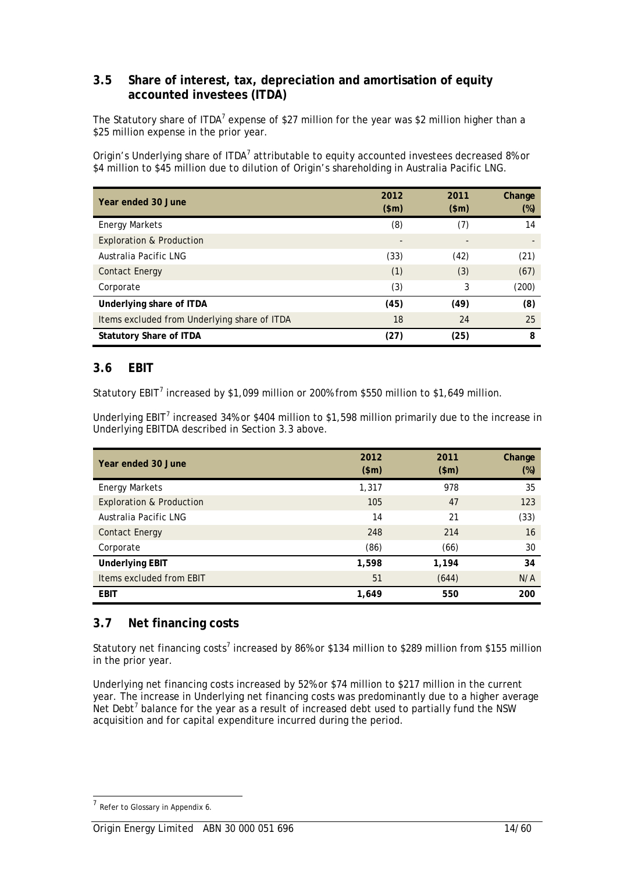# **3.5 Share of interest, tax, depreciation and amortisation of equity accounted investees (ITDA)**

The Statutory share of ITDA<sup>7</sup> expense of \$27 million for the year was \$2 million higher than a \$25 million expense in the prior year.

Origin's Underlying share of ITDA<sup>7</sup> attributable to equity accounted investees decreased 8% or \$4 million to \$45 million due to dilution of Origin's shareholding in Australia Pacific LNG.

| Year ended 30 June                           | 2012<br>\$m\$ | 2011<br>\$m\$ | Change<br>$(\%)$ |
|----------------------------------------------|---------------|---------------|------------------|
| <b>Energy Markets</b>                        | (8)           | (7)           | 14               |
| <b>Exploration &amp; Production</b>          |               |               |                  |
| Australia Pacific LNG                        | (33)          | (42)          | (21)             |
| <b>Contact Energy</b>                        | (1)           | (3)           | (67)             |
| Corporate                                    | (3)           | 3             | (200)            |
| Underlying share of ITDA                     | (45)          | (49)          | (8)              |
| Items excluded from Underlying share of ITDA | 18            | 24            | 25               |
| <b>Statutory Share of ITDA</b>               | (27)          | (25)          | 8                |

# **3.6 EBIT**

Statutory EBIT<sup>7</sup> increased by \$1,099 million or 200% from \$550 million to \$1,649 million.

Underlying EBIT<sup>7</sup> increased 34% or \$404 million to \$1,598 million primarily due to the increase in Underlying EBITDA described in Section 3.3 above.

| Year ended 30 June                  | 2012<br>\$m\$ | 2011<br>\$m\$ | Change<br>$(\%)$ |
|-------------------------------------|---------------|---------------|------------------|
| <b>Energy Markets</b>               | 1,317         | 978           | 35               |
| <b>Exploration &amp; Production</b> | 105           | 47            | 123              |
| Australia Pacific LNG               | 14            | 21            | (33)             |
| <b>Contact Energy</b>               | 248           | 214           | 16               |
| Corporate                           | (86)          | (66)          | 30               |
| <b>Underlying EBIT</b>              | 1,598         | 1,194         | 34               |
| Items excluded from EBIT            | 51            | (644)         | N/A              |
| <b>EBIT</b>                         | 1,649         | 550           | 200              |

# **3.7 Net financing costs**

Statutory net financing costs<sup>7</sup> increased by 86% or \$134 million to \$289 million from \$155 million in the prior year.

Underlying net financing costs increased by 52% or \$74 million to \$217 million in the current year. The increase in Underlying net financing costs was predominantly due to a higher average Net Debt<sup>7</sup> balance for the year as a result of increased debt used to partially fund the NSW acquisition and for capital expenditure incurred during the period.

 $<sup>7</sup>$  Refer to Glossary in Appendix 6.</sup>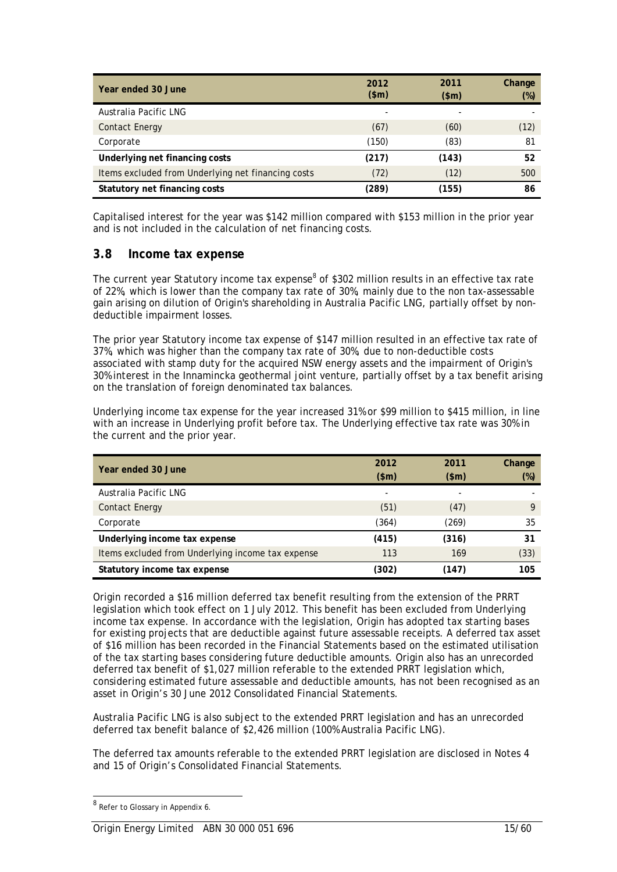| Year ended 30 June                                 | 2012<br>\$m\$ | 2011<br>(\$m) | Change<br>$(\%)$ |
|----------------------------------------------------|---------------|---------------|------------------|
| Australia Pacific LNG                              | -             |               |                  |
| <b>Contact Energy</b>                              | (67)          | (60)          | (12)             |
| Corporate                                          | (150)         | (83)          | 81               |
| Underlying net financing costs                     | (217)         | (143)         | 52               |
| Items excluded from Underlying net financing costs | (72)          | (12)          | 500              |
| Statutory net financing costs                      | (289)         | (155)         | 86               |

Capitalised interest for the year was \$142 million compared with \$153 million in the prior year and is not included in the calculation of net financing costs.

# **3.8 Income tax expense**

The current year Statutory income tax expense<sup>8</sup> of \$302 million results in an effective tax rate of 22%, which is lower than the company tax rate of 30%, mainly due to the non tax-assessable gain arising on dilution of Origin's shareholding in Australia Pacific LNG, partially offset by nondeductible impairment losses.

The prior year Statutory income tax expense of \$147 million resulted in an effective tax rate of 37%, which was higher than the company tax rate of 30%, due to non-deductible costs associated with stamp duty for the acquired NSW energy assets and the impairment of Origin's 30% interest in the Innamincka geothermal joint venture, partially offset by a tax benefit arising on the translation of foreign denominated tax balances.

Underlying income tax expense for the year increased 31% or \$99 million to \$415 million, in line with an increase in Underlying profit before tax. The Underlying effective tax rate was 30% in the current and the prior year.

| Year ended 30 June                                | 2012<br>\$m\$ | 2011<br>\$m\$ | Change<br>(%) |
|---------------------------------------------------|---------------|---------------|---------------|
| Australia Pacific LNG                             | -             | ۰             |               |
| <b>Contact Energy</b>                             | (51)          | (47)          | Q             |
| Corporate                                         | (364)         | (269)         | 35            |
| Underlying income tax expense                     | (415)         | (316)         | 31            |
| Items excluded from Underlying income tax expense | 113           | 169           | (33)          |
| Statutory income tax expense                      | (302)         | (147)         | 105           |

Origin recorded a \$16 million deferred tax benefit resulting from the extension of the PRRT legislation which took effect on 1 July 2012. This benefit has been excluded from Underlying income tax expense. In accordance with the legislation, Origin has adopted tax starting bases for existing projects that are deductible against future assessable receipts. A deferred tax asset of \$16 million has been recorded in the Financial Statements based on the estimated utilisation of the tax starting bases considering future deductible amounts. Origin also has an unrecorded deferred tax benefit of \$1,027 million referable to the extended PRRT legislation which, considering estimated future assessable and deductible amounts, has not been recognised as an asset in Origin's 30 June 2012 Consolidated Financial Statements.

Australia Pacific LNG is also subject to the extended PRRT legislation and has an unrecorded deferred tax benefit balance of \$2,426 million (100% Australia Pacific LNG).

The deferred tax amounts referable to the extended PRRT legislation are disclosed in Notes 4 and 15 of Origin's Consolidated Financial Statements.

<sup>&</sup>lt;sup>8</sup> Refer to Glossary in Appendix 6.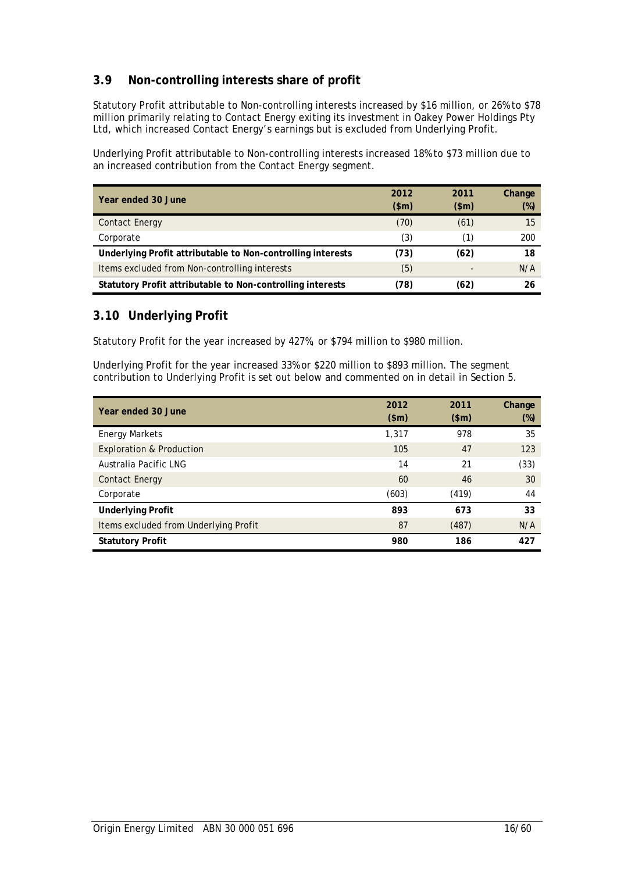# **3.9 Non-controlling interests share of profit**

Statutory Profit attributable to Non-controlling interests increased by \$16 million, or 26% to \$78 million primarily relating to Contact Energy exiting its investment in Oakey Power Holdings Pty Ltd, which increased Contact Energy's earnings but is excluded from Underlying Profit.

Underlying Profit attributable to Non-controlling interests increased 18% to \$73 million due to an increased contribution from the Contact Energy segment.

| Year ended 30 June                                          | 2012  | 2011  | Change |
|-------------------------------------------------------------|-------|-------|--------|
|                                                             | \$m\$ | \$m\$ | $(\%)$ |
| <b>Contact Energy</b>                                       | (70)  | (61)  | 15     |
| Corporate                                                   | (3)   | (1)   | 200    |
| Underlying Profit attributable to Non-controlling interests | (73)  | (62)  | 18     |
| Items excluded from Non-controlling interests               | (5)   |       | N/A    |
| Statutory Profit attributable to Non-controlling interests  | (78)  | (62)  | 26     |

# **3.10 Underlying Profit**

Statutory Profit for the year increased by 427%, or \$794 million to \$980 million.

Underlying Profit for the year increased 33% or \$220 million to \$893 million. The segment contribution to Underlying Profit is set out below and commented on in detail in Section 5.

| Year ended 30 June                    | 2012<br>\$m\$ | 2011<br>\$m\$ | Change<br>$(\%)$ |
|---------------------------------------|---------------|---------------|------------------|
| <b>Energy Markets</b>                 | 1,317         | 978           | 35               |
| <b>Exploration &amp; Production</b>   | 105           | 47            | 123              |
| Australia Pacific LNG                 | 14            | 21            | (33)             |
| <b>Contact Energy</b>                 | 60            | 46            | 30               |
| Corporate                             | (603)         | (419)         | 44               |
| <b>Underlying Profit</b>              | 893           | 673           | 33               |
| Items excluded from Underlying Profit | 87            | (487)         | N/A              |
| <b>Statutory Profit</b>               | 980           | 186           | 427              |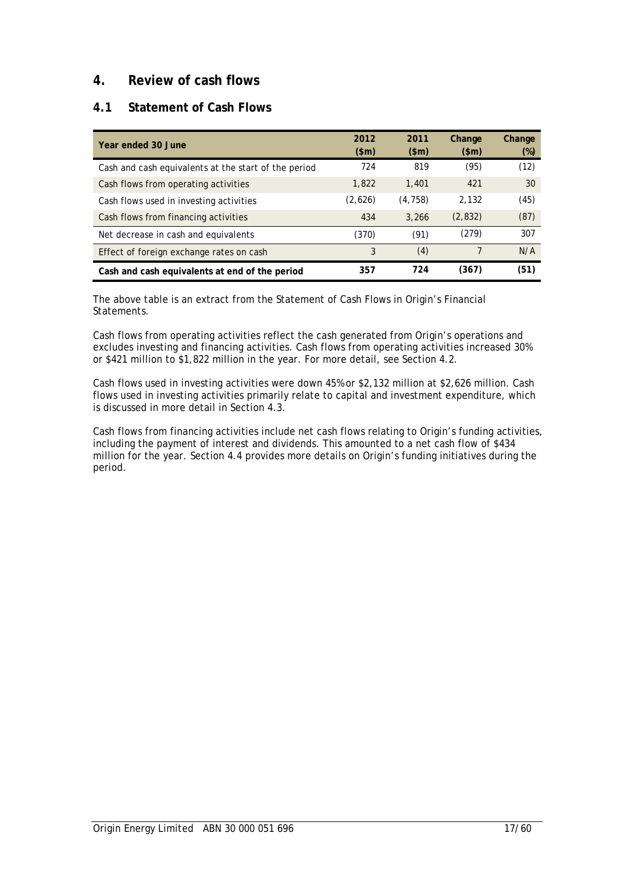# **4. Review of cash flows**

# **4.1 Statement of Cash Flows**

| Year ended 30 June                                   | 2012<br>\$m\$ | 2011<br>\$m\$ | Change<br>\$m\$ | Change<br>$(\%)$ |
|------------------------------------------------------|---------------|---------------|-----------------|------------------|
| Cash and cash equivalents at the start of the period | 724           | 819           | (95)            | (12)             |
| Cash flows from operating activities                 | 1,822         | 1,401         | 421             | 30               |
| Cash flows used in investing activities              | (2,626)       | (4, 758)      | 2.132           | (45)             |
| Cash flows from financing activities                 | 434           | 3.266         | (2,832)         | (87)             |
| Net decrease in cash and equivalents                 | (370)         | (91)          | (279)           | 307              |
| Effect of foreign exchange rates on cash             | 3             | (4)           |                 | N/A              |
| Cash and cash equivalents at end of the period       | 357           | 724           | (367)           | (51)             |

The above table is an extract from the Statement of Cash Flows in Origin's Financial Statements.

Cash flows from operating activities reflect the cash generated from Origin's operations and excludes investing and financing activities. Cash flows from operating activities increased 30% or \$421 million to \$1,822 million in the year. For more detail, see Section 4.2.

Cash flows used in investing activities were down 45% or \$2,132 million at \$2,626 million. Cash flows used in investing activities primarily relate to capital and investment expenditure, which is discussed in more detail in Section 4.3.

Cash flows from financing activities include net cash flows relating to Origin's funding activities, including the payment of interest and dividends. This amounted to a net cash flow of \$434 million for the year. Section 4.4 provides more details on Origin's funding initiatives during the period.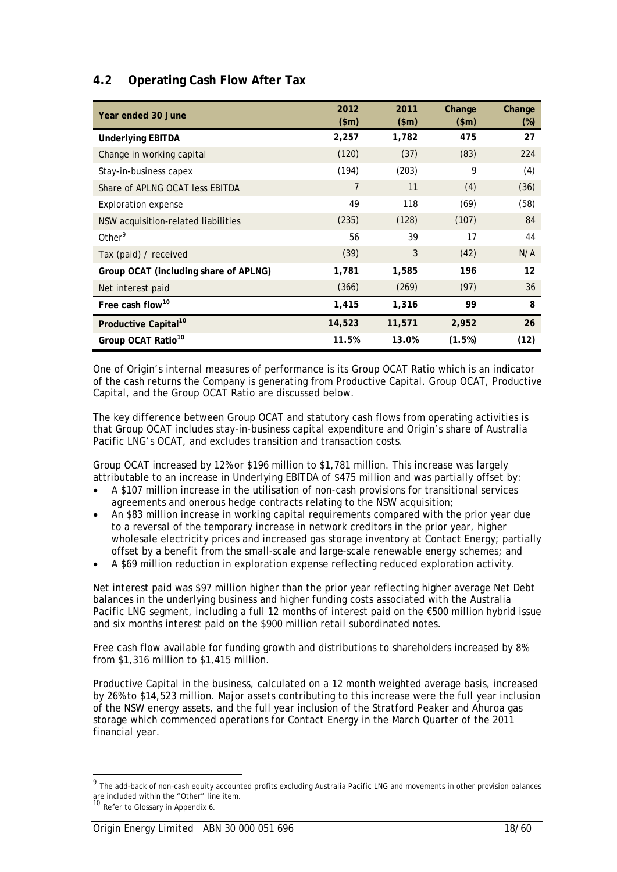# **4.2 Operating Cash Flow After Tax**

| Year ended 30 June                    | 2012<br>\$m\$ | 2011<br>\$m\$ | Change<br>\$m\$ | Change<br>$(\%)$ |
|---------------------------------------|---------------|---------------|-----------------|------------------|
| <b>Underlying EBITDA</b>              | 2,257         | 1,782         | 475             | 27               |
| Change in working capital             | (120)         | (37)          | (83)            | 224              |
| Stay-in-business capex                | (194)         | (203)         | 9               | (4)              |
| Share of APLNG OCAT less EBITDA       | 7             | 11            | (4)             | (36)             |
| <b>Exploration expense</b>            | 49            | 118           | (69)            | (58)             |
| NSW acquisition-related liabilities   | (235)         | (128)         | (107)           | 84               |
| Other <sup>9</sup>                    | 56            | 39            | 17              | 44               |
| Tax (paid) / received                 | (39)          | 3             | (42)            | N/A              |
| Group OCAT (including share of APLNG) | 1,781         | 1,585         | 196             | 12               |
| Net interest paid                     | (366)         | (269)         | (97)            | 36               |
| Free cash flow <sup>10</sup>          | 1,415         | 1,316         | 99              | 8                |
| Productive Capital <sup>10</sup>      | 14,523        | 11,571        | 2,952           | 26               |
| Group OCAT Ratio <sup>10</sup>        | 11.5%         | 13.0%         | (1.5%)          | (12)             |

One of Origin's internal measures of performance is its Group OCAT Ratio which is an indicator of the cash returns the Company is generating from Productive Capital. Group OCAT, Productive Capital, and the Group OCAT Ratio are discussed below.

The key difference between Group OCAT and statutory cash flows from operating activities is that Group OCAT includes stay-in-business capital expenditure and Origin's share of Australia Pacific LNG's OCAT, and excludes transition and transaction costs.

Group OCAT increased by 12% or \$196 million to \$1,781 million. This increase was largely attributable to an increase in Underlying EBITDA of \$475 million and was partially offset by:

- A \$107 million increase in the utilisation of non-cash provisions for transitional services agreements and onerous hedge contracts relating to the NSW acquisition;
- An \$83 million increase in working capital requirements compared with the prior year due to a reversal of the temporary increase in network creditors in the prior year, higher wholesale electricity prices and increased gas storage inventory at Contact Energy; partially offset by a benefit from the small-scale and large-scale renewable energy schemes; and
- A \$69 million reduction in exploration expense reflecting reduced exploration activity.

Net interest paid was \$97 million higher than the prior year reflecting higher average Net Debt balances in the underlying business and higher funding costs associated with the Australia Pacific LNG segment, including a full 12 months of interest paid on the €500 million hybrid issue and six months interest paid on the \$900 million retail subordinated notes.

Free cash flow available for funding growth and distributions to shareholders increased by 8% from \$1,316 million to \$1,415 million.

Productive Capital in the business, calculated on a 12 month weighted average basis, increased by 26% to \$14,523 million. Major assets contributing to this increase were the full year inclusion of the NSW energy assets, and the full year inclusion of the Stratford Peaker and Ahuroa gas storage which commenced operations for Contact Energy in the March Quarter of the 2011 financial year.

 $^9$  The add-back of non-cash equity accounted profits excluding Australia Pacific LNG and movements in other provision balances are included within the "Other" line item. <sup>10</sup> Refer to Glossary in Appendix 6.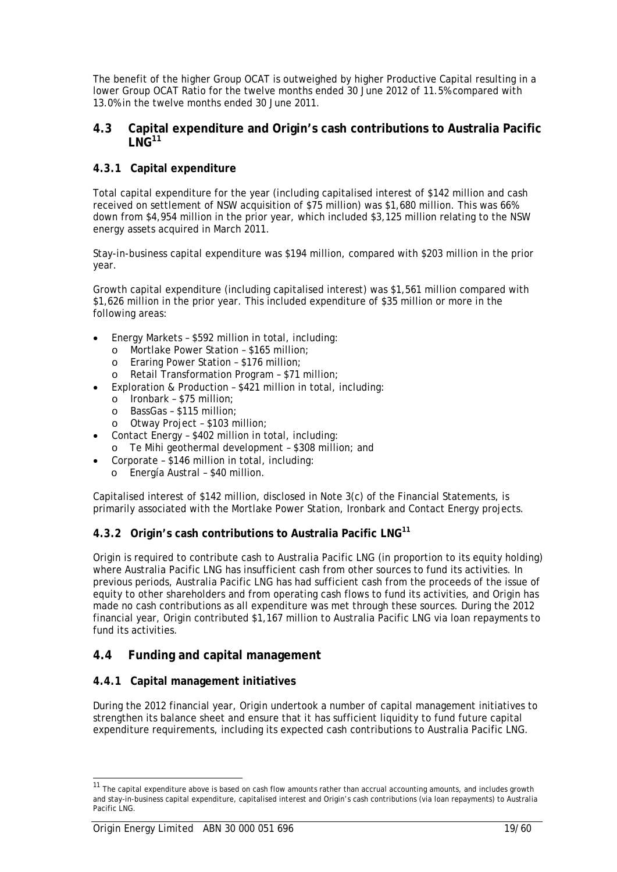The benefit of the higher Group OCAT is outweighed by higher Productive Capital resulting in a lower Group OCAT Ratio for the twelve months ended 30 June 2012 of 11.5% compared with 13.0% in the twelve months ended 30 June 2011.

### **4.3 Capital expenditure and Origin's cash contributions to Australia Pacific**   $L$  NG<sup>11</sup>

# **4.3.1 Capital expenditure**

Total capital expenditure for the year (including capitalised interest of \$142 million and cash received on settlement of NSW acquisition of \$75 million) was \$1,680 million. This was 66% down from \$4,954 million in the prior year, which included \$3,125 million relating to the NSW energy assets acquired in March 2011.

Stay-in-business capital expenditure was \$194 million, compared with \$203 million in the prior year.

Growth capital expenditure (including capitalised interest) was \$1,561 million compared with \$1,626 million in the prior year. This included expenditure of \$35 million or more in the following areas:

- Energy Markets \$592 million in total, including:
	- o Mortlake Power Station \$165 million;
	- o Eraring Power Station \$176 million;
	- o Retail Transformation Program \$71 million;
- Exploration & Production \$421 million in total, including:
	- o Ironbark \$75 million;
	- o BassGas \$115 million;
	- o Otway Project \$103 million;
- Contact Energy \$402 million in total, including:
- o Te Mihi geothermal development \$308 million; and
- Corporate \$146 million in total, including:
	- o Energía Austral \$40 million.

Capitalised interest of \$142 million, disclosed in Note 3(c) of the Financial Statements, is primarily associated with the Mortlake Power Station, Ironbark and Contact Energy projects.

# **4.3.2 Origin's cash contributions to Australia Pacific LNG<sup>11</sup>**

Origin is required to contribute cash to Australia Pacific LNG (in proportion to its equity holding) where Australia Pacific LNG has insufficient cash from other sources to fund its activities. In previous periods, Australia Pacific LNG has had sufficient cash from the proceeds of the issue of equity to other shareholders and from operating cash flows to fund its activities, and Origin has made no cash contributions as all expenditure was met through these sources. During the 2012 financial year, Origin contributed \$1,167 million to Australia Pacific LNG via loan repayments to fund its activities.

# **4.4 Funding and capital management**

# **4.4.1 Capital management initiatives**

During the 2012 financial year, Origin undertook a number of capital management initiatives to strengthen its balance sheet and ensure that it has sufficient liquidity to fund future capital expenditure requirements, including its expected cash contributions to Australia Pacific LNG.

 $\overline{a}$ 

<sup>&</sup>lt;sup>11</sup> The capital expenditure above is based on cash flow amounts rather than accrual accounting amounts, and includes growth and stay-in-business capital expenditure, capitalised interest and Origin's cash contributions (via loan repayments) to Australia Pacific LNG.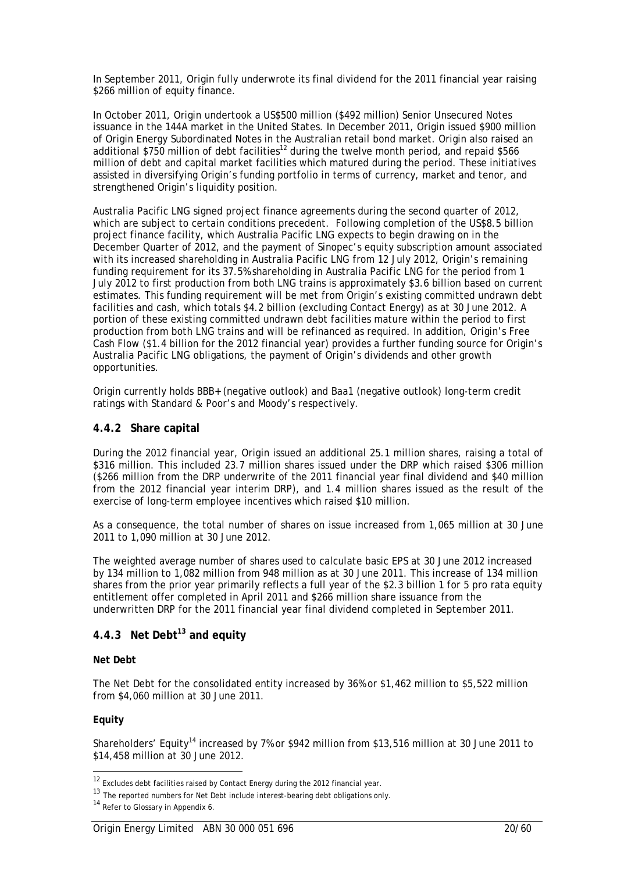In September 2011, Origin fully underwrote its final dividend for the 2011 financial year raising \$266 million of equity finance.

In October 2011, Origin undertook a US\$500 million (\$492 million) Senior Unsecured Notes issuance in the 144A market in the United States. In December 2011, Origin issued \$900 million of Origin Energy Subordinated Notes in the Australian retail bond market. Origin also raised an additional \$750 million of debt facilities<sup>12</sup> during the twelve month period, and repaid \$566 million of debt and capital market facilities which matured during the period. These initiatives assisted in diversifying Origin's funding portfolio in terms of currency, market and tenor, and strengthened Origin's liquidity position.

Australia Pacific LNG signed project finance agreements during the second quarter of 2012, which are subject to certain conditions precedent. Following completion of the US\$8.5 billion project finance facility, which Australia Pacific LNG expects to begin drawing on in the December Quarter of 2012, and the payment of Sinopec's equity subscription amount associated with its increased shareholding in Australia Pacific LNG from 12 July 2012, Origin's remaining funding requirement for its 37.5% shareholding in Australia Pacific LNG for the period from 1 July 2012 to first production from both LNG trains is approximately \$3.6 billion based on current estimates. This funding requirement will be met from Origin's existing committed undrawn debt facilities and cash, which totals \$4.2 billion (excluding Contact Energy) as at 30 June 2012. A portion of these existing committed undrawn debt facilities mature within the period to first production from both LNG trains and will be refinanced as required. In addition, Origin's Free Cash Flow (\$1.4 billion for the 2012 financial year) provides a further funding source for Origin's Australia Pacific LNG obligations, the payment of Origin's dividends and other growth opportunities.

Origin currently holds BBB+ (negative outlook) and Baa1 (negative outlook) long-term credit ratings with Standard & Poor's and Moody's respectively.

### **4.4.2 Share capital**

During the 2012 financial year, Origin issued an additional 25.1 million shares, raising a total of \$316 million. This included 23.7 million shares issued under the DRP which raised \$306 million (\$266 million from the DRP underwrite of the 2011 financial year final dividend and \$40 million from the 2012 financial year interim DRP), and 1.4 million shares issued as the result of the exercise of long-term employee incentives which raised \$10 million.

As a consequence, the total number of shares on issue increased from 1,065 million at 30 June 2011 to 1,090 million at 30 June 2012.

The weighted average number of shares used to calculate basic EPS at 30 June 2012 increased by 134 million to 1,082 million from 948 million as at 30 June 2011. This increase of 134 million shares from the prior year primarily reflects a full year of the \$2.3 billion 1 for 5 pro rata equity entitlement offer completed in April 2011 and \$266 million share issuance from the underwritten DRP for the 2011 financial year final dividend completed in September 2011.

# **4.4.3 Net Debt13 and equity**

### **Net Debt**

The Net Debt for the consolidated entity increased by 36% or \$1,462 million to \$5,522 million from \$4,060 million at 30 June 2011.

### **Equity**

l

Shareholders' Equity<sup>14</sup> increased by 7% or \$942 million from \$13,516 million at 30 June 2011 to \$14,458 million at 30 June 2012.

 $12$  Excludes debt facilities raised by Contact Energy during the 2012 financial year.

<sup>13</sup> The reported numbers for Net Debt include interest-bearing debt obligations only.

<sup>14</sup> Refer to Glossary in Appendix 6.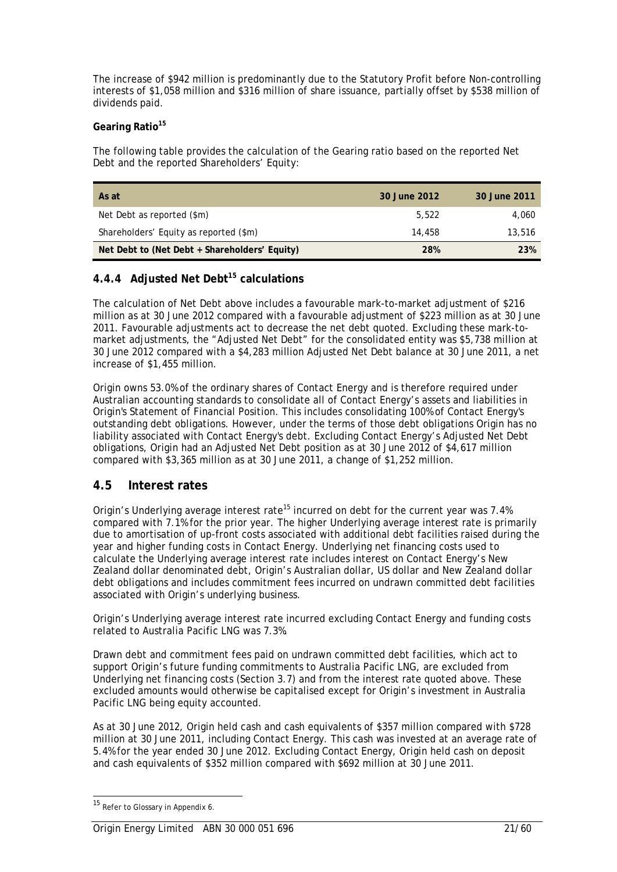The increase of \$942 million is predominantly due to the Statutory Profit before Non-controlling interests of \$1,058 million and \$316 million of share issuance, partially offset by \$538 million of dividends paid.

### Gearing Ratio<sup>15</sup>

The following table provides the calculation of the Gearing ratio based on the reported Net Debt and the reported Shareholders' Equity:

| As at                                         | 30 June 2012 | 30 June 2011 |
|-----------------------------------------------|--------------|--------------|
| Net Debt as reported (\$m)                    | 5.522        | 4.060        |
| Shareholders' Equity as reported (\$m)        | 14.458       | 13,516       |
| Net Debt to (Net Debt + Shareholders' Equity) | 28%          | 23%          |

# **4.4.4 Adjusted Net Debt15 calculations**

The calculation of Net Debt above includes a favourable mark-to-market adjustment of \$216 million as at 30 June 2012 compared with a favourable adjustment of \$223 million as at 30 June 2011. Favourable adjustments act to decrease the net debt quoted. Excluding these mark-tomarket adjustments, the "Adjusted Net Debt" for the consolidated entity was \$5,738 million at 30 June 2012 compared with a \$4,283 million Adjusted Net Debt balance at 30 June 2011, a net increase of \$1,455 million.

Origin owns 53.0% of the ordinary shares of Contact Energy and is therefore required under Australian accounting standards to consolidate all of Contact Energy's assets and liabilities in Origin's Statement of Financial Position. This includes consolidating 100% of Contact Energy's outstanding debt obligations. However, under the terms of those debt obligations Origin has no liability associated with Contact Energy's debt. Excluding Contact Energy's Adjusted Net Debt obligations, Origin had an Adjusted Net Debt position as at 30 June 2012 of \$4,617 million compared with \$3,365 million as at 30 June 2011, a change of \$1,252 million.

# **4.5 Interest rates**

Origin's Underlying average interest rate<sup>15</sup> incurred on debt for the current year was 7.4% compared with 7.1% for the prior year. The higher Underlying average interest rate is primarily due to amortisation of up-front costs associated with additional debt facilities raised during the year and higher funding costs in Contact Energy. Underlying net financing costs used to calculate the Underlying average interest rate includes interest on Contact Energy's New Zealand dollar denominated debt, Origin's Australian dollar, US dollar and New Zealand dollar debt obligations and includes commitment fees incurred on undrawn committed debt facilities associated with Origin's underlying business.

Origin's Underlying average interest rate incurred excluding Contact Energy and funding costs related to Australia Pacific LNG was 7.3%.

Drawn debt and commitment fees paid on undrawn committed debt facilities, which act to support Origin's future funding commitments to Australia Pacific LNG, are excluded from Underlying net financing costs (Section 3.7) and from the interest rate quoted above. These excluded amounts would otherwise be capitalised except for Origin's investment in Australia Pacific LNG being equity accounted.

As at 30 June 2012, Origin held cash and cash equivalents of \$357 million compared with \$728 million at 30 June 2011, including Contact Energy. This cash was invested at an average rate of 5.4% for the year ended 30 June 2012. Excluding Contact Energy, Origin held cash on deposit and cash equivalents of \$352 million compared with \$692 million at 30 June 2011.

<sup>&</sup>lt;sup>15</sup> Refer to Glossary in Appendix 6.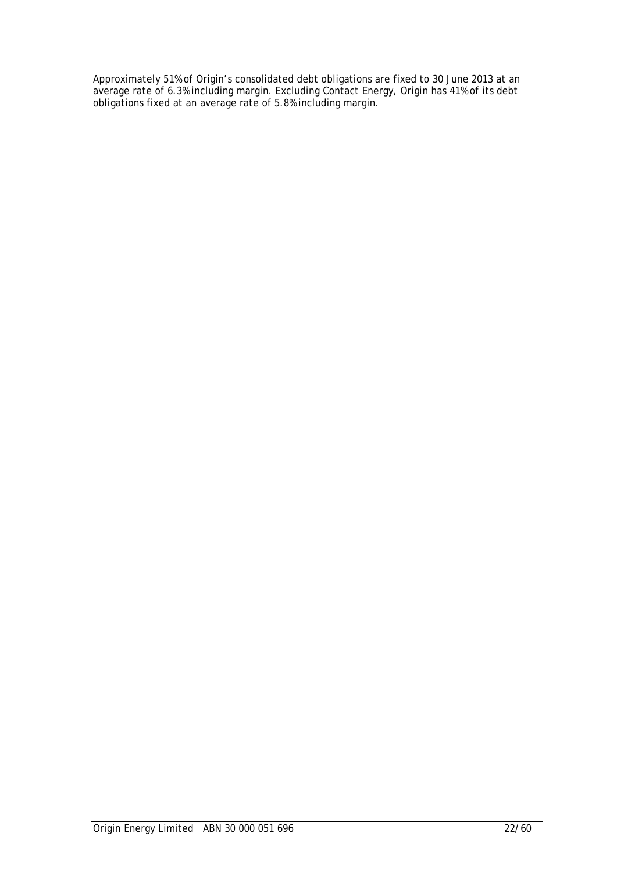Approximately 51% of Origin's consolidated debt obligations are fixed to 30 June 2013 at an average rate of 6.3% including margin. Excluding Contact Energy, Origin has 41% of its debt obligations fixed at an average rate of 5.8% including margin.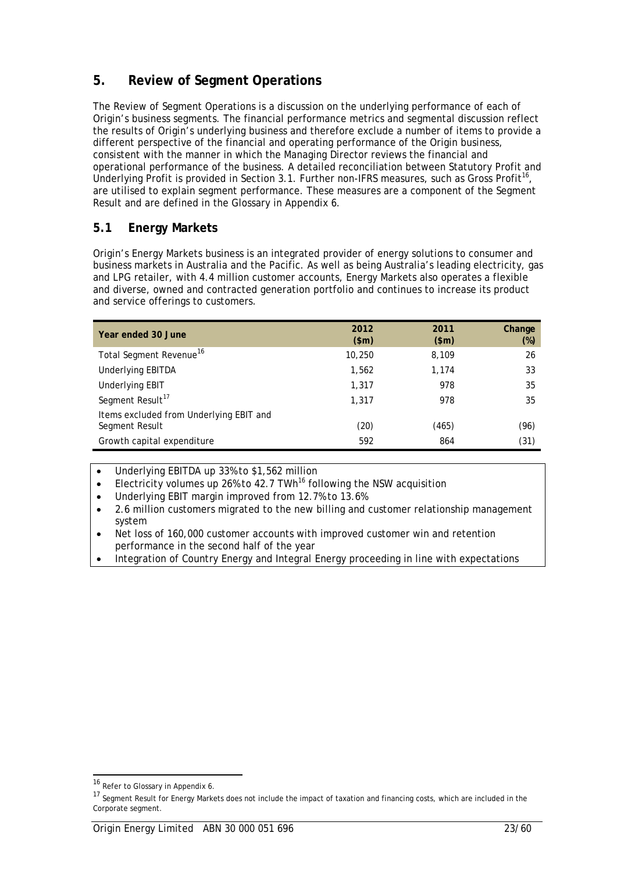# **5. Review of Segment Operations**

The Review of Segment Operations is a discussion on the underlying performance of each of Origin's business segments. The financial performance metrics and segmental discussion reflect the results of Origin's underlying business and therefore exclude a number of items to provide a different perspective of the financial and operating performance of the Origin business, consistent with the manner in which the Managing Director reviews the financial and operational performance of the business. A detailed reconciliation between Statutory Profit and Underlying Profit is provided in Section 3.1. Further non-IFRS measures, such as Gross Profit<sup>16</sup>, are utilised to explain segment performance. These measures are a component of the Segment Result and are defined in the Glossary in Appendix 6.

# **5.1 Energy Markets**

Origin's Energy Markets business is an integrated provider of energy solutions to consumer and business markets in Australia and the Pacific. As well as being Australia's leading electricity, gas and LPG retailer, with 4.4 million customer accounts, Energy Markets also operates a flexible and diverse, owned and contracted generation portfolio and continues to increase its product and service offerings to customers.

| Year ended 30 June                                        | 2012<br>\$m\$ | 2011<br>\$m\$ | Change<br>$(\%)$ |
|-----------------------------------------------------------|---------------|---------------|------------------|
| Total Segment Revenue <sup>16</sup>                       | 10,250        | 8,109         | 26               |
| <b>Underlying EBITDA</b>                                  | 1,562         | 1.174         | 33               |
| <b>Underlying EBIT</b>                                    | 1,317         | 978           | 35               |
| Segment Result <sup>17</sup>                              | 1,317         | 978           | 35               |
| Items excluded from Underlying EBIT and<br>Segment Result | (20)          | (465)         | (96)             |
| Growth capital expenditure                                | 592           | 864           | (31)             |

• Underlying EBITDA up 33% to \$1,562 million

- Electricity volumes up 26% to 42.7 TWh<sup>16</sup> following the NSW acquisition
- Underlying EBIT margin improved from 12.7% to 13.6%
- 2.6 million customers migrated to the new billing and customer relationship management system
- Net loss of 160,000 customer accounts with improved customer win and retention performance in the second half of the year
- Integration of Country Energy and Integral Energy proceeding in line with expectations

<sup>&</sup>lt;sup>16</sup> Refer to Glossary in Appendix 6.

<sup>&</sup>lt;sup>17</sup> Seqment Result for Energy Markets does not include the impact of taxation and financing costs, which are included in the Corporate segment.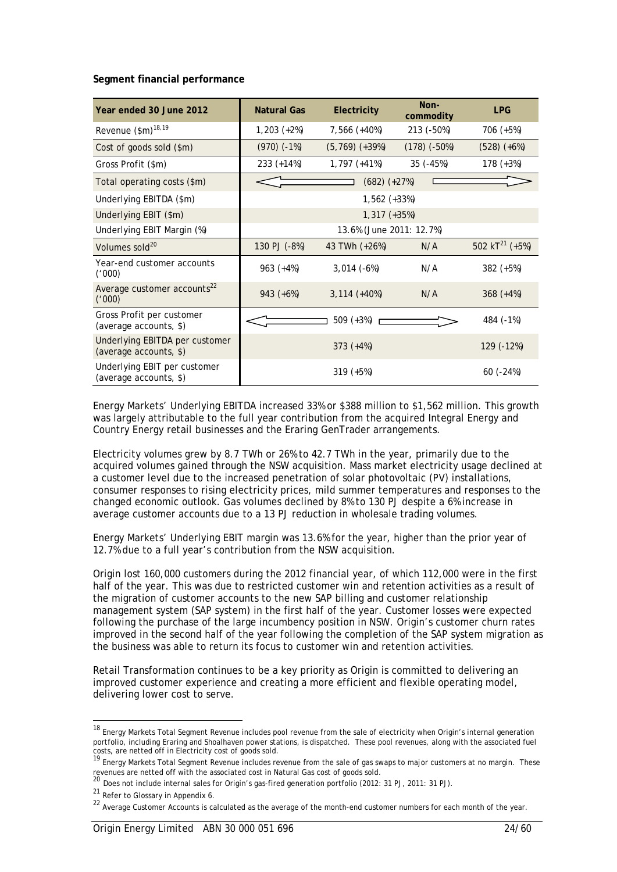**Segment financial performance** 

| Year ended 30 June 2012                                  | <b>Natural Gas</b>       | Electricity               | Non-<br>commodity | <b>LPG</b>                 |  |  |
|----------------------------------------------------------|--------------------------|---------------------------|-------------------|----------------------------|--|--|
| Revenue (\$m) <sup>18,19</sup>                           | $1,203 (+2%)$            | 7,566 (+40%)              | 213 (-50%)        | 706 (+5%)                  |  |  |
| Cost of goods sold (\$m)                                 | $(970)$ $(-1%)$          | $(5, 769) (+39%)$         | $(178)$ $(-50%)$  | $(528) (+6%)$              |  |  |
| Gross Profit (\$m)                                       | $233 (+14%)$             | 1,797 (+41%)              | 35 (-45%)         | $178 (+3%)$                |  |  |
| Total operating costs (\$m)                              |                          | $(682) (+27%)$            |                   |                            |  |  |
| Underlying EBITDA (\$m)                                  |                          |                           |                   |                            |  |  |
| Underlying EBIT (\$m)                                    | $1,317 (+35%)$           |                           |                   |                            |  |  |
| Underlying EBIT Margin (%)                               | 13.6% (June 2011: 12.7%) |                           |                   |                            |  |  |
| Volumes sold <sup>20</sup>                               | 130 PJ (-8%)             | 43 TWh (+26%)             | N/A               | 502 kT <sup>21</sup> (+5%) |  |  |
| Year-end customer accounts<br>('000)                     | $963 (+4%)$              | $3,014(-6%)$              | N/A               | $382 (+5%)$                |  |  |
| Average customer accounts <sup>22</sup><br>('000)        | $943 (+6%)$              | $3,114 (+40%)$            | N/A               | $368 (+4%)$                |  |  |
| Gross Profit per customer<br>(average accounts, \$)      |                          | $509 (+3%)$               |                   | 484 (-1%)                  |  |  |
| Underlying EBITDA per customer<br>(average accounts, \$) |                          | 129 (-12%)<br>$373 (+4%)$ |                   |                            |  |  |
| Underlying EBIT per customer<br>(average accounts, \$)   |                          | $319 (+5%)$               |                   | $60(-24%)$                 |  |  |

Energy Markets' Underlying EBITDA increased 33% or \$388 million to \$1,562 million. This growth was largely attributable to the full year contribution from the acquired Integral Energy and Country Energy retail businesses and the Eraring GenTrader arrangements.

Electricity volumes grew by 8.7 TWh or 26% to 42.7 TWh in the year, primarily due to the acquired volumes gained through the NSW acquisition. Mass market electricity usage declined at a customer level due to the increased penetration of solar photovoltaic (PV) installations, consumer responses to rising electricity prices, mild summer temperatures and responses to the changed economic outlook. Gas volumes declined by 8% to 130 PJ despite a 6% increase in average customer accounts due to a 13 PJ reduction in wholesale trading volumes.

Energy Markets' Underlying EBIT margin was 13.6% for the year, higher than the prior year of 12.7% due to a full year's contribution from the NSW acquisition.

Origin lost 160,000 customers during the 2012 financial year, of which 112,000 were in the first half of the year. This was due to restricted customer win and retention activities as a result of the migration of customer accounts to the new SAP billing and customer relationship management system (SAP system) in the first half of the year. Customer losses were expected following the purchase of the large incumbency position in NSW. Origin's customer churn rates improved in the second half of the year following the completion of the SAP system migration as the business was able to return its focus to customer win and retention activities.

Retail Transformation continues to be a key priority as Origin is committed to delivering an improved customer experience and creating a more efficient and flexible operating model, delivering lower cost to serve.

 $\overline{a}$ 

<sup>&</sup>lt;sup>18</sup> Energy Markets Total Segment Revenue includes pool revenue from the sale of electricity when Origin's internal generation portfolio, including Eraring and Shoalhaven power stations, is dispatched. These pool revenues, along with the associated fuel

costs, are netted off in Electricity cost of goods sold.<br><sup>19</sup> Energy Markets Total Segment Revenue includes revenue from the sale of gas swaps to major customers at no margin. These

revenues are netted off with the associated cost in Natural Gas cost of goods sold.<br><sup>20</sup> Does not include internal sales for Origin's gas-fired generation portfolio (2012: 31 PJ, 2011: 31 PJ).

<sup>21</sup> Refer to Glossary in Appendix 6.

<sup>&</sup>lt;sup>22</sup> Average Customer Accounts is calculated as the average of the month-end customer numbers for each month of the year.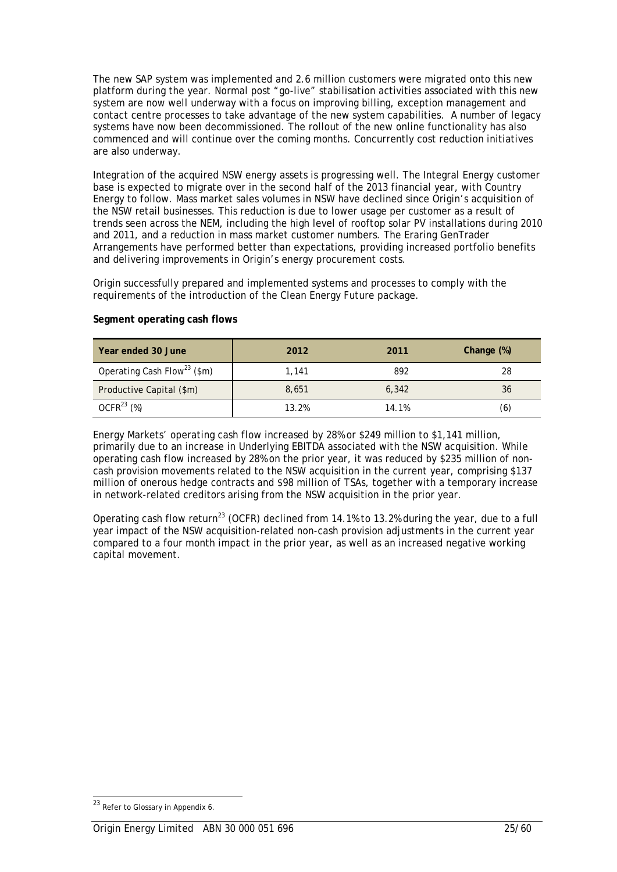The new SAP system was implemented and 2.6 million customers were migrated onto this new platform during the year. Normal post "go-live" stabilisation activities associated with this new system are now well underway with a focus on improving billing, exception management and contact centre processes to take advantage of the new system capabilities. A number of legacy systems have now been decommissioned. The rollout of the new online functionality has also commenced and will continue over the coming months. Concurrently cost reduction initiatives are also underway.

Integration of the acquired NSW energy assets is progressing well. The Integral Energy customer base is expected to migrate over in the second half of the 2013 financial year, with Country Energy to follow. Mass market sales volumes in NSW have declined since Origin's acquisition of the NSW retail businesses. This reduction is due to lower usage per customer as a result of trends seen across the NEM, including the high level of rooftop solar PV installations during 2010 and 2011, and a reduction in mass market customer numbers. The Eraring GenTrader Arrangements have performed better than expectations, providing increased portfolio benefits and delivering improvements in Origin's energy procurement costs.

Origin successfully prepared and implemented systems and processes to comply with the requirements of the introduction of the Clean Energy Future package.

| Year ended 30 June                      | 2012  | Change (%)<br>2011 |     |
|-----------------------------------------|-------|--------------------|-----|
| Operating Cash Flow <sup>23</sup> (\$m) | 1,141 | 892                | 28  |
| Productive Capital (\$m)                | 8,651 | 6,342              | 36  |
| OCFR <sup>23</sup> (%)                  | 13.2% | 14.1%              | (6) |

### **Segment operating cash flows**

Energy Markets' operating cash flow increased by 28% or \$249 million to \$1,141 million, primarily due to an increase in Underlying EBITDA associated with the NSW acquisition. While operating cash flow increased by 28% on the prior year, it was reduced by \$235 million of noncash provision movements related to the NSW acquisition in the current year, comprising \$137 million of onerous hedge contracts and \$98 million of TSAs, together with a temporary increase in network-related creditors arising from the NSW acquisition in the prior year.

Operating cash flow return<sup>23</sup> (OCFR) declined from 14.1% to 13.2% during the year, due to a full year impact of the NSW acquisition-related non-cash provision adjustments in the current year compared to a four month impact in the prior year, as well as an increased negative working capital movement.

<sup>23</sup> Refer to Glossary in Appendix 6.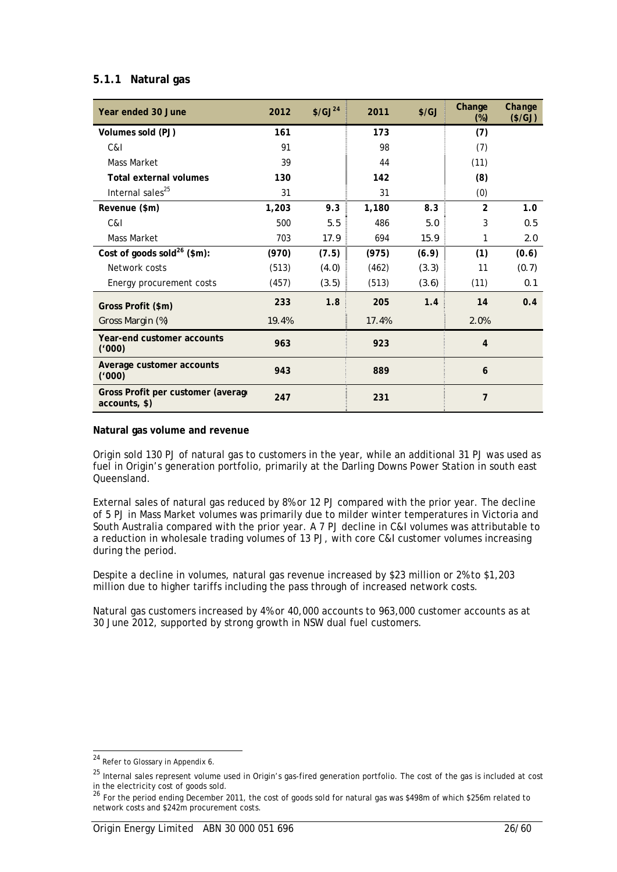# **5.1.1 Natural gas**

| Year ended 30 June                                  | 2012  | \$/GJ <sup>24</sup> | 2011  | $\frac{f}{G}$ | Change<br>$(\%)$ | Change<br>$(*/GJ)$ |
|-----------------------------------------------------|-------|---------------------|-------|---------------|------------------|--------------------|
| Volumes sold (PJ)                                   | 161   |                     | 173   |               | (7)              |                    |
| C&I                                                 | 91    |                     | 98    |               | (7)              |                    |
| <b>Mass Market</b>                                  | 39    |                     | 44    |               | (11)             |                    |
| <b>Total external volumes</b>                       | 130   |                     | 142   |               | (8)              |                    |
| Internal sales <sup>25</sup>                        | 31    |                     | 31    |               | (0)              |                    |
| Revenue (\$m)                                       | 1,203 | 9.3                 | 1,180 | 8.3           | $\overline{2}$   | 1.0                |
| C&I                                                 | 500   | 5.5                 | 486   | 5.0           | 3                | 0.5                |
| <b>Mass Market</b>                                  | 703   | 17.9                | 694   | 15.9          | 1                | 2.0                |
| Cost of goods sold <sup>26</sup> (\$m):             | (970) | (7.5)               | (975) | (6.9)         | (1)              | (0.6)              |
| Network costs                                       | (513) | (4.0)               | (462) | (3.3)         | 11               | (0.7)              |
| Energy procurement costs                            | (457) | (3.5)               | (513) | (3.6)         | (11)             | 0.1                |
| Gross Profit (\$m)                                  | 233   | 1.8                 | 205   | 1.4           | 14               | 0.4                |
| Gross Margin (%)                                    | 19.4% |                     | 17.4% |               | 2.0%             |                    |
| Year-end customer accounts<br>(1000)                | 963   |                     | 923   |               | $\overline{4}$   |                    |
| Average customer accounts<br>('000)                 | 943   |                     | 889   |               | 6                |                    |
| Gross Profit per customer (average<br>accounts, \$) | 247   |                     | 231   |               | 7                |                    |

### **Natural gas volume and revenue**

Origin sold 130 PJ of natural gas to customers in the year, while an additional 31 PJ was used as fuel in Origin's generation portfolio, primarily at the Darling Downs Power Station in south east Queensland.

External sales of natural gas reduced by 8% or 12 PJ compared with the prior year. The decline of 5 PJ in Mass Market volumes was primarily due to milder winter temperatures in Victoria and South Australia compared with the prior year. A 7 PJ decline in C&I volumes was attributable to a reduction in wholesale trading volumes of 13 PJ, with core C&I customer volumes increasing during the period.

Despite a decline in volumes, natural gas revenue increased by \$23 million or 2% to \$1,203 million due to higher tariffs including the pass through of increased network costs.

Natural gas customers increased by 4% or 40,000 accounts to 963,000 customer accounts as at 30 June 2012, supported by strong growth in NSW dual fuel customers.

<sup>&</sup>lt;sup>24</sup> Refer to Glossary in Appendix 6.

<sup>&</sup>lt;sup>25</sup> Internal sales represent volume used in Origin's gas-fired generation portfolio. The cost of the gas is included at cost

in the electricity cost of goods sold.<br><sup>26</sup> For the period ending December 2011, the cost of goods sold for natural gas was \$498m of which \$256m related to network costs and \$242m procurement costs.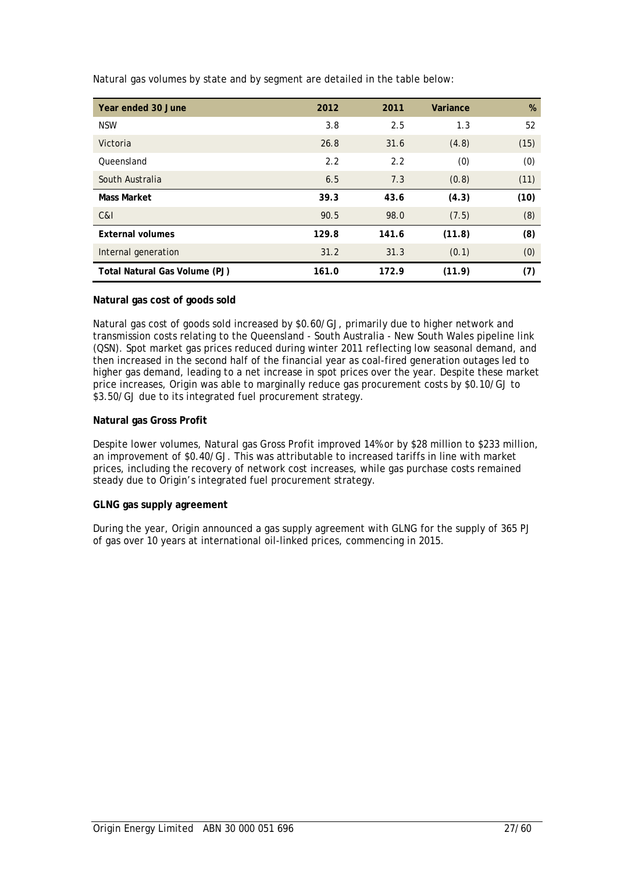| Year ended 30 June            | 2012  | 2011  | Variance | $\%$ |
|-------------------------------|-------|-------|----------|------|
| <b>NSW</b>                    | 3.8   | 2.5   | 1.3      | 52   |
| Victoria                      | 26.8  | 31.6  | (4.8)    | (15) |
| Queensland                    | 2.2   | 2.2   | (0)      | (0)  |
| South Australia               | 6.5   | 7.3   | (0.8)    | (11) |
| <b>Mass Market</b>            | 39.3  | 43.6  | (4.3)    | (10) |
| C&I                           | 90.5  | 98.0  | (7.5)    | (8)  |
| <b>External volumes</b>       | 129.8 | 141.6 | (11.8)   | (8)  |
| Internal generation           | 31.2  | 31.3  | (0.1)    | (0)  |
| Total Natural Gas Volume (PJ) | 161.0 | 172.9 | (11.9)   | (7)  |

Natural gas volumes by state and by segment are detailed in the table below:

### **Natural gas cost of goods sold**

Natural gas cost of goods sold increased by \$0.60/GJ, primarily due to higher network and transmission costs relating to the Queensland - South Australia - New South Wales pipeline link (QSN). Spot market gas prices reduced during winter 2011 reflecting low seasonal demand, and then increased in the second half of the financial year as coal-fired generation outages led to higher gas demand, leading to a net increase in spot prices over the year. Despite these market price increases, Origin was able to marginally reduce gas procurement costs by \$0.10/GJ to \$3.50/GJ due to its integrated fuel procurement strategy.

### **Natural gas Gross Profit**

Despite lower volumes, Natural gas Gross Profit improved 14% or by \$28 million to \$233 million, an improvement of \$0.40/GJ. This was attributable to increased tariffs in line with market prices, including the recovery of network cost increases, while gas purchase costs remained steady due to Origin's integrated fuel procurement strategy.

### **GLNG gas supply agreement**

During the year, Origin announced a gas supply agreement with GLNG for the supply of 365 PJ of gas over 10 years at international oil-linked prices, commencing in 2015.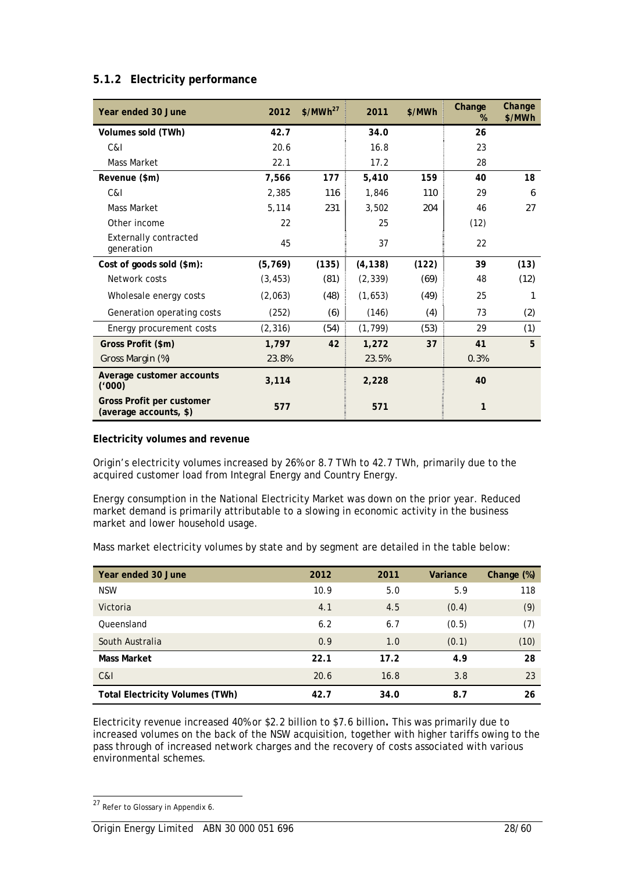| Year ended 30 June                                         | 2012     | \$/MWh <sup>27</sup> | 2011     | \$/MWh | Change<br>% | Change<br>\$/MWh |
|------------------------------------------------------------|----------|----------------------|----------|--------|-------------|------------------|
| Volumes sold (TWh)                                         | 42.7     |                      | 34.0     |        | 26          |                  |
| C&I                                                        | 20.6     |                      | 16.8     |        | 23          |                  |
| Mass Market                                                | 22.1     |                      | 17.2     |        | 28          |                  |
| Revenue (\$m)                                              | 7,566    | 177                  | 5,410    | 159    | 40          | 18               |
| C&I                                                        | 2,385    | 116                  | 1,846    | 110    | 29          | 6                |
| Mass Market                                                | 5,114    | 231                  | 3,502    | 204    | 46          | 27               |
| Other income                                               | 22       |                      | 25       |        | (12)        |                  |
| <b>Externally contracted</b><br>generation                 | 45       |                      | 37       |        | 22          |                  |
| Cost of goods sold (\$m):                                  | (5, 769) | (135)                | (4, 138) | (122)  | 39          | (13)             |
| Network costs                                              | (3, 453) | (81)                 | (2, 339) | (69)   | 48          | (12)             |
| Wholesale energy costs                                     | (2,063)  | (48)                 | (1,653)  | (49)   | 25          | 1                |
| Generation operating costs                                 | (252)    | (6)                  | (146)    | (4)    | 73          | (2)              |
| Energy procurement costs                                   | (2, 316) | (54)                 | (1, 799) | (53)   | 29          | (1)              |
| Gross Profit (\$m)                                         | 1,797    | 42                   | 1,272    | 37     | 41          | 5                |
| Gross Margin (%)                                           | 23.8%    |                      | 23.5%    |        | 0.3%        |                  |
| Average customer accounts<br>('000)                        | 3,114    |                      | 2,228    |        | 40          |                  |
| <b>Gross Profit per customer</b><br>(average accounts, \$) | 577      |                      | 571      |        | 1           |                  |

# **5.1.2 Electricity performance**

### **Electricity volumes and revenue**

Origin's electricity volumes increased by 26% or 8.7 TWh to 42.7 TWh, primarily due to the acquired customer load from Integral Energy and Country Energy.

Energy consumption in the National Electricity Market was down on the prior year. Reduced market demand is primarily attributable to a slowing in economic activity in the business market and lower household usage.

Mass market electricity volumes by state and by segment are detailed in the table below:

| Year ended 30 June                     | 2012 | 2011 | Variance | Change (%) |
|----------------------------------------|------|------|----------|------------|
| <b>NSW</b>                             | 10.9 | 5.0  | 5.9      | 118        |
| Victoria                               | 4.1  | 4.5  | (0.4)    | (9)        |
| Queensland                             | 6.2  | 6.7  | (0.5)    | (7)        |
| South Australia                        | 0.9  | 1.0  | (0.1)    | (10)       |
| <b>Mass Market</b>                     | 22.1 | 17.2 | 4.9      | 28         |
| C&I                                    | 20.6 | 16.8 | 3.8      | 23         |
| <b>Total Electricity Volumes (TWh)</b> | 42.7 | 34.0 | 8.7      | 26         |

Electricity revenue increased 40% or \$2.2 billion to \$7.6 billion**.** This was primarily due to increased volumes on the back of the NSW acquisition, together with higher tariffs owing to the pass through of increased network charges and the recovery of costs associated with various environmental schemes.

 $27$  Refer to Glossary in Appendix 6.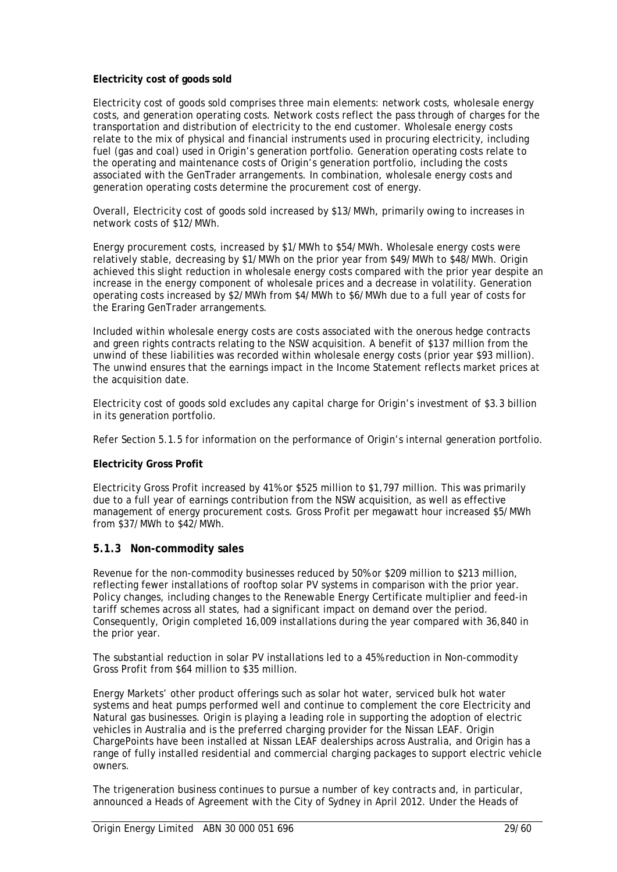### **Electricity cost of goods sold**

Electricity cost of goods sold comprises three main elements: network costs, wholesale energy costs, and generation operating costs. Network costs reflect the pass through of charges for the transportation and distribution of electricity to the end customer. Wholesale energy costs relate to the mix of physical and financial instruments used in procuring electricity, including fuel (gas and coal) used in Origin's generation portfolio. Generation operating costs relate to the operating and maintenance costs of Origin's generation portfolio, including the costs associated with the GenTrader arrangements. In combination, wholesale energy costs and generation operating costs determine the procurement cost of energy.

Overall, Electricity cost of goods sold increased by \$13/MWh, primarily owing to increases in network costs of \$12/MWh.

Energy procurement costs, increased by \$1/MWh to \$54/MWh*.* Wholesale energy costs were relatively stable, decreasing by \$1/MWh on the prior year from \$49/MWh to \$48/MWh. Origin achieved this slight reduction in wholesale energy costs compared with the prior year despite an increase in the energy component of wholesale prices and a decrease in volatility. Generation operating costs increased by \$2/MWh from \$4/MWh to \$6/MWh due to a full year of costs for the Eraring GenTrader arrangements.

Included within wholesale energy costs are costs associated with the onerous hedge contracts and green rights contracts relating to the NSW acquisition. A benefit of \$137 million from the unwind of these liabilities was recorded within wholesale energy costs (prior year \$93 million). The unwind ensures that the earnings impact in the Income Statement reflects market prices at the acquisition date.

Electricity cost of goods sold excludes any capital charge for Origin's investment of \$3.3 billion in its generation portfolio.

Refer Section 5.1.5 for information on the performance of Origin's internal generation portfolio.

### **Electricity Gross Profit**

Electricity Gross Profit increased by 41% or \$525 million to \$1,797 million. This was primarily due to a full year of earnings contribution from the NSW acquisition, as well as effective management of energy procurement costs. Gross Profit per megawatt hour increased \$5/MWh from \$37/MWh to \$42/MWh.

# **5.1.3 Non-commodity sales**

Revenue for the non-commodity businesses reduced by 50% or \$209 million to \$213 million, reflecting fewer installations of rooftop solar PV systems in comparison with the prior year. Policy changes, including changes to the Renewable Energy Certificate multiplier and feed-in tariff schemes across all states, had a significant impact on demand over the period. Consequently, Origin completed 16,009 installations during the year compared with 36,840 in the prior year.

The substantial reduction in solar PV installations led to a 45% reduction in Non-commodity Gross Profit from \$64 million to \$35 million.

Energy Markets' other product offerings such as solar hot water, serviced bulk hot water systems and heat pumps performed well and continue to complement the core Electricity and Natural gas businesses. Origin is playing a leading role in supporting the adoption of electric vehicles in Australia and is the preferred charging provider for the Nissan LEAF. Origin ChargePoints have been installed at Nissan LEAF dealerships across Australia, and Origin has a range of fully installed residential and commercial charging packages to support electric vehicle owners.

The trigeneration business continues to pursue a number of key contracts and, in particular, announced a Heads of Agreement with the City of Sydney in April 2012. Under the Heads of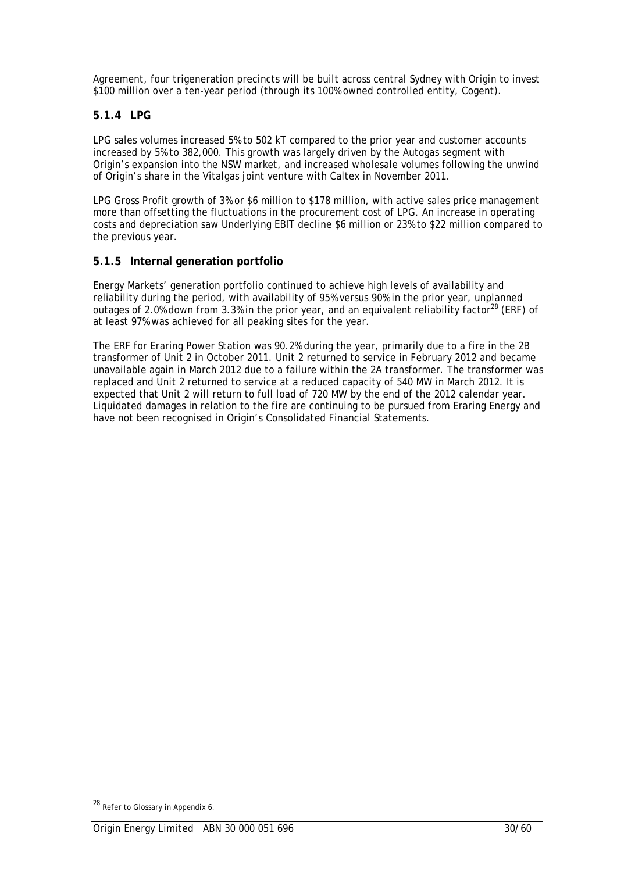Agreement, four trigeneration precincts will be built across central Sydney with Origin to invest \$100 million over a ten-year period (through its 100% owned controlled entity, Cogent).

# **5.1.4 LPG**

LPG sales volumes increased 5% to 502 kT compared to the prior year and customer accounts increased by 5% to 382,000. This growth was largely driven by the Autogas segment with Origin's expansion into the NSW market, and increased wholesale volumes following the unwind of Origin's share in the Vitalgas joint venture with Caltex in November 2011.

LPG Gross Profit growth of 3% or \$6 million to \$178 million, with active sales price management more than offsetting the fluctuations in the procurement cost of LPG. An increase in operating costs and depreciation saw Underlying EBIT decline \$6 million or 23% to \$22 million compared to the previous year.

# **5.1.5 Internal generation portfolio**

Energy Markets' generation portfolio continued to achieve high levels of availability and reliability during the period, with availability of 95% versus 90% in the prior year, unplanned outages of 2.0% down from 3.3% in the prior year, and an equivalent reliability factor<sup>28</sup> (ERF) of at least 97% was achieved for all peaking sites for the year.

The ERF for Eraring Power Station was 90.2% during the year, primarily due to a fire in the 2B transformer of Unit 2 in October 2011. Unit 2 returned to service in February 2012 and became unavailable again in March 2012 due to a failure within the 2A transformer. The transformer was replaced and Unit 2 returned to service at a reduced capacity of 540 MW in March 2012. It is expected that Unit 2 will return to full load of 720 MW by the end of the 2012 calendar year. Liquidated damages in relation to the fire are continuing to be pursued from Eraring Energy and have not been recognised in Origin's Consolidated Financial Statements.

<sup>&</sup>lt;sup>28</sup> Refer to Glossary in Appendix 6.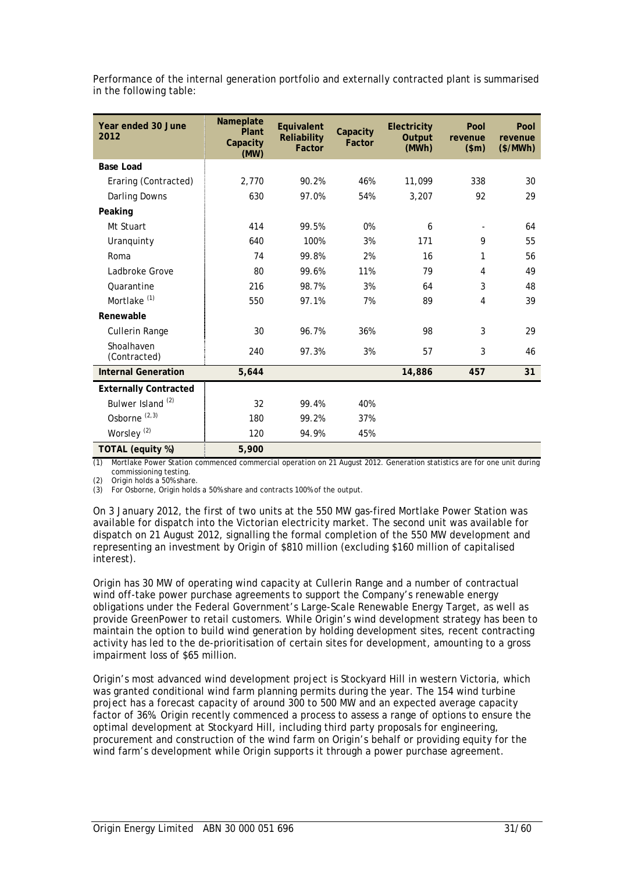| Year ended 30 June<br>2012   | Nameplate<br>Plant<br>Capacity<br>(MW) | Equivalent<br>Reliability<br>Factor | Capacity<br>Factor | <b>Electricity</b><br>Output<br>(MWh) | Pool<br>revenue<br>\$m\$ | Pool<br>revenue<br>(\$/MWh) |
|------------------------------|----------------------------------------|-------------------------------------|--------------------|---------------------------------------|--------------------------|-----------------------------|
| <b>Base Load</b>             |                                        |                                     |                    |                                       |                          |                             |
| Eraring (Contracted)         | 2,770                                  | 90.2%                               | 46%                | 11,099                                | 338                      | 30                          |
| Darling Downs                | 630                                    | 97.0%                               | 54%                | 3,207                                 | 92                       | 29                          |
| Peaking                      |                                        |                                     |                    |                                       |                          |                             |
| Mt Stuart                    | 414                                    | 99.5%                               | 0%                 | 6                                     |                          | 64                          |
| Uranquinty                   | 640                                    | 100%                                | 3%                 | 171                                   | 9                        | 55                          |
| Roma                         | 74                                     | 99.8%                               | 2%                 | 16                                    | 1                        | 56                          |
| Ladbroke Grove               | 80                                     | 99.6%                               | 11%                | 79                                    | 4                        | 49                          |
| Quarantine                   | 216                                    | 98.7%                               | 3%                 | 64                                    | 3                        | 48                          |
| Mortlake <sup>(1)</sup>      | 550                                    | 97.1%                               | 7%                 | 89                                    | 4                        | 39                          |
| Renewable                    |                                        |                                     |                    |                                       |                          |                             |
| Cullerin Range               | 30                                     | 96.7%                               | 36%                | 98                                    | 3                        | 29                          |
| Shoalhaven<br>(Contracted)   | 240                                    | 97.3%                               | 3%                 | 57                                    | 3                        | 46                          |
| <b>Internal Generation</b>   | 5,644                                  |                                     |                    | 14,886                                | 457                      | 31                          |
| <b>Externally Contracted</b> |                                        |                                     |                    |                                       |                          |                             |
| Bulwer Island <sup>(2)</sup> | 32                                     | 99.4%                               | 40%                |                                       |                          |                             |
| Osborne <sup>(2,3)</sup>     | 180                                    | 99.2%                               | 37%                |                                       |                          |                             |
| Worsley <sup>(2)</sup>       | 120                                    | 94.9%                               | 45%                |                                       |                          |                             |
| TOTAL (equity %)             | 5,900                                  |                                     |                    |                                       |                          |                             |

Performance of the internal generation portfolio and externally contracted plant is summarised in the following table:

(1) Mortlake Power Station commenced commercial operation on 21 August 2012. Generation statistics are for one unit during commissioning testing.

(2) Origin holds a 50% share.

(3) For Osborne, Origin holds a 50% share and contracts 100% of the output.

On 3 January 2012, the first of two units at the 550 MW gas-fired Mortlake Power Station was available for dispatch into the Victorian electricity market. The second unit was available for dispatch on 21 August 2012, signalling the formal completion of the 550 MW development and representing an investment by Origin of \$810 million (excluding \$160 million of capitalised interest).

Origin has 30 MW of operating wind capacity at Cullerin Range and a number of contractual wind off-take power purchase agreements to support the Company's renewable energy obligations under the Federal Government's Large-Scale Renewable Energy Target, as well as provide GreenPower to retail customers. While Origin's wind development strategy has been to maintain the option to build wind generation by holding development sites, recent contracting activity has led to the de-prioritisation of certain sites for development, amounting to a gross impairment loss of \$65 million.

Origin's most advanced wind development project is Stockyard Hill in western Victoria, which was granted conditional wind farm planning permits during the year. The 154 wind turbine project has a forecast capacity of around 300 to 500 MW and an expected average capacity factor of 36%. Origin recently commenced a process to assess a range of options to ensure the optimal development at Stockyard Hill, including third party proposals for engineering, procurement and construction of the wind farm on Origin's behalf or providing equity for the wind farm's development while Origin supports it through a power purchase agreement.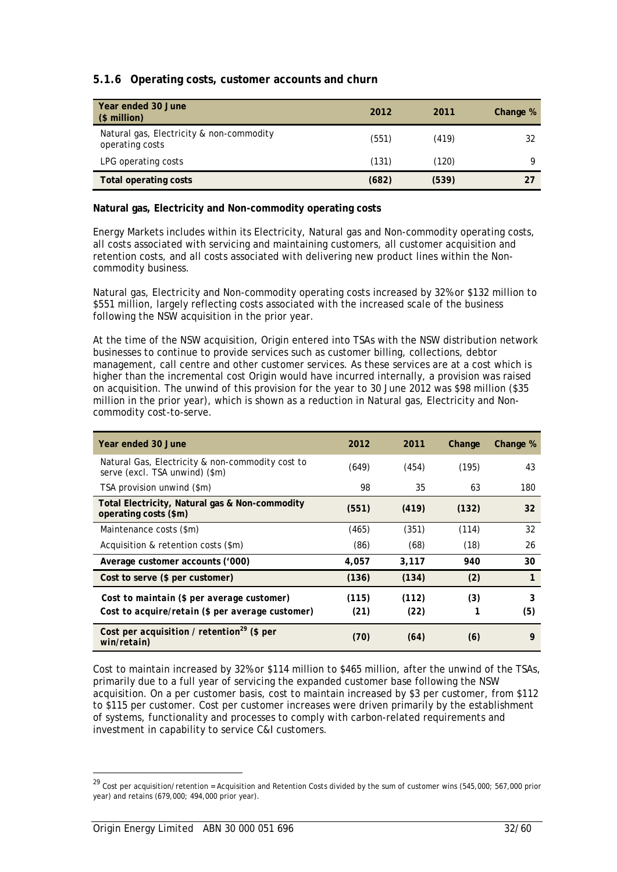# **5.1.6 Operating costs, customer accounts and churn**

| Year ended 30 June<br>$$$ million)                          | 2012  | 2011  | Change % |
|-------------------------------------------------------------|-------|-------|----------|
| Natural gas, Electricity & non-commodity<br>operating costs | (551) | (419) | 32       |
| LPG operating costs                                         | (131) | (120) | O        |
| Total operating costs                                       | (682) | (539) |          |

### **Natural gas, Electricity and Non-commodity operating costs**

Energy Markets includes within its Electricity, Natural gas and Non-commodity operating costs, all costs associated with servicing and maintaining customers, all customer acquisition and retention costs, and all costs associated with delivering new product lines within the Noncommodity business.

Natural gas, Electricity and Non-commodity operating costs increased by 32% or \$132 million to \$551 million, largely reflecting costs associated with the increased scale of the business following the NSW acquisition in the prior year.

At the time of the NSW acquisition, Origin entered into TSAs with the NSW distribution network businesses to continue to provide services such as customer billing, collections, debtor management, call centre and other customer services. As these services are at a cost which is higher than the incremental cost Origin would have incurred internally, a provision was raised on acquisition. The unwind of this provision for the year to 30 June 2012 was \$98 million (\$35 million in the prior year), which is shown as a reduction in Natural gas, Electricity and Noncommodity cost-to-serve.

| Year ended 30 June                                                                             | 2012          | 2011          | Change | Change %     |
|------------------------------------------------------------------------------------------------|---------------|---------------|--------|--------------|
| Natural Gas, Electricity & non-commodity cost to<br>serve (excl. TSA unwind) (\$m)             | (649)         | (454)         | (195)  | 43           |
| TSA provision unwind (\$m)                                                                     | 98            | 35            | 63     | 180          |
| Total Electricity, Natural gas & Non-commodity<br>operating costs (\$m)                        | (551)         | (419)         | (132)  | 32           |
| Maintenance costs (\$m)                                                                        | (465)         | (351)         | (114)  | 32           |
| Acquisition & retention costs (\$m)                                                            | (86)          | (68)          | (18)   | 26           |
| Average customer accounts ('000)                                                               | 4,057         | 3,117         | 940    | 30           |
| Cost to serve (\$ per customer)                                                                | (136)         | (134)         | (2)    | $\mathbf{1}$ |
| Cost to maintain (\$ per average customer)<br>Cost to acquire/retain (\$ per average customer) | (115)<br>(21) | (112)<br>(22) | (3)    | 3<br>(5)     |
| Cost per acquisition / retention <sup>29</sup> (\$ per<br>win/retain)                          | (70)          | (64)          | (6)    | 9            |

Cost to maintain increased by 32% or \$114 million to \$465 million, after the unwind of the TSAs, primarily due to a full year of servicing the expanded customer base following the NSW acquisition. On a per customer basis, cost to maintain increased by \$3 per customer, from \$112 to \$115 per customer. Cost per customer increases were driven primarily by the establishment of systems, functionality and processes to comply with carbon-related requirements and investment in capability to service C&I customers.

 $\overline{a}$ 

 $^{29}$  Cost per acquisition/retention = Acquisition and Retention Costs divided by the sum of customer wins (545,000; 567,000 prior year) and retains (679,000; 494,000 prior year).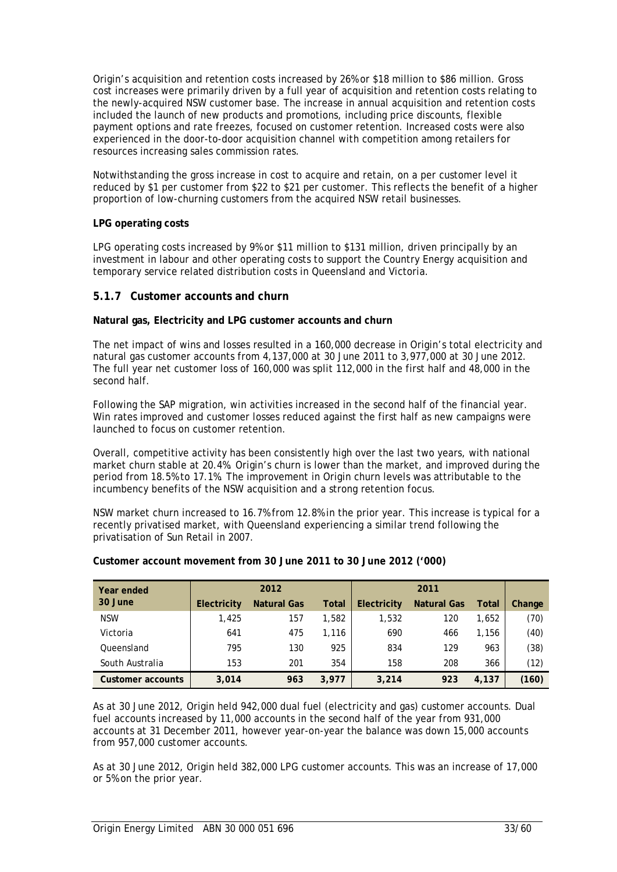Origin's acquisition and retention costs increased by 26% or \$18 million to \$86 million. Gross cost increases were primarily driven by a full year of acquisition and retention costs relating to the newly-acquired NSW customer base. The increase in annual acquisition and retention costs included the launch of new products and promotions, including price discounts, flexible payment options and rate freezes, focused on customer retention. Increased costs were also experienced in the door-to-door acquisition channel with competition among retailers for resources increasing sales commission rates.

Notwithstanding the gross increase in cost to acquire and retain, on a per customer level it reduced by \$1 per customer from \$22 to \$21 per customer. This reflects the benefit of a higher proportion of low-churning customers from the acquired NSW retail businesses.

### **LPG operating costs**

LPG operating costs increased by 9% or \$11 million to \$131 million, driven principally by an investment in labour and other operating costs to support the Country Energy acquisition and temporary service related distribution costs in Queensland and Victoria.

# **5.1.7 Customer accounts and churn**

### **Natural gas, Electricity and LPG customer accounts and churn**

The net impact of wins and losses resulted in a 160,000 decrease in Origin's total electricity and natural gas customer accounts from 4,137,000 at 30 June 2011 to 3,977,000 at 30 June 2012. The full year net customer loss of 160,000 was split 112,000 in the first half and 48,000 in the second half.

Following the SAP migration, win activities increased in the second half of the financial year. Win rates improved and customer losses reduced against the first half as new campaigns were launched to focus on customer retention.

Overall, competitive activity has been consistently high over the last two years, with national market churn stable at 20.4%. Origin's churn is lower than the market, and improved during the period from 18.5% to 17.1%. The improvement in Origin churn levels was attributable to the incumbency benefits of the NSW acquisition and a strong retention focus.

NSW market churn increased to 16.7% from 12.8% in the prior year. This increase is typical for a recently privatised market, with Queensland experiencing a similar trend following the privatisation of Sun Retail in 2007.

| Year ended        |             | 2012               |              |             | 2011               |              |        |
|-------------------|-------------|--------------------|--------------|-------------|--------------------|--------------|--------|
| 30 June           | Electricity | <b>Natural Gas</b> | <b>Total</b> | Electricity | <b>Natural Gas</b> | <b>Total</b> | Change |
| <b>NSW</b>        | 1,425       | 157                | 1,582        | 1,532       | 120                | 1,652        | (70)   |
| Victoria          | 641         | 475                | 1,116        | 690         | 466                | 1,156        | (40)   |
| Oueensland        | 795         | 130                | 925          | 834         | 129                | 963          | (38)   |
| South Australia   | 153         | 201                | 354          | 158         | 208                | 366          | (12)   |
| Customer accounts | 3,014       | 963                | 3,977        | 3,214       | 923                | 4,137        | (160)  |

### **Customer account movement from 30 June 2011 to 30 June 2012 ('000)**

As at 30 June 2012, Origin held 942,000 dual fuel (electricity and gas) customer accounts. Dual fuel accounts increased by 11,000 accounts in the second half of the year from 931,000 accounts at 31 December 2011, however year-on-year the balance was down 15,000 accounts from 957,000 customer accounts.

As at 30 June 2012, Origin held 382,000 LPG customer accounts. This was an increase of 17,000 or 5% on the prior year.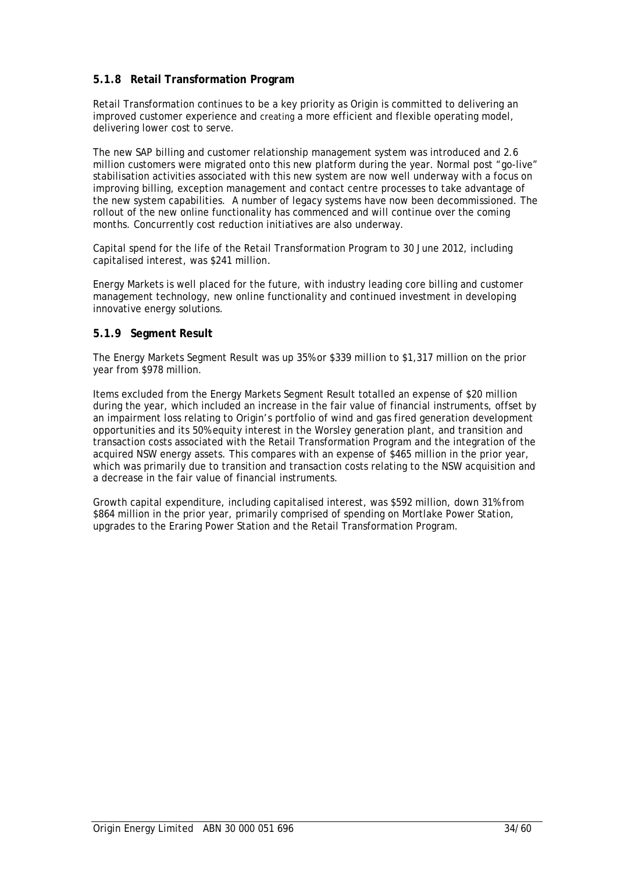# **5.1.8 Retail Transformation Program**

Retail Transformation continues to be a key priority as Origin is committed to delivering an improved customer experience and creating a more efficient and flexible operating model, delivering lower cost to serve.

The new SAP billing and customer relationship management system was introduced and 2.6 million customers were migrated onto this new platform during the year. Normal post "go-live" stabilisation activities associated with this new system are now well underway with a focus on improving billing, exception management and contact centre processes to take advantage of the new system capabilities. A number of legacy systems have now been decommissioned. The rollout of the new online functionality has commenced and will continue over the coming months. Concurrently cost reduction initiatives are also underway.

Capital spend for the life of the Retail Transformation Program to 30 June 2012, including capitalised interest, was \$241 million*.*

Energy Markets is well placed for the future, with industry leading core billing and customer management technology, new online functionality and continued investment in developing innovative energy solutions.

### **5.1.9 Segment Result**

The Energy Markets Segment Result was up 35% or \$339 million to \$1,317 million on the prior year from \$978 million.

Items excluded from the Energy Markets Segment Result totalled an expense of \$20 million during the year, which included an increase in the fair value of financial instruments, offset by an impairment loss relating to Origin's portfolio of wind and gas fired generation development opportunities and its 50% equity interest in the Worsley generation plant, and transition and transaction costs associated with the Retail Transformation Program and the integration of the acquired NSW energy assets. This compares with an expense of \$465 million in the prior year, which was primarily due to transition and transaction costs relating to the NSW acquisition and a decrease in the fair value of financial instruments.

Growth capital expenditure, including capitalised interest, was \$592 million, down 31% from \$864 million in the prior year, primarily comprised of spending on Mortlake Power Station, upgrades to the Eraring Power Station and the Retail Transformation Program.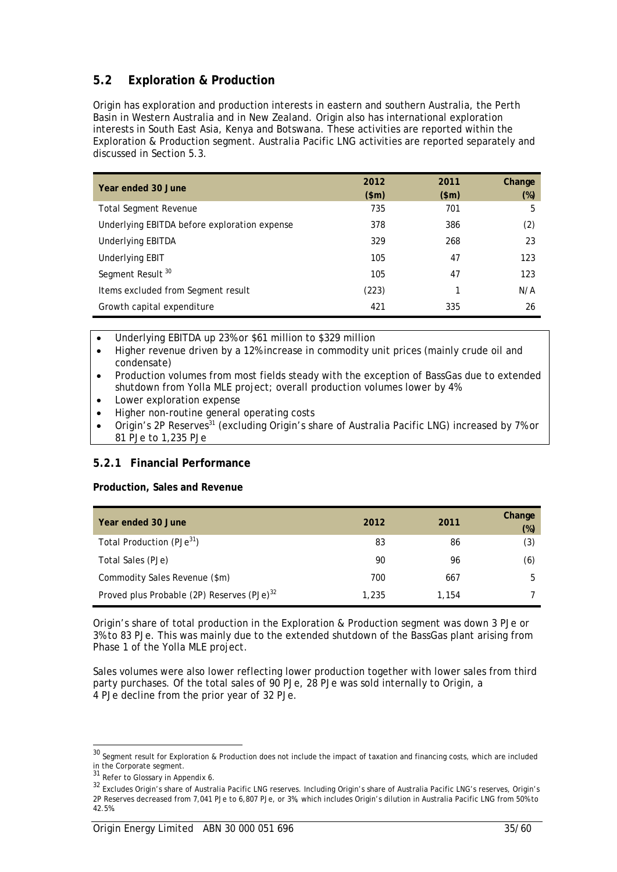# **5.2 Exploration & Production**

Origin has exploration and production interests in eastern and southern Australia, the Perth Basin in Western Australia and in New Zealand. Origin also has international exploration interests in South East Asia, Kenya and Botswana. These activities are reported within the Exploration & Production segment. Australia Pacific LNG activities are reported separately and discussed in Section 5.3.

| Year ended 30 June                           | 2012<br>\$m\$ | 2011<br>\$m\$ | Change<br>$(\%)$ |
|----------------------------------------------|---------------|---------------|------------------|
| <b>Total Segment Revenue</b>                 | 735           | 701           | 5                |
| Underlying EBITDA before exploration expense | 378           | 386           | (2)              |
| <b>Underlying EBITDA</b>                     | 329           | 268           | 23               |
| Underlying EBIT                              | 105           | 47            | 123              |
| Segment Result <sup>30</sup>                 | 105           | 47            | 123              |
| Items excluded from Segment result           | (223)         |               | N/A              |
| Growth capital expenditure                   | 421           | 335           | 26               |

- Underlying EBITDA up 23% or \$61 million to \$329 million
- Higher revenue driven by a 12% increase in commodity unit prices (mainly crude oil and condensate)
- Production volumes from most fields steady with the exception of BassGas due to extended shutdown from Yolla MLE project; overall production volumes lower by 4%
- Lower exploration expense
- Higher non-routine general operating costs
- Origin's 2P Reserves<sup>31</sup> (excluding Origin's share of Australia Pacific LNG) increased by 7% or 81 PJe to 1,235 PJe

# **5.2.1 Financial Performance**

### **Production, Sales and Revenue**

| Year ended 30 June                                     | 2012  | 2011  | Change<br>$(\%)$ |
|--------------------------------------------------------|-------|-------|------------------|
| Total Production (PJe <sup>31</sup> )                  | 83    | 86    | (3)              |
| Total Sales (PJe)                                      | 90    | 96    | (6)              |
| Commodity Sales Revenue (\$m)                          | 700   | 667   | 5                |
| Proved plus Probable (2P) Reserves (PJe) <sup>32</sup> | 1,235 | 1,154 |                  |

Origin's share of total production in the Exploration & Production segment was down 3 PJe or 3% to 83 PJe. This was mainly due to the extended shutdown of the BassGas plant arising from Phase 1 of the Yolla MLE project.

Sales volumes were also lower reflecting lower production together with lower sales from third party purchases. Of the total sales of 90 PJe, 28 PJe was sold internally to Origin, a 4 PJe decline from the prior year of 32 PJe.

<sup>&</sup>lt;sup>30</sup> Segment result for Exploration & Production does not include the impact of taxation and financing costs, which are included in the Corporate segment.

<sup>31</sup> Refer to Glossary in Appendix 6.

<sup>32</sup> Excludes Origin's share of Australia Pacific LNG reserves. Including Origin's share of Australia Pacific LNG's reserves, Origin's 2P Reserves decreased from 7,041 PJe to 6,807 PJe, or 3%, which includes Origin's dilution in Australia Pacific LNG from 50% to 42.5%.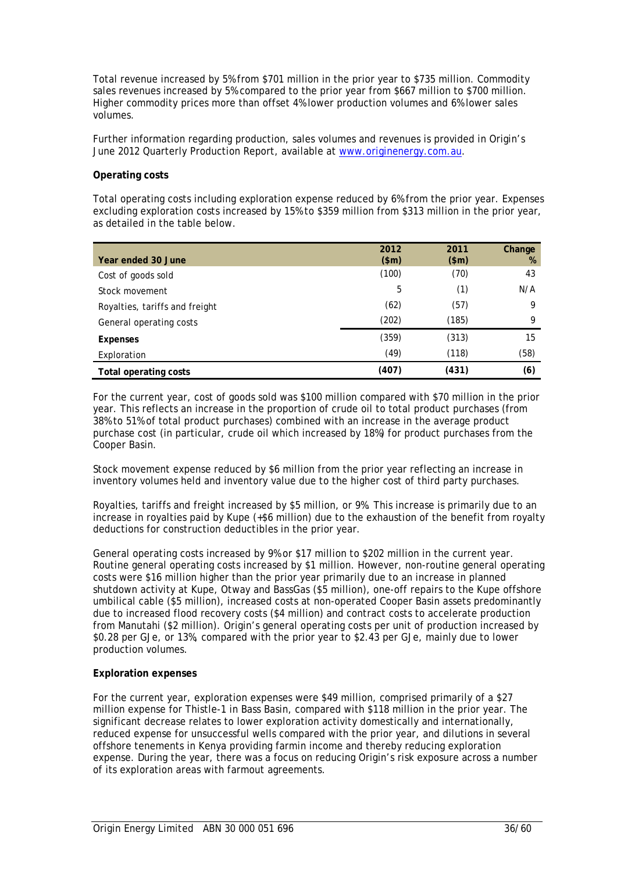Total revenue increased by 5% from \$701 million in the prior year to \$735 million. Commodity sales revenues increased by 5% compared to the prior year from \$667 million to \$700 million. Higher commodity prices more than offset 4% lower production volumes and 6% lower sales volumes.

Further information regarding production, sales volumes and revenues is provided in Origin's June 2012 Quarterly Production Report, available at www.originenergy.com.au.

#### **Operating costs**

Total operating costs including exploration expense reduced by 6% from the prior year. Expenses excluding exploration costs increased by 15% to \$359 million from \$313 million in the prior year, as detailed in the table below.

|                                | 2012  | 2011  | Change |
|--------------------------------|-------|-------|--------|
| Year ended 30 June             | \$m\$ | \$m\$ | %      |
| Cost of goods sold             | (100) | (70)  | 43     |
| Stock movement                 | 5     | (1)   | N/A    |
| Royalties, tariffs and freight | (62)  | (57)  | 9      |
| General operating costs        | (202) | (185) | 9      |
| Expenses                       | (359) | (313) | 15     |
| Exploration                    | (49)  | (118) | (58)   |
| Total operating costs          | (407) | (431) | (6)    |

For the current year, cost of goods sold was \$100 million compared with \$70 million in the prior year. This reflects an increase in the proportion of crude oil to total product purchases (from 38% to 51% of total product purchases) combined with an increase in the average product purchase cost (in particular, crude oil which increased by 18%) for product purchases from the Cooper Basin.

Stock movement expense reduced by \$6 million from the prior year reflecting an increase in inventory volumes held and inventory value due to the higher cost of third party purchases.

Royalties, tariffs and freight increased by \$5 million, or 9%. This increase is primarily due to an increase in royalties paid by Kupe (+\$6 million) due to the exhaustion of the benefit from royalty deductions for construction deductibles in the prior year.

General operating costs increased by 9% or \$17 million to \$202 million in the current year. Routine general operating costs increased by \$1 million. However, non-routine general operating costs were \$16 million higher than the prior year primarily due to an increase in planned shutdown activity at Kupe, Otway and BassGas (\$5 million), one-off repairs to the Kupe offshore umbilical cable (\$5 million), increased costs at non-operated Cooper Basin assets predominantly due to increased flood recovery costs (\$4 million) and contract costs to accelerate production from Manutahi (\$2 million). Origin's general operating costs per unit of production increased by \$0.28 per GJe, or 13%, compared with the prior year to \$2.43 per GJe, mainly due to lower production volumes.

### **Exploration expenses**

For the current year, exploration expenses were \$49 million, comprised primarily of a \$27 million expense for Thistle-1 in Bass Basin, compared with \$118 million in the prior year. The significant decrease relates to lower exploration activity domestically and internationally, reduced expense for unsuccessful wells compared with the prior year, and dilutions in several offshore tenements in Kenya providing farmin income and thereby reducing exploration expense. During the year, there was a focus on reducing Origin's risk exposure across a number of its exploration areas with farmout agreements.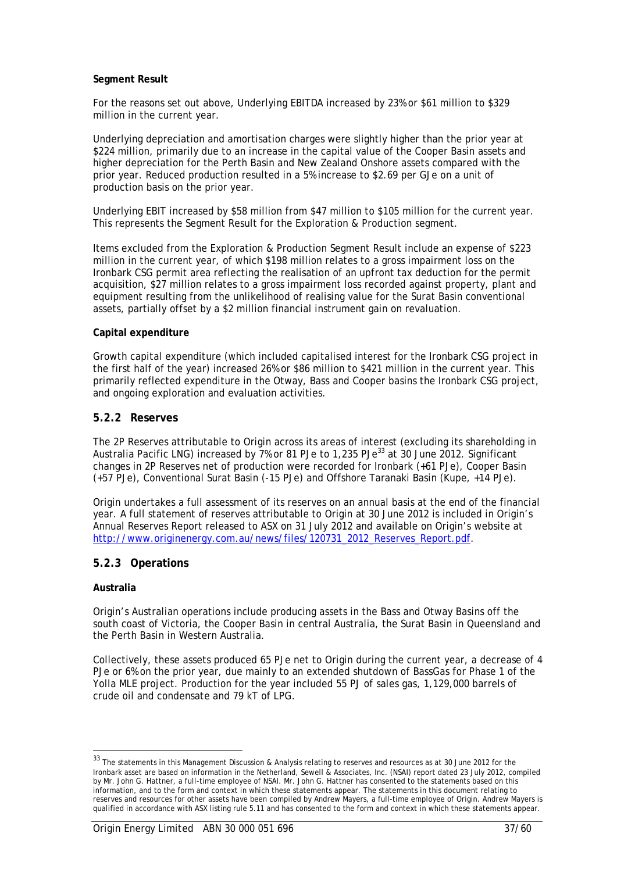### **Segment Result**

For the reasons set out above, Underlying EBITDA increased by 23% or \$61 million to \$329 million in the current year.

Underlying depreciation and amortisation charges were slightly higher than the prior year at \$224 million, primarily due to an increase in the capital value of the Cooper Basin assets and higher depreciation for the Perth Basin and New Zealand Onshore assets compared with the prior year. Reduced production resulted in a 5% increase to \$2.69 per GJe on a unit of production basis on the prior year.

Underlying EBIT increased by \$58 million from \$47 million to \$105 million for the current year. This represents the Segment Result for the Exploration & Production segment.

Items excluded from the Exploration & Production Segment Result include an expense of \$223 million in the current year, of which \$198 million relates to a gross impairment loss on the Ironbark CSG permit area reflecting the realisation of an upfront tax deduction for the permit acquisition, \$27 million relates to a gross impairment loss recorded against property, plant and equipment resulting from the unlikelihood of realising value for the Surat Basin conventional assets, partially offset by a \$2 million financial instrument gain on revaluation.

#### **Capital expenditure**

Growth capital expenditure (which included capitalised interest for the Ironbark CSG project in the first half of the year) increased 26% or \$86 million to \$421 million in the current year. This primarily reflected expenditure in the Otway, Bass and Cooper basins the Ironbark CSG project, and ongoing exploration and evaluation activities.

### **5.2.2 Reserves**

The 2P Reserves attributable to Origin across its areas of interest (excluding its shareholding in Australia Pacific LNG) increased by 7% or 81 PJe to 1,235 PJe<sup>33</sup> at 30 June 2012. Significant changes in 2P Reserves net of production were recorded for Ironbark (+61 PJe), Cooper Basin (+57 PJe), Conventional Surat Basin (-15 PJe) and Offshore Taranaki Basin (Kupe, +14 PJe).

Origin undertakes a full assessment of its reserves on an annual basis at the end of the financial year. A full statement of reserves attributable to Origin at 30 June 2012 is included in Origin's Annual Reserves Report released to ASX on 31 July 2012 and available on Origin's website at http://www.originenergy.com.au/news/files/120731\_2012\_Reserves\_Report.pdf.

### **5.2.3 Operations**

#### **Australia**

l

Origin's Australian operations include producing assets in the Bass and Otway Basins off the south coast of Victoria, the Cooper Basin in central Australia, the Surat Basin in Queensland and the Perth Basin in Western Australia.

Collectively, these assets produced 65 PJe net to Origin during the current year, a decrease of 4 PJe or 6% on the prior year, due mainly to an extended shutdown of BassGas for Phase 1 of the Yolla MLE project. Production for the year included 55 PJ of sales gas, 1,129,000 barrels of crude oil and condensate and 79 kT of LPG.

<sup>33</sup> The statements in this Management Discussion & Analysis relating to reserves and resources as at 30 June 2012 for the Ironbark asset are based on information in the Netherland, Sewell & Associates, Inc. (NSAI) report dated 23 July 2012, compiled by Mr. John G. Hattner, a full-time employee of NSAI. Mr. John G. Hattner has consented to the statements based on this information, and to the form and context in which these statements appear. The statements in this document relating to reserves and resources for other assets have been compiled by Andrew Mayers, a full-time employee of Origin. Andrew Mayers is qualified in accordance with ASX listing rule 5.11 and has consented to the form and context in which these statements appear.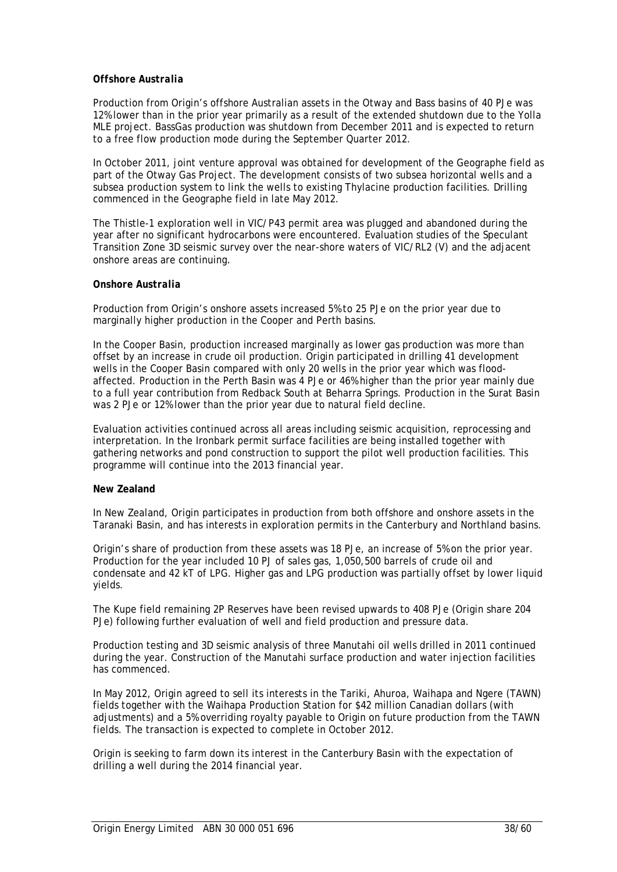### *Offshore Australia*

Production from Origin's offshore Australian assets in the Otway and Bass basins of 40 PJe was 12% lower than in the prior year primarily as a result of the extended shutdown due to the Yolla MLE project. BassGas production was shutdown from December 2011 and is expected to return to a free flow production mode during the September Quarter 2012.

In October 2011, joint venture approval was obtained for development of the Geographe field as part of the Otway Gas Project. The development consists of two subsea horizontal wells and a subsea production system to link the wells to existing Thylacine production facilities. Drilling commenced in the Geographe field in late May 2012.

The Thistle-1 exploration well in VIC/P43 permit area was plugged and abandoned during the year after no significant hydrocarbons were encountered. Evaluation studies of the Speculant Transition Zone 3D seismic survey over the near-shore waters of VIC/RL2 (V) and the adjacent onshore areas are continuing.

### *Onshore Australia*

Production from Origin's onshore assets increased 5% to 25 PJe on the prior year due to marginally higher production in the Cooper and Perth basins.

In the Cooper Basin, production increased marginally as lower gas production was more than offset by an increase in crude oil production. Origin participated in drilling 41 development wells in the Cooper Basin compared with only 20 wells in the prior year which was floodaffected. Production in the Perth Basin was 4 PJe or 46% higher than the prior year mainly due to a full year contribution from Redback South at Beharra Springs. Production in the Surat Basin was 2 PJe or 12% lower than the prior year due to natural field decline.

Evaluation activities continued across all areas including seismic acquisition, reprocessing and interpretation. In the Ironbark permit surface facilities are being installed together with gathering networks and pond construction to support the pilot well production facilities. This programme will continue into the 2013 financial year.

### **New Zealand**

In New Zealand, Origin participates in production from both offshore and onshore assets in the Taranaki Basin, and has interests in exploration permits in the Canterbury and Northland basins.

Origin's share of production from these assets was 18 PJe, an increase of 5% on the prior year. Production for the year included 10 PJ of sales gas, 1,050,500 barrels of crude oil and condensate and 42 kT of LPG. Higher gas and LPG production was partially offset by lower liquid yields.

The Kupe field remaining 2P Reserves have been revised upwards to 408 PJe (Origin share 204 PJe) following further evaluation of well and field production and pressure data.

Production testing and 3D seismic analysis of three Manutahi oil wells drilled in 2011 continued during the year. Construction of the Manutahi surface production and water injection facilities has commenced.

In May 2012, Origin agreed to sell its interests in the Tariki, Ahuroa, Waihapa and Ngere (TAWN) fields together with the Waihapa Production Station for \$42 million Canadian dollars (with adjustments) and a 5% overriding royalty payable to Origin on future production from the TAWN fields. The transaction is expected to complete in October 2012.

Origin is seeking to farm down its interest in the Canterbury Basin with the expectation of drilling a well during the 2014 financial year.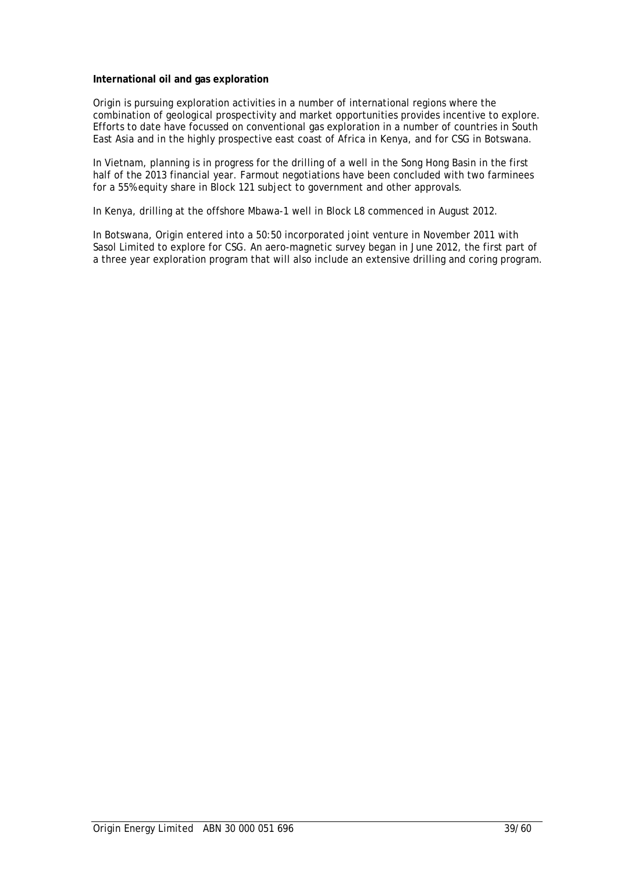#### **International oil and gas exploration**

Origin is pursuing exploration activities in a number of international regions where the combination of geological prospectivity and market opportunities provides incentive to explore. Efforts to date have focussed on conventional gas exploration in a number of countries in South East Asia and in the highly prospective east coast of Africa in Kenya, and for CSG in Botswana.

In Vietnam, planning is in progress for the drilling of a well in the Song Hong Basin in the first half of the 2013 financial year. Farmout negotiations have been concluded with two farminees for a 55% equity share in Block 121 subject to government and other approvals.

In Kenya, drilling at the offshore Mbawa-1 well in Block L8 commenced in August 2012.

In Botswana, Origin entered into a 50:50 incorporated joint venture in November 2011 with Sasol Limited to explore for CSG. An aero-magnetic survey began in June 2012, the first part of a three year exploration program that will also include an extensive drilling and coring program.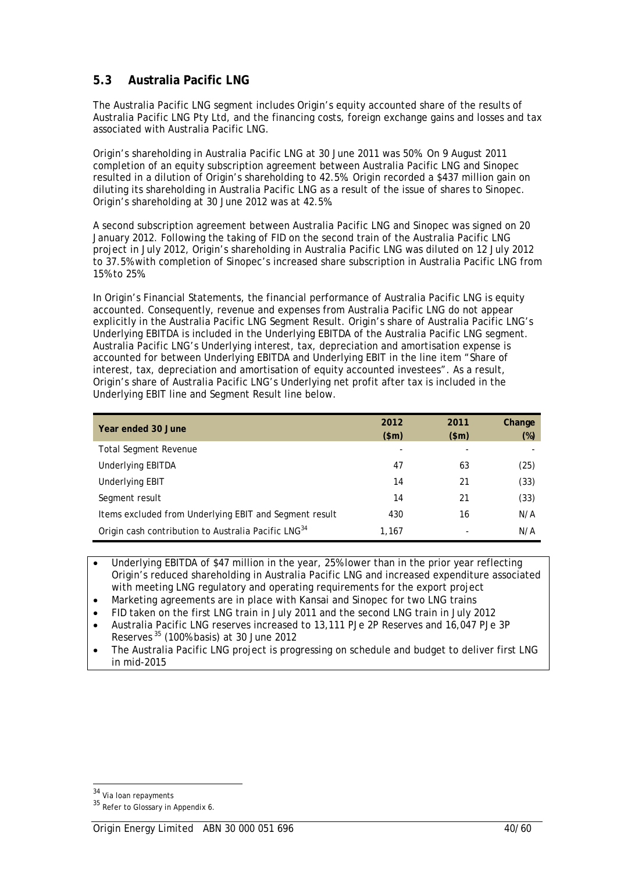# **5.3 Australia Pacific LNG**

The Australia Pacific LNG segment includes Origin's equity accounted share of the results of Australia Pacific LNG Pty Ltd, and the financing costs, foreign exchange gains and losses and tax associated with Australia Pacific LNG.

Origin's shareholding in Australia Pacific LNG at 30 June 2011 was 50%. On 9 August 2011 completion of an equity subscription agreement between Australia Pacific LNG and Sinopec resulted in a dilution of Origin's shareholding to 42.5%. Origin recorded a \$437 million gain on diluting its shareholding in Australia Pacific LNG as a result of the issue of shares to Sinopec. Origin's shareholding at 30 June 2012 was at 42.5%.

A second subscription agreement between Australia Pacific LNG and Sinopec was signed on 20 January 2012. Following the taking of FID on the second train of the Australia Pacific LNG project in July 2012, Origin's shareholding in Australia Pacific LNG was diluted on 12 July 2012 to 37.5% with completion of Sinopec's increased share subscription in Australia Pacific LNG from 15% to 25%.

In Origin's Financial Statements, the financial performance of Australia Pacific LNG is equity accounted. Consequently, revenue and expenses from Australia Pacific LNG do not appear explicitly in the Australia Pacific LNG Segment Result. Origin's share of Australia Pacific LNG's Underlying EBITDA is included in the Underlying EBITDA of the Australia Pacific LNG segment. Australia Pacific LNG's Underlying interest, tax, depreciation and amortisation expense is accounted for between Underlying EBITDA and Underlying EBIT in the line item "Share of interest, tax, depreciation and amortisation of equity accounted investees". As a result, Origin's share of Australia Pacific LNG's Underlying net profit after tax is included in the Underlying EBIT line and Segment Result line below.

| Year ended 30 June                                              | 2012<br>\$m\$ | 2011<br>\$m\$ | Change<br>$(\%)$ |
|-----------------------------------------------------------------|---------------|---------------|------------------|
| <b>Total Segment Revenue</b>                                    |               |               |                  |
| <b>Underlying EBITDA</b>                                        | 47            | 63            | (25)             |
| <b>Underlying EBIT</b>                                          | 14            | 21            | (33)             |
| Segment result                                                  | 14            | 21            | (33)             |
| Items excluded from Underlying EBIT and Segment result          | 430           | 16            | N/A              |
| Origin cash contribution to Australia Pacific LNG <sup>34</sup> | 1,167         |               | N/A              |

• Underlying EBITDA of \$47 million in the year, 25% lower than in the prior year reflecting Origin's reduced shareholding in Australia Pacific LNG and increased expenditure associated with meeting LNG regulatory and operating requirements for the export project

- Marketing agreements are in place with Kansai and Sinopec for two LNG trains
- FID taken on the first LNG train in July 2011 and the second LNG train in July 2012
- Australia Pacific LNG reserves increased to 13,111 PJe 2P Reserves and 16,047 PJe 3P Reserves 35 (100% basis) at 30 June 2012
- The Australia Pacific LNG project is progressing on schedule and budget to deliver first LNG in mid-2015

<sup>&</sup>lt;sup>34</sup> Via Ioan repayments

 $35$  Refer to Glossary in Appendix 6.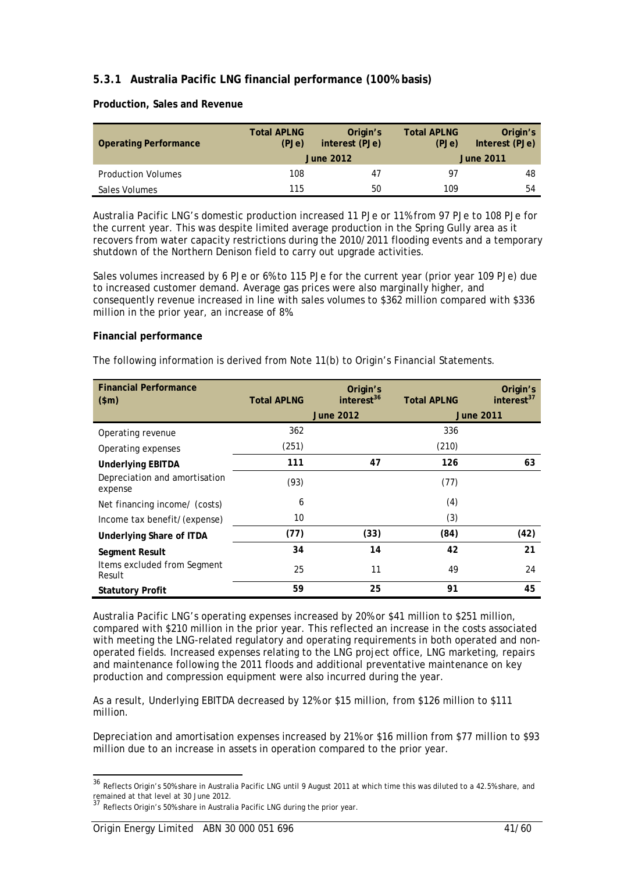# **5.3.1 Australia Pacific LNG financial performance (100% basis)**

#### **Production, Sales and Revenue**

| <b>Operating Performance</b> | <b>Total APLNG</b><br>Origin's<br>interest (PJe)<br>(PJe)<br><b>June 2012</b> |    | <b>Total APLNG</b><br>(PJe) | Origin's<br>Interest (PJe)<br><b>June 2011</b> |
|------------------------------|-------------------------------------------------------------------------------|----|-----------------------------|------------------------------------------------|
| <b>Production Volumes</b>    | 108                                                                           | 47 | 97                          | 48                                             |
| Sales Volumes                | 115                                                                           | 50 | 109                         | 54                                             |

Australia Pacific LNG's domestic production increased 11 PJe or 11% from 97 PJe to 108 PJe for the current year. This was despite limited average production in the Spring Gully area as it recovers from water capacity restrictions during the 2010/2011 flooding events and a temporary shutdown of the Northern Denison field to carry out upgrade activities.

Sales volumes increased by 6 PJe or 6% to 115 PJe for the current year (prior year 109 PJe) due to increased customer demand. Average gas prices were also marginally higher, and consequently revenue increased in line with sales volumes to \$362 million compared with \$336 million in the prior year, an increase of 8%.

#### **Financial performance**

The following information is derived from Note 11(b) to Origin's Financial Statements.

| <b>Financial Performance</b><br>\$m\$    | <b>Total APLNG</b> | Origin's<br>interest <sup>36</sup> | <b>Total APLNG</b> | Origin's<br>interest <sup>37</sup> |
|------------------------------------------|--------------------|------------------------------------|--------------------|------------------------------------|
|                                          |                    | <b>June 2012</b>                   |                    | <b>June 2011</b>                   |
| Operating revenue                        | 362                |                                    | 336                |                                    |
| Operating expenses                       | (251)              |                                    | (210)              |                                    |
| <b>Underlying EBITDA</b>                 | 111                | 47                                 | 126                | 63                                 |
| Depreciation and amortisation<br>expense | (93)               |                                    | (77)               |                                    |
| Net financing income/ (costs)            | 6                  |                                    | (4)                |                                    |
| Income tax benefit/(expense)             | 10                 |                                    | (3)                |                                    |
| Underlying Share of ITDA                 | (77)               | (33)                               | (84)               | (42)                               |
| Segment Result                           | 34                 | 14                                 | 42                 | 21                                 |
| Items excluded from Segment<br>Result    | 25                 | 11                                 | 49                 | 24                                 |
| <b>Statutory Profit</b>                  | 59                 | 25                                 | 91                 | 45                                 |

Australia Pacific LNG's operating expenses increased by 20% or \$41 million to \$251 million, compared with \$210 million in the prior year. This reflected an increase in the costs associated with meeting the LNG-related regulatory and operating requirements in both operated and nonoperated fields. Increased expenses relating to the LNG project office, LNG marketing, repairs and maintenance following the 2011 floods and additional preventative maintenance on key production and compression equipment were also incurred during the year.

As a result, Underlying EBITDA decreased by 12% or \$15 million, from \$126 million to \$111 million.

Depreciation and amortisation expenses increased by 21% or \$16 million from \$77 million to \$93 million due to an increase in assets in operation compared to the prior year.

<sup>&</sup>lt;sup>36</sup> Reflects Origin's 50% share in Australia Pacific LNG until 9 August 2011 at which time this was diluted to a 42.5% share, and remained at that level at 30 June 2012.

<sup>37</sup> Reflects Origin's 50% share in Australia Pacific LNG during the prior year.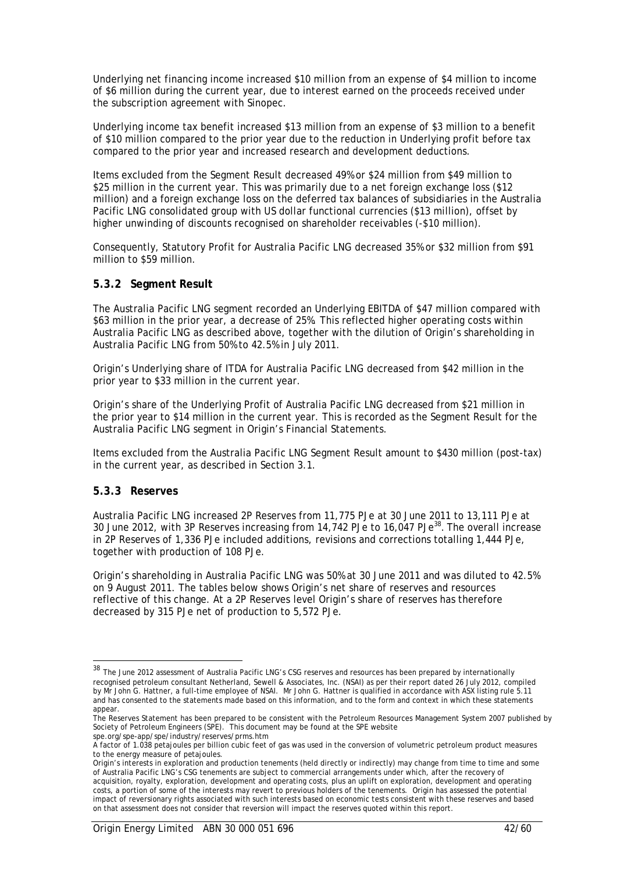Underlying net financing income increased \$10 million from an expense of \$4 million to income of \$6 million during the current year, due to interest earned on the proceeds received under the subscription agreement with Sinopec.

Underlying income tax benefit increased \$13 million from an expense of \$3 million to a benefit of \$10 million compared to the prior year due to the reduction in Underlying profit before tax compared to the prior year and increased research and development deductions.

Items excluded from the Segment Result decreased 49% or \$24 million from \$49 million to \$25 million in the current year. This was primarily due to a net foreign exchange loss (\$12 million) and a foreign exchange loss on the deferred tax balances of subsidiaries in the Australia Pacific LNG consolidated group with US dollar functional currencies (\$13 million), offset by higher unwinding of discounts recognised on shareholder receivables (-\$10 million).

Consequently, Statutory Profit for Australia Pacific LNG decreased 35% or \$32 million from \$91 million to \$59 million.

### **5.3.2 Segment Result**

The Australia Pacific LNG segment recorded an Underlying EBITDA of \$47 million compared with \$63 million in the prior year, a decrease of 25%. This reflected higher operating costs within Australia Pacific LNG as described above, together with the dilution of Origin's shareholding in Australia Pacific LNG from 50% to 42.5% in July 2011.

Origin's Underlying share of ITDA for Australia Pacific LNG decreased from \$42 million in the prior year to \$33 million in the current year.

Origin's share of the Underlying Profit of Australia Pacific LNG decreased from \$21 million in the prior year to \$14 million in the current year. This is recorded as the Segment Result for the Australia Pacific LNG segment in Origin's Financial Statements.

Items excluded from the Australia Pacific LNG Segment Result amount to \$430 million (post-tax) in the current year, as described in Section 3.1.

### **5.3.3 Reserves**

 $\overline{a}$ 

Australia Pacific LNG increased 2P Reserves from 11,775 PJe at 30 June 2011 to 13,111 PJe at 30 June 2012, with 3P Reserves increasing from 14,742 PJe to 16,047 PJe<sup>38</sup>. The overall increase in 2P Reserves of 1,336 PJe included additions, revisions and corrections totalling 1,444 PJe, together with production of 108 PJe.

Origin's shareholding in Australia Pacific LNG was 50% at 30 June 2011 and was diluted to 42.5% on 9 August 2011. The tables below shows Origin's net share of reserves and resources reflective of this change. At a 2P Reserves level Origin's share of reserves has therefore decreased by 315 PJe net of production to 5,572 PJe.

spe.org/spe-app/spe/industry/reserves/prms.htm

<sup>&</sup>lt;sup>38</sup> The June 2012 assessment of Australia Pacific LNG's CSG reserves and resources has been prepared by internationally recognised petroleum consultant Netherland, Sewell & Associates, Inc. (NSAI) as per their report dated 26 July 2012, compiled by Mr John G. Hattner, a full-time employee of NSAI. Mr John G. Hattner is qualified in accordance with ASX listing rule 5.11 and has consented to the statements made based on this information, and to the form and context in which these statements appear.

The Reserves Statement has been prepared to be consistent with the Petroleum Resources Management System 2007 published by Society of Petroleum Engineers (SPE). This document may be found at the SPE website

A factor of 1.038 petajoules per billion cubic feet of gas was used in the conversion of volumetric petroleum product measures to the energy measure of petajoules.

Origin's interests in exploration and production tenements (held directly or indirectly) may change from time to time and some of Australia Pacific LNG's CSG tenements are subject to commercial arrangements under which, after the recovery of acquisition, royalty, exploration, development and operating costs, plus an uplift on exploration, development and operating costs, a portion of some of the interests may revert to previous holders of the tenements. Origin has assessed the potential impact of reversionary rights associated with such interests based on economic tests consistent with these reserves and based on that assessment does not consider that reversion will impact the reserves quoted within this report.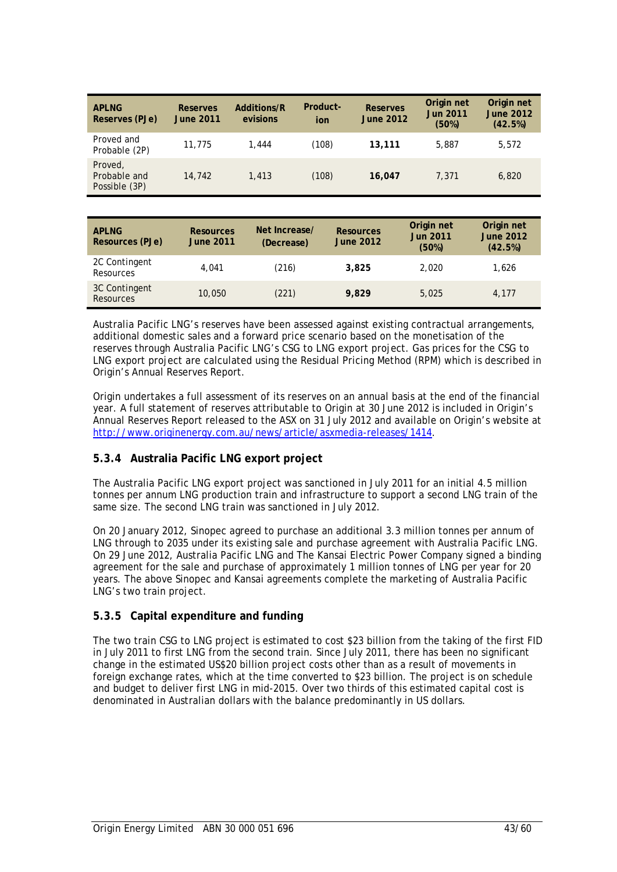| <b>API NG</b><br>Reserves (PJe)          | <b>Reserves</b><br><b>June 2011</b> | Additions/R<br>evisions | Product-<br>ion | <b>Reserves</b><br><b>June 2012</b> | Origin net<br><b>Jun 2011</b><br>(50%) | Origin net<br><b>June 2012</b><br>(42.5%) |
|------------------------------------------|-------------------------------------|-------------------------|-----------------|-------------------------------------|----------------------------------------|-------------------------------------------|
| Proved and<br>Probable (2P)              | 11,775                              | 1,444                   | (108)           | 13,111                              | 5,887                                  | 5.572                                     |
| Proved,<br>Probable and<br>Possible (3P) | 14,742                              | 1,413                   | (108)           | 16,047                              | 7.371                                  | 6,820                                     |

| <b>APLNG</b><br>Resources (PJe)   | <b>Resources</b><br><b>June 2011</b> | Net Increase/<br>(Decrease) | <b>Resources</b><br><b>June 2012</b> | Origin net<br><b>Jun 2011</b><br>(50%) | Origin net<br><b>June 2012</b><br>(42.5%) |
|-----------------------------------|--------------------------------------|-----------------------------|--------------------------------------|----------------------------------------|-------------------------------------------|
| 2C Contingent<br>Resources        | 4.041                                | (216)                       | 3,825                                | 2.020                                  | 1,626                                     |
| 3C Contingent<br><b>Resources</b> | 10,050                               | (221)                       | 9.829                                | 5.025                                  | 4.177                                     |

Australia Pacific LNG's reserves have been assessed against existing contractual arrangements, additional domestic sales and a forward price scenario based on the monetisation of the reserves through Australia Pacific LNG's CSG to LNG export project. Gas prices for the CSG to LNG export project are calculated using the Residual Pricing Method (RPM) which is described in Origin's Annual Reserves Report.

Origin undertakes a full assessment of its reserves on an annual basis at the end of the financial year. A full statement of reserves attributable to Origin at 30 June 2012 is included in Origin's Annual Reserves Report released to the ASX on 31 July 2012 and available on Origin's website at http://www.originenergy.com.au/news/article/asxmedia-releases/1414.

# **5.3.4 Australia Pacific LNG export project**

The Australia Pacific LNG export project was sanctioned in July 2011 for an initial 4.5 million tonnes per annum LNG production train and infrastructure to support a second LNG train of the same size. The second LNG train was sanctioned in July 2012.

On 20 January 2012, Sinopec agreed to purchase an additional 3.3 million tonnes per annum of LNG through to 2035 under its existing sale and purchase agreement with Australia Pacific LNG. On 29 June 2012, Australia Pacific LNG and The Kansai Electric Power Company signed a binding agreement for the sale and purchase of approximately 1 million tonnes of LNG per year for 20 years. The above Sinopec and Kansai agreements complete the marketing of Australia Pacific LNG's two train project.

# **5.3.5 Capital expenditure and funding**

The two train CSG to LNG project is estimated to cost \$23 billion from the taking of the first FID in July 2011 to first LNG from the second train. Since July 2011, there has been no significant change in the estimated US\$20 billion project costs other than as a result of movements in foreign exchange rates, which at the time converted to \$23 billion. The project is on schedule and budget to deliver first LNG in mid-2015. Over two thirds of this estimated capital cost is denominated in Australian dollars with the balance predominantly in US dollars.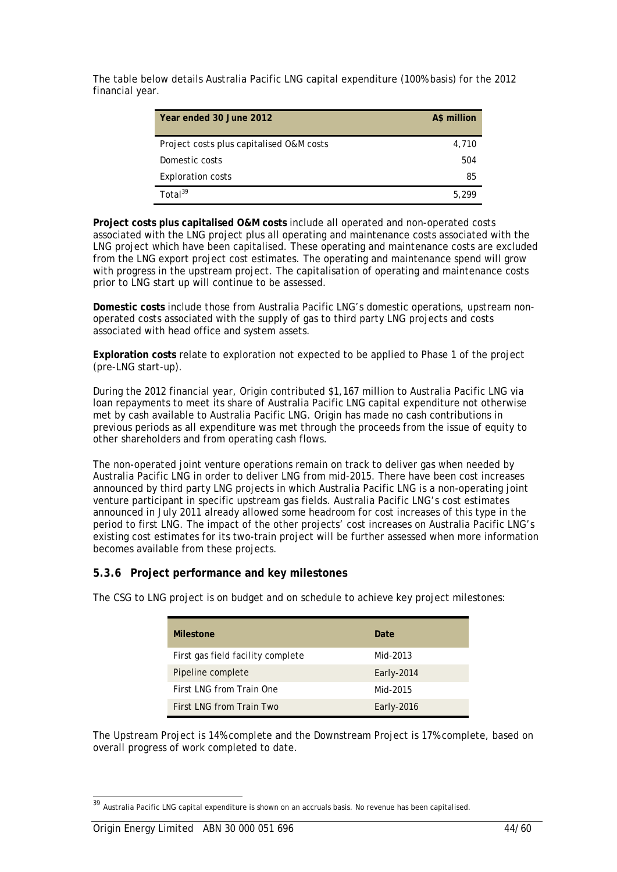The table below details Australia Pacific LNG capital expenditure (100% basis) for the 2012 financial year.

| Year ended 30 June 2012                  | A\$ million |
|------------------------------------------|-------------|
| Project costs plus capitalised O&M costs | 4,710       |
| Domestic costs                           | 504         |
| <b>Exploration costs</b>                 | 85          |
| Total $39$                               | 5.299       |

**Project costs plus capitalised O&M costs** include all operated and non-operated costs associated with the LNG project plus all operating and maintenance costs associated with the LNG project which have been capitalised. These operating and maintenance costs are excluded from the LNG export project cost estimates. The operating and maintenance spend will grow with progress in the upstream project. The capitalisation of operating and maintenance costs prior to LNG start up will continue to be assessed.

**Domestic costs** include those from Australia Pacific LNG's domestic operations, upstream nonoperated costs associated with the supply of gas to third party LNG projects and costs associated with head office and system assets.

**Exploration costs** relate to exploration not expected to be applied to Phase 1 of the project (pre-LNG start-up).

During the 2012 financial year, Origin contributed \$1,167 million to Australia Pacific LNG via loan repayments to meet its share of Australia Pacific LNG capital expenditure not otherwise met by cash available to Australia Pacific LNG. Origin has made no cash contributions in previous periods as all expenditure was met through the proceeds from the issue of equity to other shareholders and from operating cash flows.

The non-operated joint venture operations remain on track to deliver gas when needed by Australia Pacific LNG in order to deliver LNG from mid-2015. There have been cost increases announced by third party LNG projects in which Australia Pacific LNG is a non-operating joint venture participant in specific upstream gas fields. Australia Pacific LNG's cost estimates announced in July 2011 already allowed some headroom for cost increases of this type in the period to first LNG. The impact of the other projects' cost increases on Australia Pacific LNG's existing cost estimates for its two-train project will be further assessed when more information becomes available from these projects.

# **5.3.6 Project performance and key milestones**

| <b>Milestone</b>                  | Date.      |
|-----------------------------------|------------|
|                                   |            |
| First gas field facility complete | Mid-2013   |
| Pipeline complete                 | Early-2014 |
| First LNG from Train One          | Mid-2015   |
| First LNG from Train Two          | Early-2016 |

The CSG to LNG project is on budget and on schedule to achieve key project milestones:

The Upstream Project is 14% complete and the Downstream Project is 17% complete, based on overall progress of work completed to date.

<sup>39</sup> Australia Pacific LNG capital expenditure is shown on an accruals basis. No revenue has been capitalised.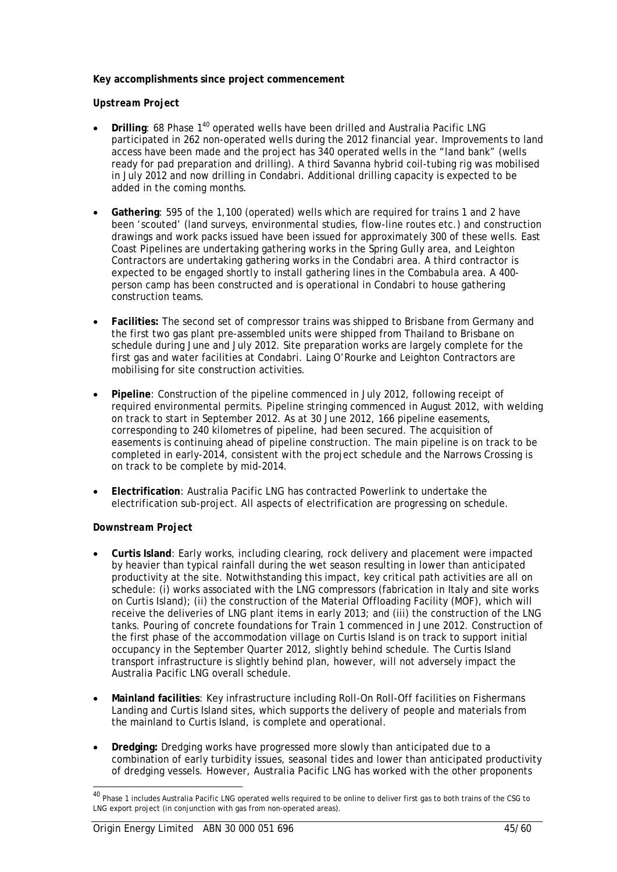### **Key accomplishments since project commencement**

### *Upstream Project*

- **Drilling: 68 Phase 1<sup>40</sup> operated wells have been drilled and Australia Pacific LNG** participated in 262 non-operated wells during the 2012 financial year. Improvements to land access have been made and the project has 340 operated wells in the "land bank" (wells ready for pad preparation and drilling). A third Savanna hybrid coil-tubing rig was mobilised in July 2012 and now drilling in Condabri. Additional drilling capacity is expected to be added in the coming months.
- **Gathering**: 595 of the 1,100 (operated) wells which are required for trains 1 and 2 have been 'scouted' (land surveys, environmental studies, flow-line routes etc.) and construction drawings and work packs issued have been issued for approximately 300 of these wells. East Coast Pipelines are undertaking gathering works in the Spring Gully area, and Leighton Contractors are undertaking gathering works in the Condabri area. A third contractor is expected to be engaged shortly to install gathering lines in the Combabula area. A 400 person camp has been constructed and is operational in Condabri to house gathering construction teams.
- **Facilities:** The second set of compressor trains was shipped to Brisbane from Germany and the first two gas plant pre-assembled units were shipped from Thailand to Brisbane on schedule during June and July 2012. Site preparation works are largely complete for the first gas and water facilities at Condabri. Laing O'Rourke and Leighton Contractors are mobilising for site construction activities.
- **Pipeline**: Construction of the pipeline commenced in July 2012, following receipt of required environmental permits. Pipeline stringing commenced in August 2012, with welding on track to start in September 2012. As at 30 June 2012, 166 pipeline easements, corresponding to 240 kilometres of pipeline, had been secured. The acquisition of easements is continuing ahead of pipeline construction. The main pipeline is on track to be completed in early-2014, consistent with the project schedule and the Narrows Crossing is on track to be complete by mid-2014.
- **Electrification**: Australia Pacific LNG has contracted Powerlink to undertake the electrification sub-project. All aspects of electrification are progressing on schedule.

### *Downstream Project*

- **Curtis Island**: Early works, including clearing, rock delivery and placement were impacted by heavier than typical rainfall during the wet season resulting in lower than anticipated productivity at the site. Notwithstanding this impact, key critical path activities are all on schedule: (i) works associated with the LNG compressors (fabrication in Italy and site works on Curtis Island); (ii) the construction of the Material Offloading Facility (MOF), which will receive the deliveries of LNG plant items in early 2013; and (iii) the construction of the LNG tanks. Pouring of concrete foundations for Train 1 commenced in June 2012. Construction of the first phase of the accommodation village on Curtis Island is on track to support initial occupancy in the September Quarter 2012, slightly behind schedule. The Curtis Island transport infrastructure is slightly behind plan, however, will not adversely impact the Australia Pacific LNG overall schedule.
- **Mainland facilities**: Key infrastructure including Roll-On Roll-Off facilities on Fishermans Landing and Curtis Island sites*,* which supports the delivery of people and materials from the mainland to Curtis Island, is complete and operational.
- **Dredging:** Dredging works have progressed more slowly than anticipated due to a combination of early turbidity issues, seasonal tides and lower than anticipated productivity of dredging vessels. However, Australia Pacific LNG has worked with the other proponents

<sup>&</sup>lt;sup>40</sup> Phase 1 includes Australia Pacific LNG operated wells required to be online to deliver first gas to both trains of the CSG to LNG export project (in conjunction with gas from non-operated areas).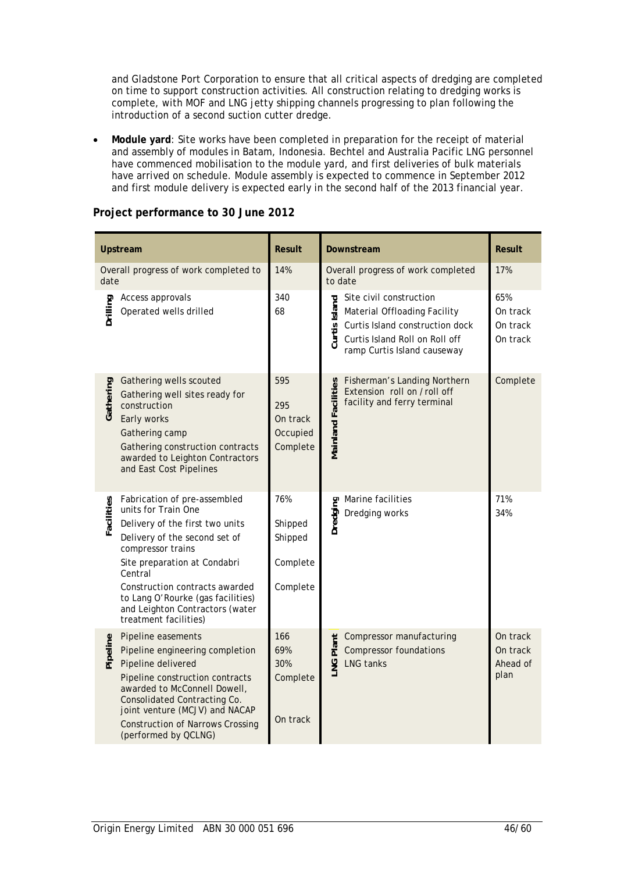and Gladstone Port Corporation to ensure that all critical aspects of dredging are completed on time to support construction activities. All construction relating to dredging works is complete, with MOF and LNG jetty shipping channels progressing to plan following the introduction of a second suction cutter dredge.

• **Module yard**: Site works have been completed in preparation for the receipt of material and assembly of modules in Batam, Indonesia. Bechtel and Australia Pacific LNG personnel have commenced mobilisation to the module yard, and first deliveries of bulk materials have arrived on schedule. Module assembly is expected to commence in September 2012 and first module delivery is expected early in the second half of the 2013 financial year.

|            | Upstream                                                                                                                                                                                                                                                                                                                   | <b>Result</b>                                     | <b>Result</b><br>Downstream                                                                                                                                                                                             |
|------------|----------------------------------------------------------------------------------------------------------------------------------------------------------------------------------------------------------------------------------------------------------------------------------------------------------------------------|---------------------------------------------------|-------------------------------------------------------------------------------------------------------------------------------------------------------------------------------------------------------------------------|
| date       | Overall progress of work completed to                                                                                                                                                                                                                                                                                      | 14%                                               | Overall progress of work completed<br>17%<br>to date                                                                                                                                                                    |
| Drilling   | Access approvals<br>Operated wells drilled                                                                                                                                                                                                                                                                                 | 340<br>68                                         | Site civil construction<br>65%<br>Curtis Island<br>Material Offloading Facility<br>On track<br>Curtis Island construction dock<br>On track<br>Curtis Island Roll on Roll off<br>On track<br>ramp Curtis Island causeway |
| Gathering  | Gathering wells scouted<br>Gathering well sites ready for<br>construction<br>Early works<br>Gathering camp<br>Gathering construction contracts<br>awarded to Leighton Contractors<br>and East Cost Pipelines                                                                                                               | 595<br>295<br>On track<br>Occupied<br>Complete    | Fisherman's Landing Northern<br>Complete<br>Mainland Facilities<br>Extension roll on /roll off<br>facility and ferry terminal                                                                                           |
| Facilities | Fabrication of pre-assembled<br>units for Train One<br>Delivery of the first two units<br>Delivery of the second set of<br>compressor trains<br>Site preparation at Condabri<br>Central<br>Construction contracts awarded<br>to Lang O'Rourke (gas facilities)<br>and Leighton Contractors (water<br>treatment facilities) | 76%<br>Shipped<br>Shipped<br>Complete<br>Complete | Marine facilities<br>71%<br>Dredging<br>34%<br>Dredging works                                                                                                                                                           |
| Pipeline   | Pipeline easements<br>Pipeline engineering completion<br>Pipeline delivered<br>Pipeline construction contracts<br>awarded to McConnell Dowell,<br><b>Consolidated Contracting Co.</b><br>joint venture (MCJV) and NACAP<br><b>Construction of Narrows Crossing</b><br>(performed by QCLNG)                                 | 166<br>69%<br>30%<br>Complete<br>On track         | Compressor manufacturing<br>On track<br>Plant<br><b>Compressor foundations</b><br>On track<br>LNG <sub>I</sub><br>LNG tanks<br>Ahead of<br>plan                                                                         |

### **Project performance to 30 June 2012**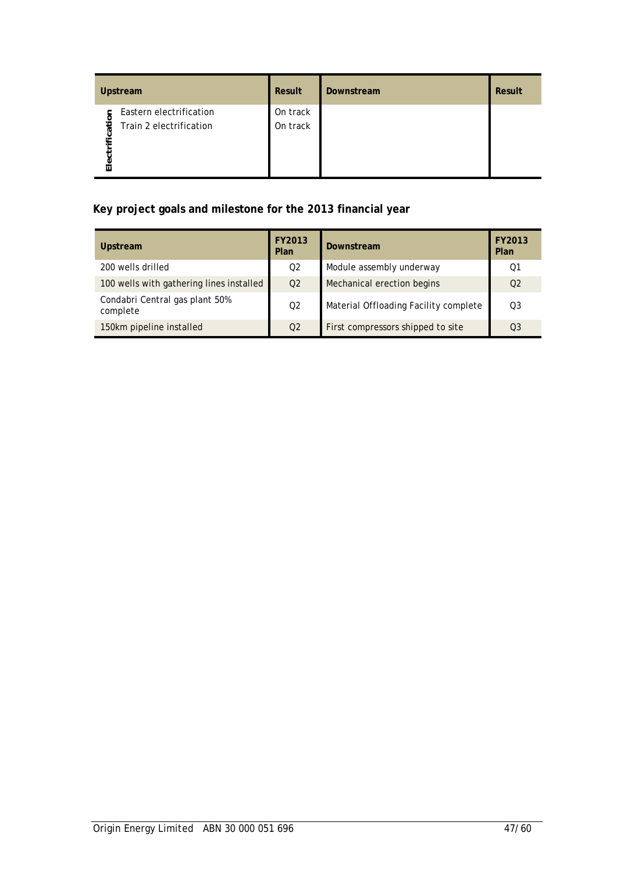|                     | Upstream                                           | Result               | Downstream | Result |
|---------------------|----------------------------------------------------|----------------------|------------|--------|
| ification<br>Electr | Eastern electrification<br>Train 2 electrification | On track<br>On track |            |        |

# **Key project goals and milestone for the 2013 financial year**

| <b>Upstream</b>                            | FY2013<br>Plan | <b>Downstream</b>                     | FY2013<br>Plan |
|--------------------------------------------|----------------|---------------------------------------|----------------|
| 200 wells drilled                          | 02             | Module assembly underway              | 01             |
| 100 wells with gathering lines installed   | O <sub>2</sub> | Mechanical erection begins            | O <sub>2</sub> |
| Condabri Central gas plant 50%<br>complete | O <sub>2</sub> | Material Offloading Facility complete | O <sub>3</sub> |
| 150km pipeline installed                   | O <sub>2</sub> | First compressors shipped to site     | O <sub>3</sub> |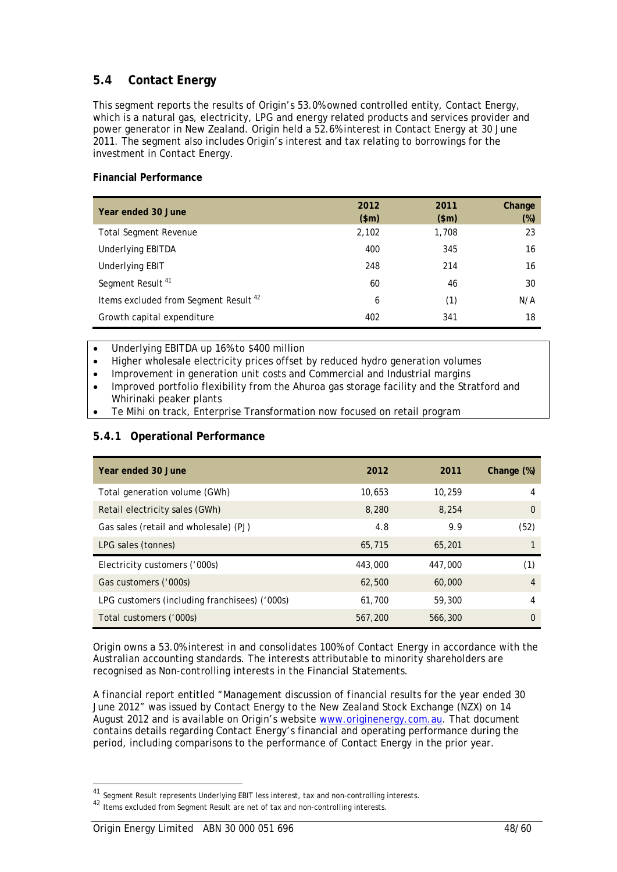# **5.4 Contact Energy**

This segment reports the results of Origin's 53.0% owned controlled entity, Contact Energy, which is a natural gas, electricity, LPG and energy related products and services provider and power generator in New Zealand. Origin held a 52.6% interest in Contact Energy at 30 June 2011. The segment also includes Origin's interest and tax relating to borrowings for the investment in Contact Energy.

### **Financial Performance**

| Year ended 30 June                               | 2012<br>\$m\$ | 2011<br>\$m\$ | Change<br>$(\%)$ |
|--------------------------------------------------|---------------|---------------|------------------|
| <b>Total Segment Revenue</b>                     | 2,102         | 1,708         | 23               |
| <b>Underlying EBITDA</b>                         | 400           | 345           | 16               |
| Underlying EBIT                                  | 248           | 214           | 16               |
| Segment Result <sup>41</sup>                     | 60            | 46            | 30               |
| Items excluded from Segment Result <sup>42</sup> | 6             | (1)           | N/A              |
| Growth capital expenditure                       | 402           | 341           | 18               |

• Underlying EBITDA up 16% to \$400 million

- Higher wholesale electricity prices offset by reduced hydro generation volumes
- Improvement in generation unit costs and Commercial and Industrial margins
- Improved portfolio flexibility from the Ahuroa gas storage facility and the Stratford and Whirinaki peaker plants
- Te Mihi on track, Enterprise Transformation now focused on retail program

# **5.4.1 Operational Performance**

| Year ended 30 June                            | 2012    | 2011    | Change $(\%)$ |
|-----------------------------------------------|---------|---------|---------------|
| Total generation volume (GWh)                 | 10.653  | 10,259  | 4             |
| Retail electricity sales (GWh)                | 8,280   | 8,254   | 0             |
| Gas sales (retail and wholesale) (PJ)         | 4.8     | 9.9     | (52)          |
| LPG sales (tonnes)                            | 65,715  | 65,201  |               |
| Electricity customers ('000s)                 | 443,000 | 447,000 | (1)           |
| Gas customers ('000s)                         | 62,500  | 60,000  | 4             |
| LPG customers (including franchisees) ('000s) | 61,700  | 59,300  | 4             |
| Total customers ('000s)                       | 567,200 | 566,300 | 0             |

Origin owns a 53.0% interest in and consolidates 100% of Contact Energy in accordance with the Australian accounting standards. The interests attributable to minority shareholders are recognised as Non-controlling interests in the Financial Statements.

A financial report entitled "Management discussion of financial results for the year ended 30 June 2012" was issued by Contact Energy to the New Zealand Stock Exchange (NZX) on 14 August 2012 and is available on Origin's website www.originenergy.com.au. That document contains details regarding Contact Energy's financial and operating performance during the period, including comparisons to the performance of Contact Energy in the prior year.

<sup>&</sup>lt;sup>41</sup> Segment Result represents Underlying EBIT less interest, tax and non-controlling interests.

<sup>42</sup> Items excluded from Segment Result are net of tax and non-controlling interests.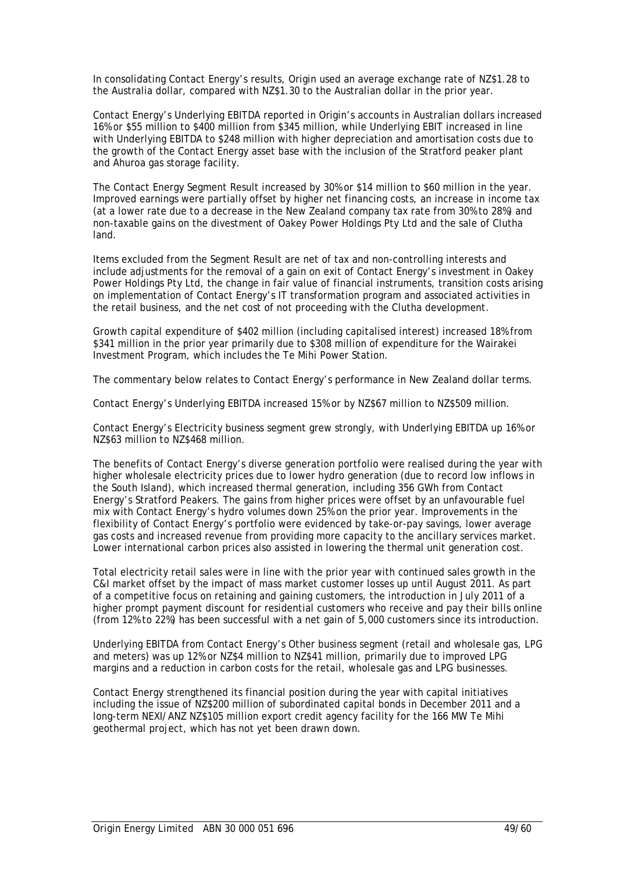In consolidating Contact Energy's results, Origin used an average exchange rate of NZ\$1.28 to the Australia dollar, compared with NZ\$1.30 to the Australian dollar in the prior year.

Contact Energy's Underlying EBITDA reported in Origin's accounts in Australian dollars increased 16% or \$55 million to \$400 million from \$345 million, while Underlying EBIT increased in line with Underlying EBITDA to \$248 million with higher depreciation and amortisation costs due to the growth of the Contact Energy asset base with the inclusion of the Stratford peaker plant and Ahuroa gas storage facility.

The Contact Energy Segment Result increased by 30% or \$14 million to \$60 million in the year. Improved earnings were partially offset by higher net financing costs, an increase in income tax (at a lower rate due to a decrease in the New Zealand company tax rate from 30% to 28%) and non-taxable gains on the divestment of Oakey Power Holdings Pty Ltd and the sale of Clutha land.

Items excluded from the Segment Result are net of tax and non-controlling interests and include adjustments for the removal of a gain on exit of Contact Energy's investment in Oakey Power Holdings Pty Ltd, the change in fair value of financial instruments, transition costs arising on implementation of Contact Energy's IT transformation program and associated activities in the retail business, and the net cost of not proceeding with the Clutha development.

Growth capital expenditure of \$402 million (including capitalised interest) increased 18% from \$341 million in the prior year primarily due to \$308 million of expenditure for the Wairakei Investment Program, which includes the Te Mihi Power Station.

The commentary below relates to Contact Energy's performance in New Zealand dollar terms.

Contact Energy's Underlying EBITDA increased 15% or by NZ\$67 million to NZ\$509 million.

Contact Energy's Electricity business segment grew strongly, with Underlying EBITDA up 16% or NZ\$63 million to NZ\$468 million.

The benefits of Contact Energy's diverse generation portfolio were realised during the year with higher wholesale electricity prices due to lower hydro generation (due to record low inflows in the South Island), which increased thermal generation, including 356 GWh from Contact Energy's Stratford Peakers. The gains from higher prices were offset by an unfavourable fuel mix with Contact Energy's hydro volumes down 25% on the prior year. Improvements in the flexibility of Contact Energy's portfolio were evidenced by take-or-pay savings, lower average gas costs and increased revenue from providing more capacity to the ancillary services market. Lower international carbon prices also assisted in lowering the thermal unit generation cost.

Total electricity retail sales were in line with the prior year with continued sales growth in the C&I market offset by the impact of mass market customer losses up until August 2011. As part of a competitive focus on retaining and gaining customers, the introduction in July 2011 of a higher prompt payment discount for residential customers who receive and pay their bills online (from 12% to 22%) has been successful with a net gain of 5,000 customers since its introduction.

Underlying EBITDA from Contact Energy's Other business segment (retail and wholesale gas, LPG and meters) was up 12% or NZ\$4 million to NZ\$41 million, primarily due to improved LPG margins and a reduction in carbon costs for the retail, wholesale gas and LPG businesses.

Contact Energy strengthened its financial position during the year with capital initiatives including the issue of NZ\$200 million of subordinated capital bonds in December 2011 and a long-term NEXI/ANZ NZ\$105 million export credit agency facility for the 166 MW Te Mihi geothermal project, which has not yet been drawn down.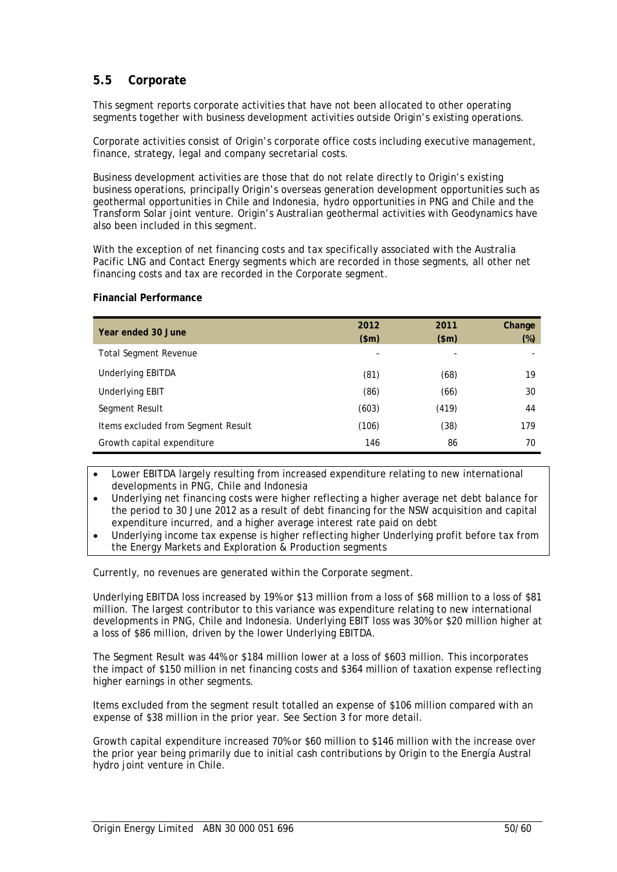# **5.5 Corporate**

This segment reports corporate activities that have not been allocated to other operating segments together with business development activities outside Origin's existing operations.

Corporate activities consist of Origin's corporate office costs including executive management, finance, strategy, legal and company secretarial costs.

Business development activities are those that do not relate directly to Origin's existing business operations, principally Origin's overseas generation development opportunities such as geothermal opportunities in Chile and Indonesia, hydro opportunities in PNG and Chile and the Transform Solar joint venture. Origin's Australian geothermal activities with Geodynamics have also been included in this segment.

With the exception of net financing costs and tax specifically associated with the Australia Pacific LNG and Contact Energy segments which are recorded in those segments, all other net financing costs and tax are recorded in the Corporate segment.

#### **Financial Performance**

| Year ended 30 June                 | 2012<br>\$m\$ | 2011<br>\$m\$ | Change<br>$(\%)$ |
|------------------------------------|---------------|---------------|------------------|
| <b>Total Segment Revenue</b>       |               |               |                  |
| Underlying EBITDA                  | (81)          | (68)          | 19               |
| <b>Underlying EBIT</b>             | (86)          | (66)          | 30               |
| Segment Result                     | (603)         | (419)         | 44               |
| Items excluded from Segment Result | (106)         | (38)          | 179              |
| Growth capital expenditure         | 146           | 86            | 70               |

• Lower EBITDA largely resulting from increased expenditure relating to new international developments in PNG, Chile and Indonesia

• Underlying net financing costs were higher reflecting a higher average net debt balance for the period to 30 June 2012 as a result of debt financing for the NSW acquisition and capital expenditure incurred, and a higher average interest rate paid on debt

• Underlying income tax expense is higher reflecting higher Underlying profit before tax from the Energy Markets and Exploration & Production segments

Currently, no revenues are generated within the Corporate segment.

Underlying EBITDA loss increased by 19% or \$13 million from a loss of \$68 million to a loss of \$81 million. The largest contributor to this variance was expenditure relating to new international developments in PNG, Chile and Indonesia. Underlying EBIT loss was 30% or \$20 million higher at a loss of \$86 million, driven by the lower Underlying EBITDA.

The Segment Result was 44% or \$184 million lower at a loss of \$603 million. This incorporates the impact of \$150 million in net financing costs and \$364 million of taxation expense reflecting higher earnings in other segments.

Items excluded from the segment result totalled an expense of \$106 million compared with an expense of \$38 million in the prior year. See Section 3 for more detail.

Growth capital expenditure increased 70% or \$60 million to \$146 million with the increase over the prior year being primarily due to initial cash contributions by Origin to the Energía Austral hydro joint venture in Chile.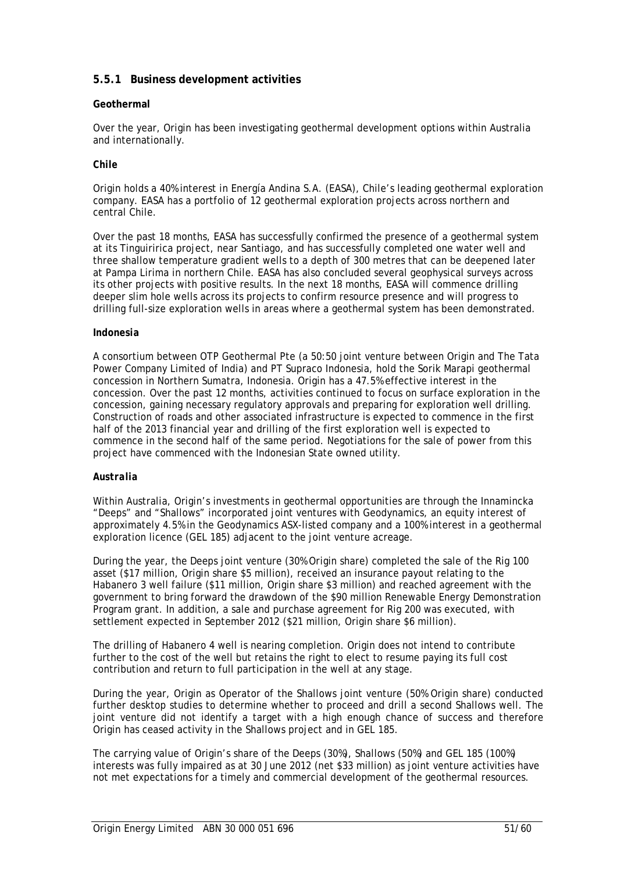# **5.5.1 Business development activities**

### **Geothermal**

Over the year, Origin has been investigating geothermal development options within Australia and internationally.

### *Chile*

Origin holds a 40% interest in Energía Andina S.A. (EASA), Chile's leading geothermal exploration company. EASA has a portfolio of 12 geothermal exploration projects across northern and central Chile.

Over the past 18 months, EASA has successfully confirmed the presence of a geothermal system at its Tinguiririca project, near Santiago, and has successfully completed one water well and three shallow temperature gradient wells to a depth of 300 metres that can be deepened later at Pampa Lirima in northern Chile. EASA has also concluded several geophysical surveys across its other projects with positive results. In the next 18 months, EASA will commence drilling deeper slim hole wells across its projects to confirm resource presence and will progress to drilling full-size exploration wells in areas where a geothermal system has been demonstrated.

### *Indonesia*

A consortium between OTP Geothermal Pte (a 50:50 joint venture between Origin and The Tata Power Company Limited of India) and PT Supraco Indonesia, hold the Sorik Marapi geothermal concession in Northern Sumatra, Indonesia. Origin has a 47.5% effective interest in the concession. Over the past 12 months, activities continued to focus on surface exploration in the concession, gaining necessary regulatory approvals and preparing for exploration well drilling. Construction of roads and other associated infrastructure is expected to commence in the first half of the 2013 financial year and drilling of the first exploration well is expected to commence in the second half of the same period. Negotiations for the sale of power from this project have commenced with the Indonesian State owned utility.

### *Australia*

Within Australia, Origin's investments in geothermal opportunities are through the Innamincka "Deeps" and "Shallows" incorporated joint ventures with Geodynamics, an equity interest of approximately 4.5% in the Geodynamics ASX-listed company and a 100% interest in a geothermal exploration licence (GEL 185) adjacent to the joint venture acreage.

During the year, the Deeps joint venture (30% Origin share) completed the sale of the Rig 100 asset (\$17 million, Origin share \$5 million), received an insurance payout relating to the Habanero 3 well failure (\$11 million, Origin share \$3 million) and reached agreement with the government to bring forward the drawdown of the \$90 million Renewable Energy Demonstration Program grant. In addition, a sale and purchase agreement for Rig 200 was executed, with settlement expected in September 2012 (\$21 million, Origin share \$6 million).

The drilling of Habanero 4 well is nearing completion. Origin does not intend to contribute further to the cost of the well but retains the right to elect to resume paying its full cost contribution and return to full participation in the well at any stage.

During the year, Origin as Operator of the Shallows joint venture (50% Origin share) conducted further desktop studies to determine whether to proceed and drill a second Shallows well. The joint venture did not identify a target with a high enough chance of success and therefore Origin has ceased activity in the Shallows project and in GEL 185.

The carrying value of Origin's share of the Deeps (30%), Shallows (50%) and GEL 185 (100%) interests was fully impaired as at 30 June 2012 (net \$33 million) as joint venture activities have not met expectations for a timely and commercial development of the geothermal resources.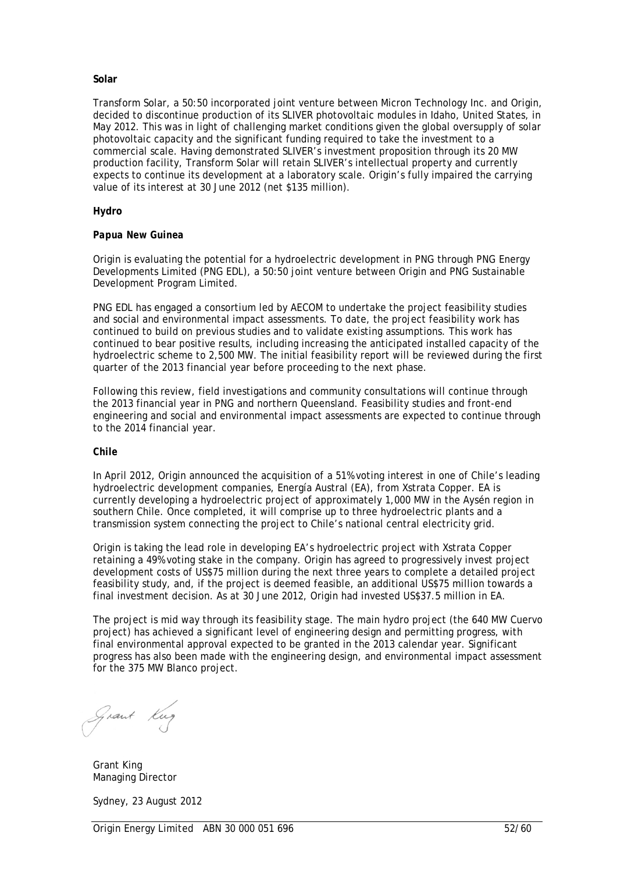#### **Solar**

Transform Solar, a 50:50 incorporated joint venture between Micron Technology Inc. and Origin, decided to discontinue production of its SLIVER photovoltaic modules in Idaho, United States, in May 2012. This was in light of challenging market conditions given the global oversupply of solar photovoltaic capacity and the significant funding required to take the investment to a commercial scale. Having demonstrated SLIVER's investment proposition through its 20 MW production facility, Transform Solar will retain SLIVER's intellectual property and currently expects to continue its development at a laboratory scale. Origin's fully impaired the carrying value of its interest at 30 June 2012 (net \$135 million).

#### **Hydro**

#### *Papua New Guinea*

Origin is evaluating the potential for a hydroelectric development in PNG through PNG Energy Developments Limited (PNG EDL), a 50:50 joint venture between Origin and PNG Sustainable Development Program Limited.

PNG EDL has engaged a consortium led by AECOM to undertake the project feasibility studies and social and environmental impact assessments. To date, the project feasibility work has continued to build on previous studies and to validate existing assumptions. This work has continued to bear positive results, including increasing the anticipated installed capacity of the hydroelectric scheme to 2,500 MW. The initial feasibility report will be reviewed during the first quarter of the 2013 financial year before proceeding to the next phase.

Following this review, field investigations and community consultations will continue through the 2013 financial year in PNG and northern Queensland. Feasibility studies and front-end engineering and social and environmental impact assessments are expected to continue through to the 2014 financial year.

#### *Chile*

In April 2012, Origin announced the acquisition of a 51% voting interest in one of Chile's leading hydroelectric development companies, Energía Austral (EA), from Xstrata Copper. EA is currently developing a hydroelectric project of approximately 1,000 MW in the Aysén region in southern Chile. Once completed, it will comprise up to three hydroelectric plants and a transmission system connecting the project to Chile's national central electricity grid.

Origin is taking the lead role in developing EA's hydroelectric project with Xstrata Copper retaining a 49% voting stake in the company. Origin has agreed to progressively invest project development costs of US\$75 million during the next three years to complete a detailed project feasibility study, and, if the project is deemed feasible, an additional US\$75 million towards a final investment decision. As at 30 June 2012, Origin had invested US\$37.5 million in EA.

The project is mid way through its feasibility stage. The main hydro project (the 640 MW Cuervo project) has achieved a significant level of engineering design and permitting progress, with final environmental approval expected to be granted in the 2013 calendar year. Significant progress has also been made with the engineering design, and environmental impact assessment for the 375 MW Blanco project.

Grant Kug

 Grant King Managing Director

Sydney, 23 August 2012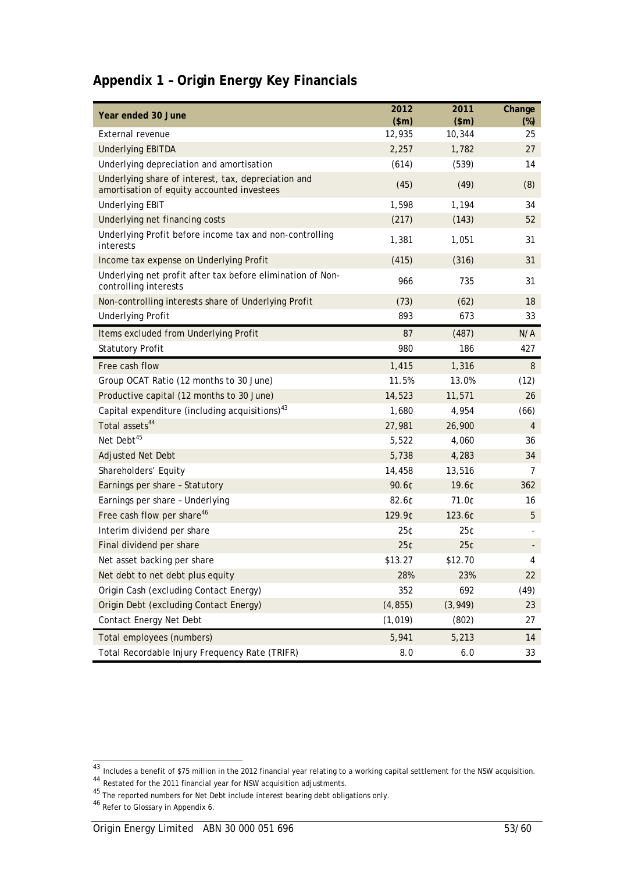|  |  | Appendix 1 - Origin Energy Key Financials |
|--|--|-------------------------------------------|
|  |  |                                           |

| Year ended 30 June                                                                                | 2012<br>\$m\$ | 2011<br>\$m\$ | Change<br>$(\%)$ |
|---------------------------------------------------------------------------------------------------|---------------|---------------|------------------|
| External revenue                                                                                  | 12,935        | 10,344        | 25               |
| <b>Underlying EBITDA</b>                                                                          | 2,257         | 1,782         | 27               |
| Underlying depreciation and amortisation                                                          | (614)         | (539)         | 14               |
| Underlying share of interest, tax, depreciation and<br>amortisation of equity accounted investees | (45)          | (49)          | (8)              |
| <b>Underlying EBIT</b>                                                                            | 1,598         | 1,194         | 34               |
| Underlying net financing costs                                                                    | (217)         | (143)         | 52               |
| Underlying Profit before income tax and non-controlling<br>interests                              | 1,381         | 1,051         | 31               |
| Income tax expense on Underlying Profit                                                           | (415)         | (316)         | 31               |
| Underlying net profit after tax before elimination of Non-<br>controlling interests               | 966           | 735           | 31               |
| Non-controlling interests share of Underlying Profit                                              | (73)          | (62)          | 18               |
| <b>Underlying Profit</b>                                                                          | 893           | 673           | 33               |
| Items excluded from Underlying Profit                                                             | 87            | (487)         | N/A              |
| <b>Statutory Profit</b>                                                                           | 980           | 186           | 427              |
| Free cash flow                                                                                    | 1,415         | 1,316         | 8                |
| Group OCAT Ratio (12 months to 30 June)                                                           | 11.5%         | 13.0%         | (12)             |
| Productive capital (12 months to 30 June)                                                         | 14,523        | 11,571        | 26               |
| Capital expenditure (including acquisitions) $43$                                                 | 1,680         | 4,954         | (66)             |
| Total assets <sup>44</sup>                                                                        | 27,981        | 26,900        | $\overline{4}$   |
| Net Debt <sup>45</sup>                                                                            | 5,522         | 4,060         | 36               |
| Adjusted Net Debt                                                                                 | 5,738         | 4,283         | 34               |
| Shareholders' Equity                                                                              | 14,458        | 13,516        | 7                |
| Earnings per share - Statutory                                                                    | 90.6¢         | 19.6¢         | 362              |
| Earnings per share - Underlying                                                                   | 82.60         | 71.0¢         | 16               |
| Free cash flow per share <sup>46</sup>                                                            | 129.9¢        | 123.6¢        | 5                |
| Interim dividend per share                                                                        | 25¢           | 25¢           |                  |
| Final dividend per share                                                                          | 25¢           | 25¢           |                  |
| Net asset backing per share                                                                       | \$13.27       | \$12.70       | 4                |
| Net debt to net debt plus equity                                                                  | 28%           | 23%           | 22               |
| Origin Cash (excluding Contact Energy)                                                            | 352           | 692           | (49)             |
| Origin Debt (excluding Contact Energy)                                                            | (4, 855)      | (3,949)       | 23               |
| Contact Energy Net Debt                                                                           | (1, 019)      | (802)         | 27               |
| Total employees (numbers)                                                                         | 5,941         | 5,213         | 14               |
| Total Recordable Injury Frequency Rate (TRIFR)                                                    | 8.0           | $6.0\,$       | 33               |

 $^{43}$  Includes a benefit of \$75 million in the 2012 financial year relating to a working capital settlement for the NSW acquisition.

<sup>&</sup>lt;sup>44</sup> Restated for the 2011 financial year for NSW acquisition adjustments.

 $^{45}$  The reported numbers for Net Debt include interest bearing debt obligations only.

<sup>&</sup>lt;sup>46</sup> Refer to Glossary in Appendix 6.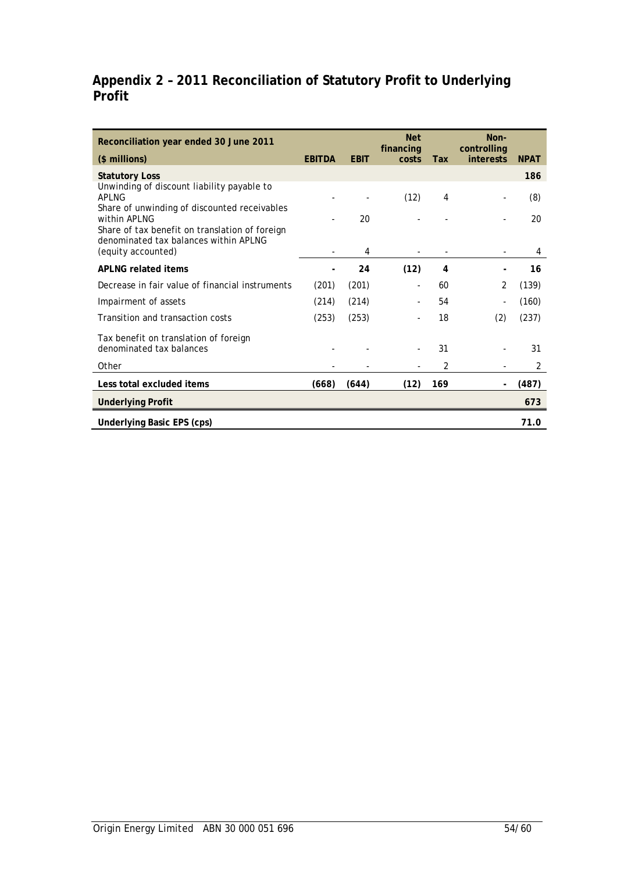# **Appendix 2 – 2011 Reconciliation of Statutory Profit to Underlying Profit**

| Reconciliation year ended 30 June 2011                                                               |               |             | <b>Net</b><br>financing |            | Non-<br>controlling |             |
|------------------------------------------------------------------------------------------------------|---------------|-------------|-------------------------|------------|---------------------|-------------|
| (\$ millions)                                                                                        | <b>EBITDA</b> | <b>EBIT</b> | costs                   | <b>Tax</b> | <b>interests</b>    | <b>NPAT</b> |
| <b>Statutory Loss</b>                                                                                |               |             |                         |            |                     | 186         |
| Unwinding of discount liability payable to<br>API NG<br>Share of unwinding of discounted receivables |               |             | (12)                    | 4          |                     | (8)         |
| within APLNG<br>Share of tax benefit on translation of foreign                                       |               | 20          |                         |            |                     | 20          |
| denominated tax balances within APLNG<br>(equity accounted)                                          |               | 4           |                         |            |                     | 4           |
| APLNG related items                                                                                  |               | 24          | (12)                    | 4          |                     | 16          |
| Decrease in fair value of financial instruments                                                      | (201)         | (201)       |                         | 60         | $\overline{2}$      | (139)       |
| Impairment of assets                                                                                 | (214)         | (214)       |                         | 54         |                     | (160)       |
| Transition and transaction costs                                                                     | (253)         | (253)       |                         | 18         | (2)                 | (237)       |
| Tax benefit on translation of foreign<br>denominated tax balances                                    |               |             |                         | 31         |                     | 31          |
| Other                                                                                                |               |             |                         | 2          |                     | 2           |
| Less total excluded items                                                                            | (668)         | (644)       | (12)                    | 169        |                     | (487)       |
| <b>Underlying Profit</b>                                                                             |               |             |                         |            |                     | 673         |
| <b>Underlying Basic EPS (cps)</b>                                                                    |               |             |                         |            |                     | 71.0        |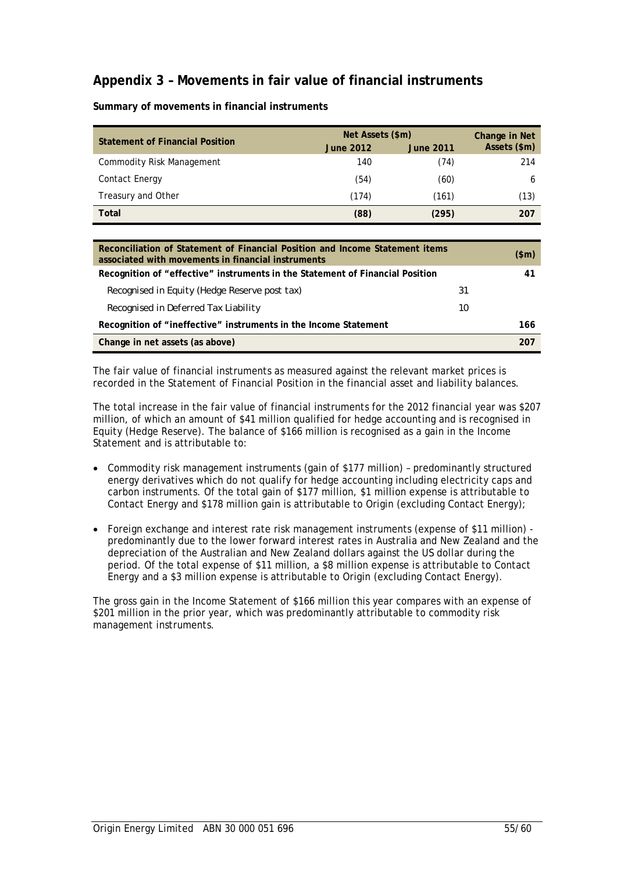# **Appendix 3 – Movements in fair value of financial instruments**

| <b>Statement of Financial Position</b> | Net Assets (\$m) | Change in Net    |              |
|----------------------------------------|------------------|------------------|--------------|
|                                        | <b>June 2012</b> | <b>June 2011</b> | Assets (\$m) |
| <b>Commodity Risk Management</b>       | 140              | (74)             | 214          |
| Contact Energy                         | (54)             | (60)             | 6            |
| Treasury and Other                     | (174)            | (161)            | (13)         |
| Total                                  | (88)             | (295)            | 207          |

**Summary of movements in financial instruments** 

| Reconciliation of Statement of Financial Position and Income Statement items<br>associated with movements in financial instruments |    | (\$m) |
|------------------------------------------------------------------------------------------------------------------------------------|----|-------|
| Recognition of "effective" instruments in the Statement of Financial Position                                                      |    | 41    |
| Recognised in Equity (Hedge Reserve post tax)                                                                                      | 31 |       |
| Recognised in Deferred Tax Liability                                                                                               | 10 |       |
| Recognition of "ineffective" instruments in the Income Statement                                                                   |    | 166   |
| Change in net assets (as above)                                                                                                    |    | 207   |

The fair value of financial instruments as measured against the relevant market prices is recorded in the Statement of Financial Position in the financial asset and liability balances.

The total increase in the fair value of financial instruments for the 2012 financial year was \$207 million, of which an amount of \$41 million qualified for hedge accounting and is recognised in Equity (Hedge Reserve). The balance of \$166 million is recognised as a gain in the Income Statement and is attributable to:

- Commodity risk management instruments (gain of \$177 million) predominantly structured energy derivatives which do not qualify for hedge accounting including electricity caps and carbon instruments. Of the total gain of \$177 million, \$1 million expense is attributable to Contact Energy and \$178 million gain is attributable to Origin (excluding Contact Energy);
- Foreign exchange and interest rate risk management instruments (expense of \$11 million) predominantly due to the lower forward interest rates in Australia and New Zealand and the depreciation of the Australian and New Zealand dollars against the US dollar during the period. Of the total expense of \$11 million, a \$8 million expense is attributable to Contact Energy and a \$3 million expense is attributable to Origin (excluding Contact Energy).

The gross gain in the Income Statement of \$166 million this year compares with an expense of \$201 million in the prior year, which was predominantly attributable to commodity risk management instruments.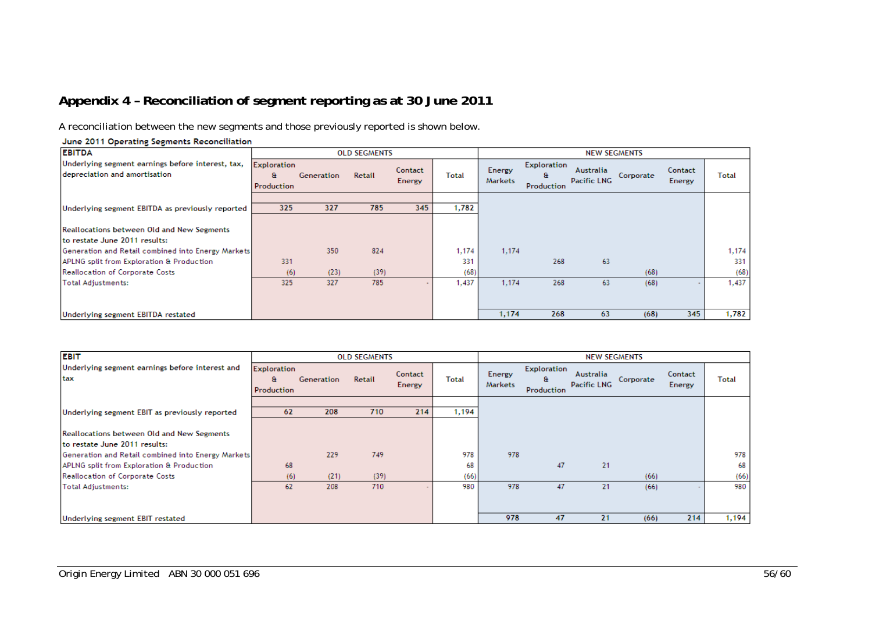# **Appendix 4 – Reconciliation of segment reporting as at 30 June 2011**

A reconciliation between the new segments and those previously reported is shown below.

#### **EBITDA OLD SEGMENTS NEW SEGMENTS** Underlying segment earnings before interest, tax, Exploration Exploration Energy Contact Australia Contact depreciation and amortisation Retail **Total**  $\mathbf{a}$ Generation **Total**  $\mathbf{a}$ Corporate **Pacific LNG** Energy Markets Energy Production Production  $325$  $\overline{327}$  $785$  $345$ 1,782 Underlying segment EBITDA as previously reported Reallocations between Old and New Segments to restate June 2011 results: Generation and Retail combined into Energy Markets 350 824 1,174 1.174 1,174 APLNG split from Exploration & Production 331 331 268 63 331 Reallocation of Corporate Costs  $(39)$  $(68)$  $(68)$  $(68)$  $(6)$  $(23)$ **Total Adjustments:** 325 327 785 1,437  $1,174$ 268 63  $(68)$ 1,437 1,174 268 63  $(68)$  $345$ 1,782 Underlying segment EBITDA restated

| <b>EBIT</b>                                                                        |                                        |            | <b>OLD SEGMENTS</b> |                   |              |                   |                                       | <b>NEW SEGMENTS</b>             |           |                          |              |
|------------------------------------------------------------------------------------|----------------------------------------|------------|---------------------|-------------------|--------------|-------------------|---------------------------------------|---------------------------------|-----------|--------------------------|--------------|
| Underlying segment earnings before interest and<br>tax                             | <b>Exploration</b><br>a.<br>Production | Generation | Retail              | Contact<br>Energy | <b>Total</b> | Energy<br>Markets | <b>Exploration</b><br>a<br>Production | Australia<br><b>Pacific LNG</b> | Corporate | Contact<br><b>Energy</b> | <b>Total</b> |
| Underlying segment EBIT as previously reported                                     | 62                                     | 208        | 710                 | 214               | 1,194        |                   |                                       |                                 |           |                          |              |
| <b>Reallocations between Old and New Segments</b><br>to restate June 2011 results: |                                        |            |                     |                   |              |                   |                                       |                                 |           |                          |              |
| Generation and Retail combined into Energy Markets                                 |                                        | 229        | 749                 |                   | 978          | 978               |                                       |                                 |           |                          | 978          |
| APLNG split from Exploration & Production                                          | 68                                     |            |                     |                   | 68           |                   | 47                                    | 21                              |           |                          | 68           |
| Reallocation of Corporate Costs                                                    | (6)                                    | (21)       | (39)                |                   | (66)         |                   |                                       |                                 | (66)      |                          | (66)         |
| Total Adjustments:                                                                 | 62                                     | 208        | 710                 |                   | 980          | 978               | 47                                    | 21                              | (66)      |                          | 980          |
|                                                                                    |                                        |            |                     |                   |              |                   |                                       |                                 |           |                          |              |
| Underlying segment EBIT restated                                                   |                                        |            |                     |                   |              | 978               | 47                                    | 21                              | (66)      | 214                      | 1,194        |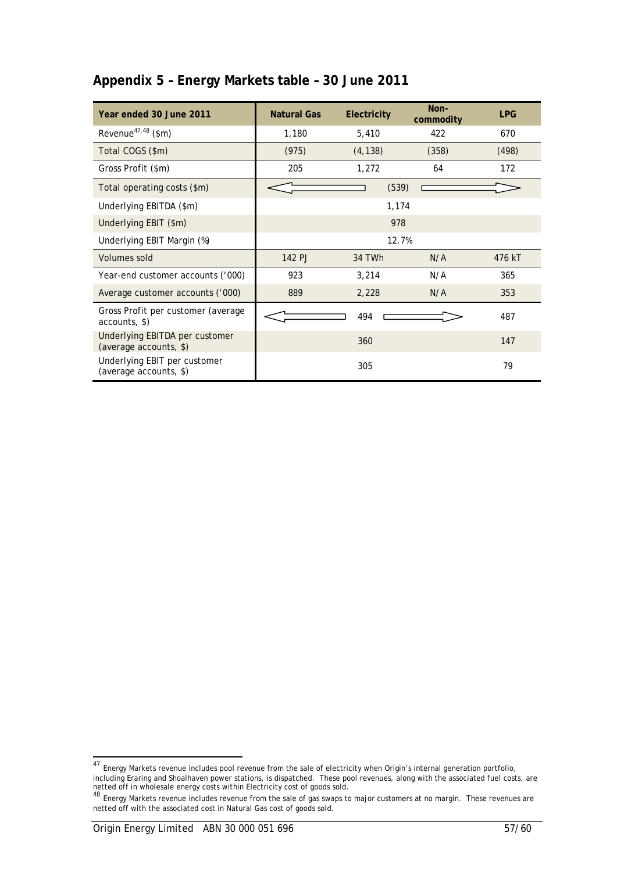# **Appendix 5 – Energy Markets table – 30 June 2011**

| Year ended 30 June 2011                                  | <b>Natural Gas</b> | Electricity | Non-<br>commodity | <b>LPG</b> |
|----------------------------------------------------------|--------------------|-------------|-------------------|------------|
| Revenue <sup>47,48</sup> (\$m)                           | 1,180              | 5,410       | 422               | 670        |
| Total COGS (\$m)                                         | (975)              | (4, 138)    | (358)             | (498)      |
| Gross Profit (\$m)                                       | 205                | 1,272       | 64                | 172        |
| Total operating costs (\$m)                              |                    | (539)       |                   |            |
| Underlying EBITDA (\$m)                                  |                    | 1,174       |                   |            |
| Underlying EBIT (\$m)                                    |                    | 978         |                   |            |
| Underlying EBIT Margin (%)                               |                    | 12.7%       |                   |            |
| Volumes sold                                             | 142 PJ             | 34 TWh      | N/A               | 476 kT     |
| Year-end customer accounts ('000)                        | 923                | 3,214       | N/A               | 365        |
| Average customer accounts ('000)                         | 889                | 2,228       | N/A               | 353        |
| Gross Profit per customer (average<br>accounts, \$)      |                    | 494         |                   | 487        |
| Underlying EBITDA per customer<br>(average accounts, \$) |                    | 360         |                   | 147        |
| Underlying EBIT per customer<br>(average accounts, \$)   |                    | 305         |                   | 79         |

 $\overline{a}$ 

<sup>&</sup>lt;sup>47</sup> Energy Markets revenue includes pool revenue from the sale of electricity when Origin's internal generation portfolio, including Eraring and Shoalhaven power stations, is dispatched. These pool revenues, along with the associated fuel costs, are netted off in wholesale energy costs within Electricity cost of goods sold.<br><sup>48</sup> Energy Markets revenue includes revenue from the sale of gas swaps to major customers at no margin. These revenues are

netted off with the associated cost in Natural Gas cost of goods sold.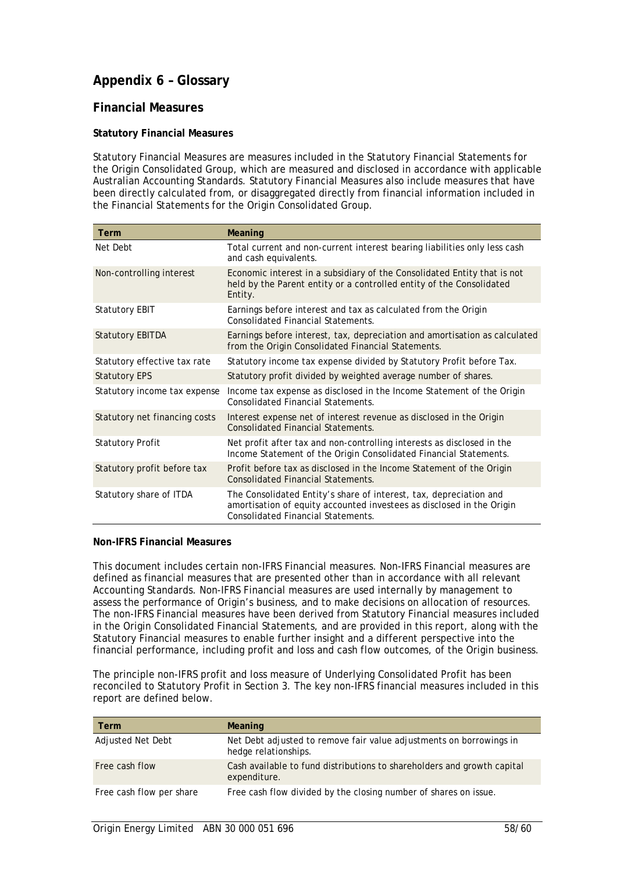# **Appendix 6 – Glossary**

# **Financial Measures**

### **Statutory Financial Measures**

Statutory Financial Measures are measures included in the Statutory Financial Statements for the Origin Consolidated Group, which are measured and disclosed in accordance with applicable Australian Accounting Standards. Statutory Financial Measures also include measures that have been directly calculated from, or disaggregated directly from financial information included in the Financial Statements for the Origin Consolidated Group.

| Term                          | Meaning                                                                                                                                                                                  |
|-------------------------------|------------------------------------------------------------------------------------------------------------------------------------------------------------------------------------------|
| Net Debt                      | Total current and non-current interest bearing liabilities only less cash<br>and cash equivalents.                                                                                       |
| Non-controlling interest      | Economic interest in a subsidiary of the Consolidated Entity that is not<br>held by the Parent entity or a controlled entity of the Consolidated<br>Entity.                              |
| <b>Statutory EBIT</b>         | Earnings before interest and tax as calculated from the Origin<br>Consolidated Financial Statements.                                                                                     |
| <b>Statutory EBITDA</b>       | Earnings before interest, tax, depreciation and amortisation as calculated<br>from the Origin Consolidated Financial Statements.                                                         |
| Statutory effective tax rate  | Statutory income tax expense divided by Statutory Profit before Tax.                                                                                                                     |
| <b>Statutory EPS</b>          | Statutory profit divided by weighted average number of shares.                                                                                                                           |
| Statutory income tax expense  | Income tax expense as disclosed in the Income Statement of the Origin<br><b>Consolidated Financial Statements.</b>                                                                       |
| Statutory net financing costs | Interest expense net of interest revenue as disclosed in the Origin<br><b>Consolidated Financial Statements.</b>                                                                         |
| <b>Statutory Profit</b>       | Net profit after tax and non-controlling interests as disclosed in the<br>Income Statement of the Origin Consolidated Financial Statements.                                              |
| Statutory profit before tax   | Profit before tax as disclosed in the Income Statement of the Origin<br><b>Consolidated Financial Statements.</b>                                                                        |
| Statutory share of ITDA       | The Consolidated Entity's share of interest, tax, depreciation and<br>amortisation of equity accounted investees as disclosed in the Origin<br><b>Consolidated Financial Statements.</b> |

### **Non-IFRS Financial Measures**

This document includes certain non-IFRS Financial measures. Non-IFRS Financial measures are defined as financial measures that are presented other than in accordance with all relevant Accounting Standards. Non-IFRS Financial measures are used internally by management to assess the performance of Origin's business, and to make decisions on allocation of resources. The non-IFRS Financial measures have been derived from Statutory Financial measures included in the Origin Consolidated Financial Statements, and are provided in this report, along with the Statutory Financial measures to enable further insight and a different perspective into the financial performance, including profit and loss and cash flow outcomes, of the Origin business.

The principle non-IFRS profit and loss measure of Underlying Consolidated Profit has been reconciled to Statutory Profit in Section 3. The key non-IFRS financial measures included in this report are defined below.

| Term                     | <b>Meaning</b>                                                                              |
|--------------------------|---------------------------------------------------------------------------------------------|
| Adjusted Net Debt        | Net Debt adjusted to remove fair value adjustments on borrowings in<br>hedge relationships. |
| Free cash flow           | Cash available to fund distributions to shareholders and growth capital<br>expenditure.     |
| Free cash flow per share | Free cash flow divided by the closing number of shares on issue.                            |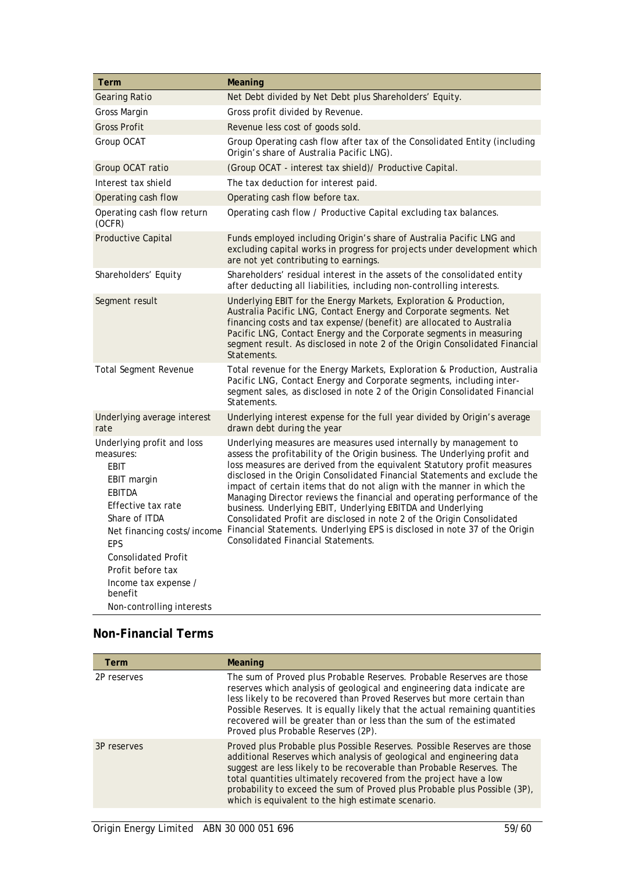| Term                                                                                                                                                                             | Meaning                                                                                                                                                                                                                                                                                                                                                                                                                                                                                                                                                                                                                                                                                                                                                      |
|----------------------------------------------------------------------------------------------------------------------------------------------------------------------------------|--------------------------------------------------------------------------------------------------------------------------------------------------------------------------------------------------------------------------------------------------------------------------------------------------------------------------------------------------------------------------------------------------------------------------------------------------------------------------------------------------------------------------------------------------------------------------------------------------------------------------------------------------------------------------------------------------------------------------------------------------------------|
| <b>Gearing Ratio</b>                                                                                                                                                             | Net Debt divided by Net Debt plus Shareholders' Equity.                                                                                                                                                                                                                                                                                                                                                                                                                                                                                                                                                                                                                                                                                                      |
| Gross Margin                                                                                                                                                                     | Gross profit divided by Revenue.                                                                                                                                                                                                                                                                                                                                                                                                                                                                                                                                                                                                                                                                                                                             |
| <b>Gross Profit</b>                                                                                                                                                              | Revenue less cost of goods sold.                                                                                                                                                                                                                                                                                                                                                                                                                                                                                                                                                                                                                                                                                                                             |
| Group OCAT                                                                                                                                                                       | Group Operating cash flow after tax of the Consolidated Entity (including<br>Origin's share of Australia Pacific LNG).                                                                                                                                                                                                                                                                                                                                                                                                                                                                                                                                                                                                                                       |
| Group OCAT ratio                                                                                                                                                                 | (Group OCAT - interest tax shield) / Productive Capital.                                                                                                                                                                                                                                                                                                                                                                                                                                                                                                                                                                                                                                                                                                     |
| Interest tax shield                                                                                                                                                              | The tax deduction for interest paid.                                                                                                                                                                                                                                                                                                                                                                                                                                                                                                                                                                                                                                                                                                                         |
| Operating cash flow                                                                                                                                                              | Operating cash flow before tax.                                                                                                                                                                                                                                                                                                                                                                                                                                                                                                                                                                                                                                                                                                                              |
| Operating cash flow return<br>(OCFR)                                                                                                                                             | Operating cash flow / Productive Capital excluding tax balances.                                                                                                                                                                                                                                                                                                                                                                                                                                                                                                                                                                                                                                                                                             |
| Productive Capital                                                                                                                                                               | Funds employed including Origin's share of Australia Pacific LNG and<br>excluding capital works in progress for projects under development which<br>are not yet contributing to earnings.                                                                                                                                                                                                                                                                                                                                                                                                                                                                                                                                                                    |
| Shareholders' Equity                                                                                                                                                             | Shareholders' residual interest in the assets of the consolidated entity<br>after deducting all liabilities, including non-controlling interests.                                                                                                                                                                                                                                                                                                                                                                                                                                                                                                                                                                                                            |
| Segment result                                                                                                                                                                   | Underlying EBIT for the Energy Markets, Exploration & Production,<br>Australia Pacific LNG, Contact Energy and Corporate segments. Net<br>financing costs and tax expense/(benefit) are allocated to Australia<br>Pacific LNG, Contact Energy and the Corporate segments in measuring<br>segment result. As disclosed in note 2 of the Origin Consolidated Financial<br>Statements.                                                                                                                                                                                                                                                                                                                                                                          |
| <b>Total Segment Revenue</b>                                                                                                                                                     | Total revenue for the Energy Markets, Exploration & Production, Australia<br>Pacific LNG, Contact Energy and Corporate segments, including inter-<br>segment sales, as disclosed in note 2 of the Origin Consolidated Financial<br>Statements.                                                                                                                                                                                                                                                                                                                                                                                                                                                                                                               |
| Underlying average interest<br>rate                                                                                                                                              | Underlying interest expense for the full year divided by Origin's average<br>drawn debt during the year                                                                                                                                                                                                                                                                                                                                                                                                                                                                                                                                                                                                                                                      |
| Underlying profit and loss<br>measures:<br>EBIT<br>EBIT margin<br><b>EBITDA</b><br>Effective tax rate<br>Share of ITDA<br>EPS<br><b>Consolidated Profit</b><br>Profit before tax | Underlying measures are measures used internally by management to<br>assess the profitability of the Origin business. The Underlying profit and<br>loss measures are derived from the equivalent Statutory profit measures<br>disclosed in the Origin Consolidated Financial Statements and exclude the<br>impact of certain items that do not align with the manner in which the<br>Managing Director reviews the financial and operating performance of the<br>business. Underlying EBIT, Underlying EBITDA and Underlying<br>Consolidated Profit are disclosed in note 2 of the Origin Consolidated<br>Net financing costs/income Financial Statements. Underlying EPS is disclosed in note 37 of the Origin<br><b>Consolidated Financial Statements.</b> |
| Income tax expense /<br>benefit<br>Non-controlling interests                                                                                                                     |                                                                                                                                                                                                                                                                                                                                                                                                                                                                                                                                                                                                                                                                                                                                                              |

# **Non-Financial Terms**

| <b>Term</b> | Meaning                                                                                                                                                                                                                                                                                                                                                                                                                            |
|-------------|------------------------------------------------------------------------------------------------------------------------------------------------------------------------------------------------------------------------------------------------------------------------------------------------------------------------------------------------------------------------------------------------------------------------------------|
| 2P reserves | The sum of Proved plus Probable Reserves. Probable Reserves are those<br>reserves which analysis of geological and engineering data indicate are<br>less likely to be recovered than Proved Reserves but more certain than<br>Possible Reserves. It is equally likely that the actual remaining quantities<br>recovered will be greater than or less than the sum of the estimated<br>Proved plus Probable Reserves (2P).          |
| 3P reserves | Proved plus Probable plus Possible Reserves. Possible Reserves are those<br>additional Reserves which analysis of geological and engineering data<br>suggest are less likely to be recoverable than Probable Reserves. The<br>total quantities ultimately recovered from the project have a low<br>probability to exceed the sum of Proved plus Probable plus Possible (3P),<br>which is equivalent to the high estimate scenario. |